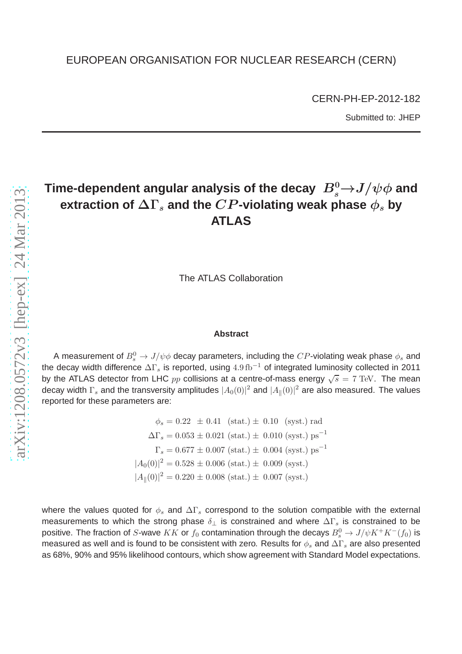CERN-PH-EP-2012-182 Submitted to: JHEP

# Time-dependent angular analysis of the decay  $\ B^0_s{\rightarrow} J/\psi \phi$  and **extraction of**  $\Delta\Gamma_s$  and the  $CP$ -violating weak phase  $\phi_s$  by **ATLAS**

The ATLAS Collaboration

# **Abstract**

A measurement of  $B^0_s\to J/\psi \phi$  decay parameters, including the  $CP$ -violating weak phase  $\phi_s$  and the decay width difference  $\Delta\Gamma_s$  is reported, using  $4.9\,{\rm fb}^{-1}$  of integrated luminosity collected in 2011 by the ATLAS detector from LHC  $pp$  collisions at a centre-of-mass energy  $\sqrt{s} = 7$  TeV. The mean decay width  $\Gamma_s$  and the transversity amplitudes  $|A_0(0)|^2$  and  $|A_{\parallel}(0)|^2$  are also measured. The values reported for these parameters are:

> $\phi_s = 0.22 \pm 0.41 \text{ (stat.)} \pm 0.10 \text{ (syst.)}$  rad  $\Delta\Gamma_s = 0.053 \pm 0.021 \text{ (stat.)} \pm 0.010 \text{ (syst.)} \text{ ps}^{-1}$  $\Gamma_s = 0.677 \pm 0.007$  (stat.)  $\pm 0.004$  (syst.) ps<sup>-1</sup>  $|A_0(0)|^2 = 0.528 \pm 0.006$  (stat.)  $\pm$  0.009 (syst.)  $|A_{\parallel}(0)|^2 = 0.220 \pm 0.008$  (stat.)  $\pm$  0.007 (syst.)

where the values quoted for  $\phi_s$  and  $\Delta\Gamma_s$  correspond to the solution compatible with the external measurements to which the strong phase  $\delta_{\perp}$  is constrained and where  $\Delta\Gamma_s$  is constrained to be positive. The fraction of *S*-wave  $KK$  or  $f_0$  contamination through the decays  $B^0_s\rightarrow J/\psi K^+K^-(f_0)$  is measured as well and is found to be consistent with zero. Results for  $\phi_s$  and  $\Delta\Gamma_s$  are also presented as 68%, 90% and 95% likelihood contours, which show agreement with Standard Model expectations.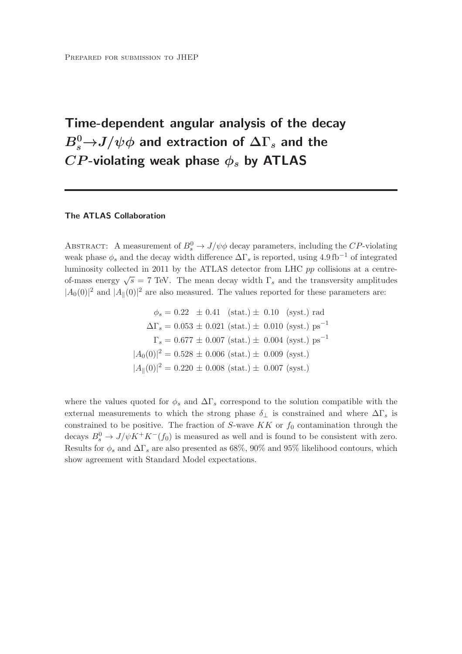# Time-dependent angular analysis of the decay  $B_s^0{\rightarrow}{J/\psi}\phi$  and extraction of  $\Delta\Gamma_s$  and the  $CP$ -violating weak phase  $\phi_s$  by ATLAS

# The ATLAS Collaboration

ABSTRACT: A measurement of  $B_s^0 \to J/\psi \phi$  decay parameters, including the CP-violating weak phase  $\phi_s$  and the decay width difference  $\Delta\Gamma_s$  is reported, using 4.9 fb<sup>-1</sup> of integrated luminosity collected in 2011 by the ATLAS detector from LHC pp collisions at a centreof-mass energy  $\sqrt{s} = 7$  TeV. The mean decay width  $\Gamma_s$  and the transversity amplitudes  $|A_0(0)|^2$  and  $|A_{\parallel}(0)|^2$  are also measured. The values reported for these parameters are:

$$
\phi_s = 0.22 \pm 0.41 \text{ (stat.)} \pm 0.10 \text{ (syst.)} \text{ rad}
$$

$$
\Delta \Gamma_s = 0.053 \pm 0.021 \text{ (stat.)} \pm 0.010 \text{ (syst.)} \text{ ps}^{-1}
$$

$$
\Gamma_s = 0.677 \pm 0.007 \text{ (stat.)} \pm 0.004 \text{ (syst.)} \text{ ps}^{-1}
$$

$$
|A_0(0)|^2 = 0.528 \pm 0.006 \text{ (stat.)} \pm 0.009 \text{ (syst.)}
$$

$$
|A_{\parallel}(0)|^2 = 0.220 \pm 0.008 \text{ (stat.)} \pm 0.007 \text{ (syst.)}
$$

where the values quoted for  $\phi_s$  and  $\Delta\Gamma_s$  correspond to the solution compatible with the external measurements to which the strong phase  $\delta_{\perp}$  is constrained and where  $\Delta\Gamma_s$  is constrained to be positive. The fraction of S-wave  $KK$  or  $f_0$  contamination through the decays  $B_s^0 \to J/\psi K^+ K^-(f_0)$  is measured as well and is found to be consistent with zero. Results for  $\phi_s$  and  $\Delta\Gamma_s$  are also presented as 68%, 90% and 95% likelihood contours, which show agreement with Standard Model expectations.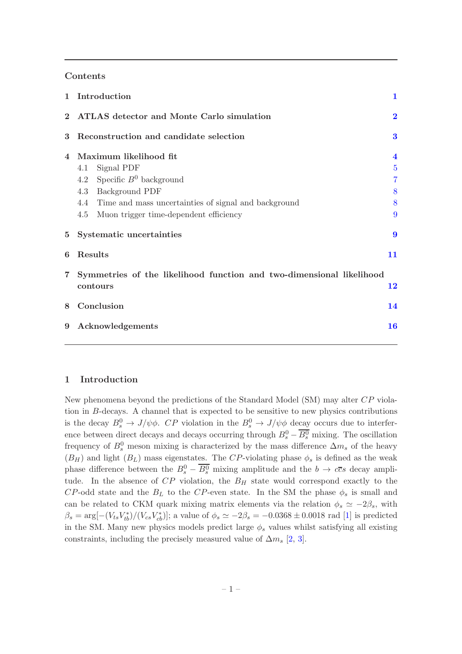# Contents

| $\mathbf{1}$ | Introduction                                                                     | 1                       |
|--------------|----------------------------------------------------------------------------------|-------------------------|
| $\bf{2}$     | <b>ATLAS</b> detector and Monte Carlo simulation                                 | $\overline{\mathbf{2}}$ |
| 3            | Reconstruction and candidate selection                                           | $\bf{3}$                |
| 4            | Maximum likelihood fit                                                           | $\overline{\mathbf{4}}$ |
|              | Signal PDF<br>4.1                                                                | $\overline{5}$          |
|              | 4.2 Specific $B^0$ background                                                    | $\overline{7}$          |
|              | 4.3 Background PDF                                                               | 8                       |
|              | 4.4 Time and mass uncertainties of signal and background                         | 8                       |
|              | 4.5<br>Muon trigger time-dependent efficiency                                    | 9                       |
| $\bf{5}$     | Systematic uncertainties                                                         | $\boldsymbol{9}$        |
| 6            | <b>Results</b>                                                                   | 11                      |
| 7            | Symmetries of the likelihood function and two-dimensional likelihood<br>contours | 12                      |
| 8            | Conclusion                                                                       | 14                      |
| 9            | Acknowledgements                                                                 | 16                      |
|              |                                                                                  |                         |

# <span id="page-2-0"></span>1 Introduction

New phenomena beyond the predictions of the Standard Model (SM) may alter CP violation in B-decays. A channel that is expected to be sensitive to new physics contributions is the decay  $B_s^0 \to J/\psi \phi$ . CP violation in the  $B_s^0 \to J/\psi \phi$  decay occurs due to interference between direct decays and decays occurring through  $B_s^0 - \overline{B_s^0}$  mixing. The oscillation frequency of  $B_s^0$  meson mixing is characterized by the mass difference  $\Delta m_s$  of the heavy  $(B_H)$  and light  $(B_L)$  mass eigenstates. The CP-violating phase  $\phi_s$  is defined as the weak phase difference between the  $B_s^0 - \overline{B_s^0}$  mixing amplitude and the  $b \to c\overline{c}s$  decay amplitude. In the absence of  $CP$  violation, the  $B_H$  state would correspond exactly to the CP-odd state and the  $B_L$  to the CP-even state. In the SM the phase  $\phi_s$  is small and can be related to CKM quark mixing matrix elements via the relation  $\phi_s \simeq -2\beta_s$ , with  $\beta_s = \arg[-(V_{ts}V_{tb}^*)/(V_{cs}V_{cb}^*)]$ ; a value of  $\phi_s \simeq -2\beta_s = -0.0368 \pm 0.0018$  rad [\[1](#page-18-0)] is predicted in the SM. Many new physics models predict large  $\phi_s$  values whilst satisfying all existing constraints, including the precisely measured value of  $\Delta m_s$  [\[2](#page-18-1), [3](#page-18-2)].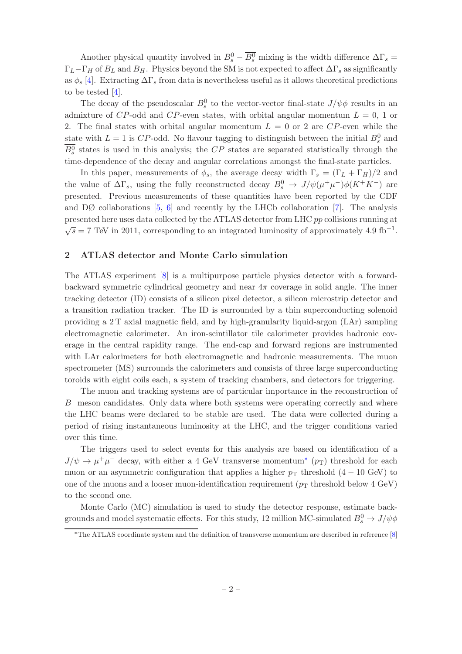Another physical quantity involved in  $B_s^0 - \overline{B_s^0}$  mixing is the width difference  $\Delta\Gamma_s =$  $\Gamma_L-\Gamma_H$  of  $B_L$  and  $B_H$ . Physics beyond the SM is not expected to affect  $\Delta\Gamma_s$  as significantly as  $\phi_s$  [\[4\]](#page-18-3). Extracting  $\Delta\Gamma_s$  from data is nevertheless useful as it allows theoretical predictions to be tested [\[4](#page-18-3)].

The decay of the pseudoscalar  $B_s^0$  to the vector-vector final-state  $J/\psi \phi$  results in an admixture of CP-odd and CP-even states, with orbital angular momentum  $L = 0, 1$  or 2. The final states with orbital angular momentum  $L = 0$  or 2 are CP-even while the state with  $L = 1$  is CP-odd. No flavour tagging to distinguish between the initial  $B_s^0$  and  $B_s^0$  states is used in this analysis; the  $CP$  states are separated statistically through the time-dependence of the decay and angular correlations amongst the final-state particles.

In this paper, measurements of  $\phi_s$ , the average decay width  $\Gamma_s = (\Gamma_L + \Gamma_H)/2$  and the value of  $\Delta\Gamma_s$ , using the fully reconstructed decay  $B_s^0 \to J/\psi(\mu^+\mu^-)\phi(K^+K^-)$  are presented. Previous measurements of these quantities have been reported by the CDF and  $D\varnothing$  collaborations [\[5,](#page-18-4) [6\]](#page-18-5) and recently by the LHCb collaboration [\[7](#page-18-6)]. The analysis presented here uses data collected by the ATLAS detector from LHC pp collisions running at  $\sqrt{s}$  = 7 TeV in 2011, corresponding to an integrated luminosity of approximately 4.9 fb<sup>-1</sup>.

# <span id="page-3-0"></span>2 ATLAS detector and Monte Carlo simulation

The ATLAS experiment [\[8](#page-18-7)] is a multipurpose particle physics detector with a forwardbackward symmetric cylindrical geometry and near  $4\pi$  coverage in solid angle. The inner tracking detector (ID) consists of a silicon pixel detector, a silicon microstrip detector and a transition radiation tracker. The ID is surrounded by a thin superconducting solenoid providing a 2 T axial magnetic field, and by high-granularity liquid-argon (LAr) sampling electromagnetic calorimeter. An iron-scintillator tile calorimeter provides hadronic coverage in the central rapidity range. The end-cap and forward regions are instrumented with LAr calorimeters for both electromagnetic and hadronic measurements. The muon spectrometer (MS) surrounds the calorimeters and consists of three large superconducting toroids with eight coils each, a system of tracking chambers, and detectors for triggering.

The muon and tracking systems are of particular importance in the reconstruction of B meson candidates. Only data where both systems were operating correctly and where the LHC beams were declared to be stable are used. The data were collected during a period of rising instantaneous luminosity at the LHC, and the trigger conditions varied over this time.

The triggers used to select events for this analysis are based on identification of a  $J/\psi \to \mu^+\mu^-$  decay, with either a 4 GeV transverse momentum<sup>\*</sup> ( $p_T$ ) threshold for each muon or an asymmetric configuration that applies a higher  $p<sub>T</sub>$  threshold (4 – 10 GeV) to one of the muons and a looser muon-identification requirement ( $p_T$  threshold below 4 GeV) to the second one.

Monte Carlo (MC) simulation is used to study the detector response, estimate backgrounds and model systematic effects. For this study, 12 million MC-simulated  $B^0_s \to J/\psi \phi$ 

<span id="page-3-1"></span><sup>∗</sup>The ATLAS coordinate system and the definition of transverse momentum are described in reference [\[8](#page-18-7)]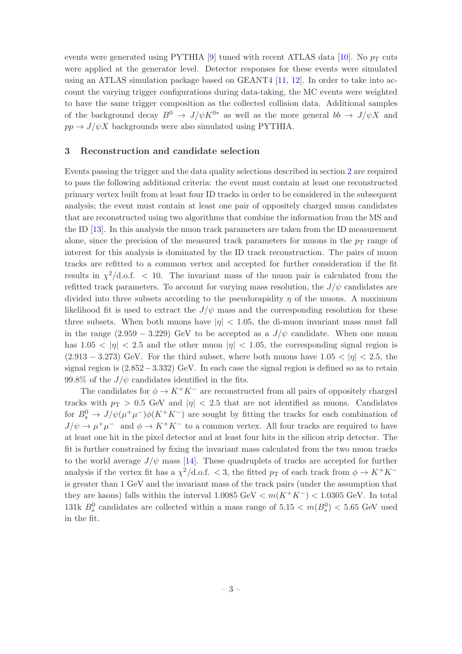events were generated using PYTHIA [\[9](#page-18-8)] tuned with recent ATLAS data [\[10\]](#page-18-9). No  $p_T$  cuts were applied at the generator level. Detector responses for these events were simulated using an ATLAS simulation package based on GEANT4 [\[11,](#page-18-10) [12](#page-18-11)]. In order to take into account the varying trigger configurations during data-taking, the MC events were weighted to have the same trigger composition as the collected collision data. Additional samples of the background decay  $B^0 \to J/\psi K^{0*}$  as well as the more general  $bb \to J/\psi X$  and  $pp \rightarrow J/\psi X$  backgrounds were also simulated using PYTHIA.

## <span id="page-4-0"></span>3 Reconstruction and candidate selection

Events passing the trigger and the data quality selections described in section [2](#page-3-0) are required to pass the following additional criteria: the event must contain at least one reconstructed primary vertex built from at least four ID tracks in order to be considered in the subsequent analysis; the event must contain at least one pair of oppositely charged muon candidates that are reconstructed using two algorithms that combine the information from the MS and the ID [\[13](#page-18-12)]. In this analysis the muon track parameters are taken from the ID measurement alone, since the precision of the measured track parameters for muons in the  $p<sub>T</sub>$  range of interest for this analysis is dominated by the ID track reconstruction. The pairs of muon tracks are refitted to a common vertex and accepted for further consideration if the fit results in  $\chi^2/\text{d.o.f.}$  < 10. The invariant mass of the muon pair is calculated from the refitted track parameters. To account for varying mass resolution, the  $J/\psi$  candidates are divided into three subsets according to the pseudorapidity  $\eta$  of the muons. A maximum likelihood fit is used to extract the  $J/\psi$  mass and the corresponding resolution for these three subsets. When both muons have  $|\eta|$  < 1.05, the di-muon invariant mass must fall in the range  $(2.959 - 3.229)$  GeV to be accepted as a  $J/\psi$  candidate. When one muon has  $1.05 < |\eta| < 2.5$  and the other muon  $|\eta| < 1.05$ , the corresponding signal region is  $(2.913 - 3.273)$  GeV. For the third subset, where both muons have  $1.05 < |\eta| < 2.5$ , the signal region is (2.852−3.332) GeV. In each case the signal region is defined so as to retain 99.8% of the  $J/\psi$  candidates identified in the fits.

The candidates for  $\phi \to K^+K^-$  are reconstructed from all pairs of oppositely charged tracks with  $p_T > 0.5$  GeV and  $|\eta| < 2.5$  that are not identified as muons. Candidates for  $B_s^0 \to J/\psi(\mu^+\mu^-)\phi(K^+K^-)$  are sought by fitting the tracks for each combination of  $J/\psi \to \mu^+\mu^-$  and  $\phi \to K^+K^-$  to a common vertex. All four tracks are required to have at least one hit in the pixel detector and at least four hits in the silicon strip detector. The fit is further constrained by fixing the invariant mass calculated from the two muon tracks to the world average  $J/\psi$  mass [\[14\]](#page-19-0). These quadruplets of tracks are accepted for further analysis if the vertex fit has a  $\chi^2/\text{d.o.f.} < 3$ , the fitted  $p_T$  of each track from  $\phi \to K^+K^$ is greater than 1 GeV and the invariant mass of the track pairs (under the assumption that they are kaons) falls within the interval  $1.0085 \text{ GeV} < m(K^+K^-) < 1.0305 \text{ GeV}$ . In total 131k  $B_s^0$  candidates are collected within a mass range of  $5.15 < m(B_s^0) < 5.65$  GeV used in the fit.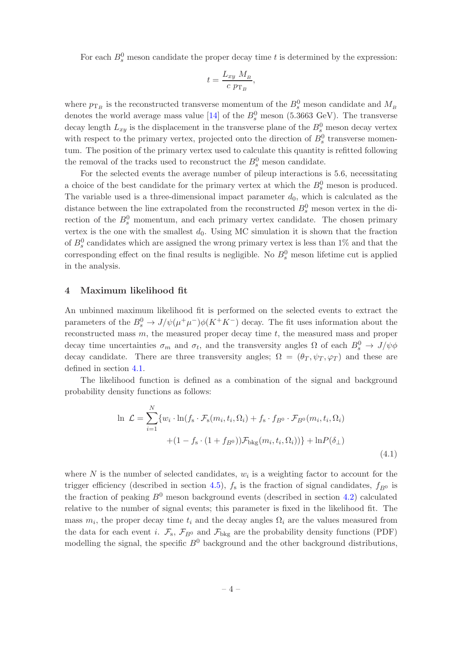For each  $B_s^0$  meson candidate the proper decay time t is determined by the expression:

$$
t = \frac{L_{xy} M_B}{c \ p_{\mathrm{T}_B}},
$$

where  $p_{\mathrm{T}_B}$  is the reconstructed transverse momentum of the  $B_s^0$  meson candidate and  $M_{\mathrm{B}}$ denotes the world average mass value [\[14](#page-19-0)] of the  $B_s^0$  meson (5.3663 GeV). The transverse decay length  $L_{xy}$  is the displacement in the transverse plane of the  $B_s^0$  meson decay vertex with respect to the primary vertex, projected onto the direction of  $B_s^0$  transverse momentum. The position of the primary vertex used to calculate this quantity is refitted following the removal of the tracks used to reconstruct the  $B_s^0$  meson candidate.

For the selected events the average number of pileup interactions is 5.6, necessitating a choice of the best candidate for the primary vertex at which the  $B_s^0$  meson is produced. The variable used is a three-dimensional impact parameter  $d_0$ , which is calculated as the distance between the line extrapolated from the reconstructed  $B_s^0$  meson vertex in the direction of the  $B_s^0$  momentum, and each primary vertex candidate. The chosen primary vertex is the one with the smallest  $d_0$ . Using MC simulation it is shown that the fraction of  $B_s^0$  candidates which are assigned the wrong primary vertex is less than 1% and that the corresponding effect on the final results is negligible. No  $B_s^0$  meson lifetime cut is applied in the analysis.

# <span id="page-5-0"></span>4 Maximum likelihood fit

An unbinned maximum likelihood fit is performed on the selected events to extract the parameters of the  $B_s^0 \to J/\psi(\mu^+\mu^-)\phi(K^+K^-)$  decay. The fit uses information about the reconstructed mass  $m$ , the measured proper decay time  $t$ , the measured mass and proper decay time uncertainties  $\sigma_m$  and  $\sigma_t$ , and the transversity angles  $\Omega$  of each  $B_s^0 \to J/\psi \phi$ decay candidate. There are three transversity angles;  $\Omega = (\theta_T, \psi_T, \varphi_T)$  and these are defined in section [4.1.](#page-6-0)

The likelihood function is defined as a combination of the signal and background probability density functions as follows:

<span id="page-5-1"></span>
$$
\ln \mathcal{L} = \sum_{i=1}^{N} \{w_i \cdot \ln(f_s \cdot \mathcal{F}_s(m_i, t_i, \Omega_i) + f_s \cdot f_{B^0} \cdot \mathcal{F}_{B^0}(m_i, t_i, \Omega_i) + (1 - f_s \cdot (1 + f_{B^0})) \mathcal{F}_{\text{bkg}}(m_i, t_i, \Omega_i))\} + \ln P(\delta_{\perp})
$$
\n(4.1)

where  $N$  is the number of selected candidates,  $w_i$  is a weighting factor to account for the trigger efficiency (described in section [4.5\)](#page-10-0),  $f_s$  is the fraction of signal candidates,  $f_{B0}$  is the fraction of peaking  $B^0$  meson background events (described in section [4.2\)](#page-8-0) calculated relative to the number of signal events; this parameter is fixed in the likelihood fit. The mass  $m_i$ , the proper decay time  $t_i$  and the decay angles  $\Omega_i$  are the values measured from the data for each event *i*.  $\mathcal{F}_{s}$ ,  $\mathcal{F}_{B^0}$  and  $\mathcal{F}_{bkg}$  are the probability density functions (PDF) modelling the signal, the specific  $B^0$  background and the other background distributions,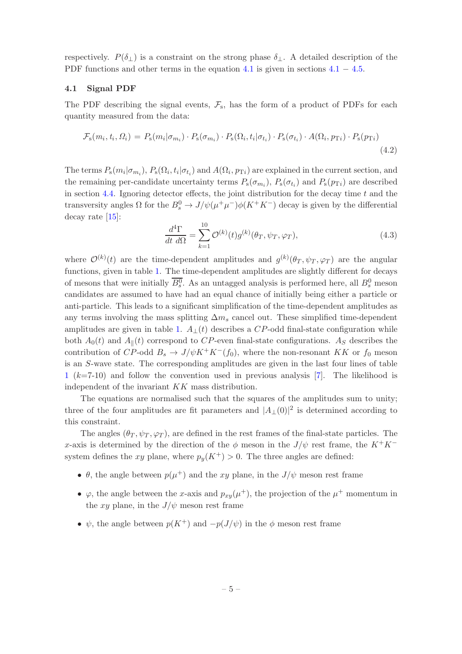respectively.  $P(\delta_{\perp})$  is a constraint on the strong phase  $\delta_{\perp}$ . A detailed description of the PDF functions and other terms in the equation [4.1](#page-6-0) is given in sections  $4.1 - 4.5$ .

#### <span id="page-6-0"></span>4.1 Signal PDF

The PDF describing the signal events,  $\mathcal{F}_s$ , has the form of a product of PDFs for each quantity measured from the data:

$$
\mathcal{F}_{\rm s}(m_i, t_i, \Omega_i) = P_{\rm s}(m_i | \sigma_{m_i}) \cdot P_{\rm s}(\sigma_{m_i}) \cdot P_{\rm s}(\Omega_i, t_i | \sigma_{t_i}) \cdot P_{\rm s}(\sigma_{t_i}) \cdot A(\Omega_i, p_{\rm T}i) \cdot P_{\rm s}(p_{\rm T}i)
$$
\n(4.2)

The terms  $P_s(m_i|\sigma_{m_i})$ ,  $P_s(\Omega_i,t_i|\sigma_{t_i})$  and  $A(\Omega_i,p_{T_i})$  are explained in the current section, and the remaining per-candidate uncertainty terms  $P_s(\sigma_{m_i})$ ,  $P_s(\sigma_{t_i})$  and  $P_s(p_{Ti})$  are described in section [4.4.](#page-9-1) Ignoring detector effects, the joint distribution for the decay time  $t$  and the transversity angles  $\Omega$  for the  $B_s^0 \to J/\psi(\mu^+\mu^-)\phi(K^+K^-)$  decay is given by the differential decay rate [\[15](#page-19-1)]:

$$
\frac{d^4\Gamma}{dt\ d\Omega} = \sum_{k=1}^{10} \mathcal{O}^{(k)}(t) g^{(k)}(\theta_T, \psi_T, \varphi_T),\tag{4.3}
$$

where  $\mathcal{O}^{(k)}(t)$  are the time-dependent amplitudes and  $g^{(k)}(\theta_T, \psi_T, \varphi_T)$  are the angular functions, given in table [1.](#page-7-0) The time-dependent amplitudes are slightly different for decays of mesons that were initially  $\overline{B_s^0}$ . As an untagged analysis is performed here, all  $B_s^0$  meson candidates are assumed to have had an equal chance of initially being either a particle or anti-particle. This leads to a significant simplification of the time-dependent amplitudes as any terms involving the mass splitting  $\Delta m_s$  cancel out. These simplified time-dependent amplitudes are given in table [1.](#page-7-0)  $A_{\perp}(t)$  describes a CP-odd final-state configuration while both  $A_0(t)$  and  $A_{\parallel}(t)$  correspond to CP-even final-state configurations. As describes the contribution of CP-odd  $B_s \to J/\psi K^+ K^-(f_0)$ , where the non-resonant KK or  $f_0$  meson is an S-wave state. The corresponding amplitudes are given in the last four lines of table [1](#page-7-0) (k=7-10) and follow the convention used in previous analysis [\[7\]](#page-18-6). The likelihood is independent of the invariant KK mass distribution.

The equations are normalised such that the squares of the amplitudes sum to unity; three of the four amplitudes are fit parameters and  $|A_{\perp}(0)|^2$  is determined according to this constraint.

The angles  $(\theta_T, \psi_T, \varphi_T)$ , are defined in the rest frames of the final-state particles. The x-axis is determined by the direction of the  $\phi$  meson in the  $J/\psi$  rest frame, the K<sup>+</sup>K<sup>−</sup> system defines the xy plane, where  $p_y(K^+) > 0$ . The three angles are defined:

- $\theta$ , the angle between  $p(\mu^+)$  and the xy plane, in the  $J/\psi$  meson rest frame
- $\varphi$ , the angle between the x-axis and  $p_{xy}(\mu^+)$ , the projection of the  $\mu^+$  momentum in the xy plane, in the  $J/\psi$  meson rest frame
- $\psi$ , the angle between  $p(K^+)$  and  $-p(J/\psi)$  in the  $\phi$  meson rest frame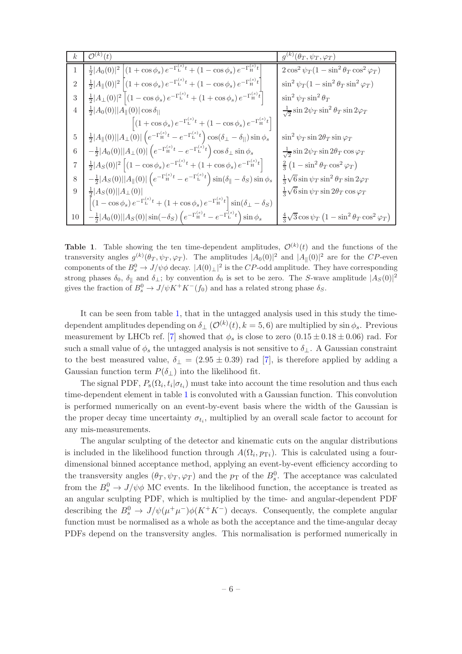| $k_{\rm}$      | $\overline{\mathcal{O}^{(k)}}(t)$                                                                                                                          | $g^{(k)}(\theta_T, \psi_T, \varphi_T)$                                      |
|----------------|------------------------------------------------------------------------------------------------------------------------------------------------------------|-----------------------------------------------------------------------------|
| 1              | $\frac{1}{2} A_0(0) ^2\left[\left(1+\cos\phi_s\right)e^{-\Gamma_{\rm L}^{(s)}t}+\left(1-\cos\phi_s\right)e^{-\Gamma_{\rm H}^{(s)}t}\right]$                | $2\cos^2\psi_T(1-\sin^2\theta_T\cos^2\varphi_T)$                            |
| $\overline{2}$ | $\frac{1}{2} A_{\parallel}(0) ^2\left[\left(1+\cos\phi_s\right)e^{-\Gamma_{\rm L}^{(s)}t}+\left(1-\cos\phi_s\right)e^{-\Gamma_{\rm H}^{(s)}t}\right]$      | $\sin^2 \psi_T (1 - \sin^2 \theta_T \sin^2 \varphi_T)$                      |
| 3              | $\frac{1}{2} A_{\perp}(0) ^2\left[ (1-\cos\phi_s) e^{-\Gamma_{\rm L}^{(s)}t} + (1+\cos\phi_s) e^{-\Gamma_{\rm H}^{(s)}t} \right]$                          | $\sin^2 \psi_T \sin^2 \theta_T$                                             |
| 4              | $\frac{1}{2}$   $A_0(0)$    $A_{\parallel}(0)$   cos $\delta_{\parallel}$                                                                                  | $\frac{1}{\sqrt{2}}\sin 2\psi_T \sin^2\theta_T \sin 2\varphi_T$             |
|                | $\left[ (1 + \cos \phi_s) e^{-\Gamma_L^{(s)}t} + (1 - \cos \phi_s) e^{-\Gamma_H^{(s)}t} \right]$                                                           |                                                                             |
| $\rm 5$        | $\tfrac{1}{2} A_{\parallel}(0)  A_{\perp}(0) \left(e^{-\Gamma_{\rm H}^{(s)}t}-e^{-\Gamma_{\rm L}^{(s)}t}\right)\cos(\delta_{\perp}-\delta_{  })\sin\phi_s$ | $\sin^2 \psi_T \sin 2\theta_T \sin \varphi_T$                               |
| $\,6$          | $-\tfrac{1}{2} A_0(0)  A_\perp(0) \left(e^{-\Gamma^{(s)}_\text{H}t}-e^{-\Gamma^{(s)}_\text{L}t}\right)\cos\delta_\perp\sin\phi_s$                          | $\frac{1}{\sqrt{2}}\sin 2\psi_T \sin 2\theta_T \cos \varphi_T$              |
| 7              | $\frac{1}{2} A_S(0) ^2 (1-\cos\phi_s)e^{-\Gamma_{\rm L}^{(s)}t}+(1+\cos\phi_s)e^{-\Gamma_{\rm H}^{(s)}t}]$                                                 | $\frac{2}{3}\left(1-\sin^2\theta_T\cos^2\varphi_T\right)$                   |
| $8\,$          | $-\frac{1}{2} A_S(0)  A_{\ }(0) \left(e^{-\Gamma_{\text{H}}^{(s)}t}-e^{-\Gamma_{\text{L}}^{(s)}t}\right)\sin(\delta_{\ }-\delta_S)\sin\phi_s$              | $\frac{1}{3}\sqrt{6}\sin\psi_T\sin^2\theta_T\sin 2\varphi_T$                |
| 9              | $\frac{1}{2} A_S(0)  A_{\perp}(0) $                                                                                                                        | $\frac{1}{3}\sqrt{6}\sin\psi_T\sin 2\theta_T\cos\varphi_T$                  |
|                | $\left \left(1-\cos\phi_s\right)e^{-\Gamma_{\rm L}^{(s)}t}+\left(1+\cos\phi_s\right)e^{-\Gamma_{\rm H}^{(s)}t}\right]\sin(\delta_\perp-\delta_S)$          |                                                                             |
| $10\,$         | $-\tfrac{1}{2} A_0(0)  A_S(0) \sin(-\delta_S)\left(e^{-\Gamma^{(s)}_\mathrm{H} t}-e^{-\Gamma^{(s)}_\mathrm{L} t}\right)\sin\phi_s$                         | $\frac{4}{3}\sqrt{3}\cos\psi_T\left(1-\sin^2\theta_T\cos^2\varphi_T\right)$ |

<span id="page-7-0"></span>**Table 1.** Table showing the ten time-dependent amplitudes,  $\mathcal{O}^{(k)}(t)$  and the functions of the transversity angles  $g^{(k)}(\theta_T, \psi_T, \varphi_T)$ . The amplitudes  $|A_0(0)|^2$  and  $|A_{\parallel}(0)|^2$  are for the CP-even components of the  $B_s^0 \to J/\psi \phi$  decay.  $|A(0)_\perp|^2$  is the CP-odd amplitude. They have corresponding strong phases  $\delta_0$ ,  $\delta_{\parallel}$  and  $\delta_{\perp}$ ; by convention  $\delta_0$  is set to be zero. The S-wave amplitude  $|A_S(0)|^2$ gives the fraction of  $B_s^0 \to J/\psi K^+ K^-(f_0)$  and has a related strong phase  $\delta_S$ .

It can be seen from table [1,](#page-7-0) that in the untagged analysis used in this study the timedependent amplitudes depending on  $\delta_{\perp}(\mathcal{O}^{(k)}(t), k=5, 6)$  are multiplied by sin  $\phi_s$ . Previous measurement by LHCb ref. [\[7](#page-18-6)] showed that  $\phi_s$  is close to zero  $(0.15 \pm 0.18 \pm 0.06)$  rad. For such a small value of  $\phi_s$  the untagged analysis is not sensitive to  $\delta_{\perp}$ . A Gaussian constraint to the best measured value,  $\delta_{\perp} = (2.95 \pm 0.39)$  rad [\[7](#page-18-6)], is therefore applied by adding a Gaussian function term  $P(\delta_{\perp})$  into the likelihood fit.

The signal PDF,  $P_s(\Omega_i, t_i | \sigma_{t_i})$  must take into account the time resolution and thus each time-dependent element in table [1](#page-7-0) is convoluted with a Gaussian function. This convolution is performed numerically on an event-by-event basis where the width of the Gaussian is the proper decay time uncertainty  $\sigma_{t_i}$ , multiplied by an overall scale factor to account for any mis-measurements.

The angular sculpting of the detector and kinematic cuts on the angular distributions is included in the likelihood function through  $A(\Omega_i, p_{\text{T}i})$ . This is calculated using a fourdimensional binned acceptance method, applying an event-by-event efficiency according to the transversity angles  $(\theta_T, \psi_T, \varphi_T)$  and the  $p_T$  of the  $B_s^0$ . The acceptance was calculated from the  $B_s^0 \to J/\psi \phi$  MC events. In the likelihood function, the acceptance is treated as an angular sculpting PDF, which is multiplied by the time- and angular-dependent PDF describing the  $B_s^0 \to J/\psi(\mu^+\mu^-)\phi(K^+K^-)$  decays. Consequently, the complete angular function must be normalised as a whole as both the acceptance and the time-angular decay PDFs depend on the transversity angles. This normalisation is performed numerically in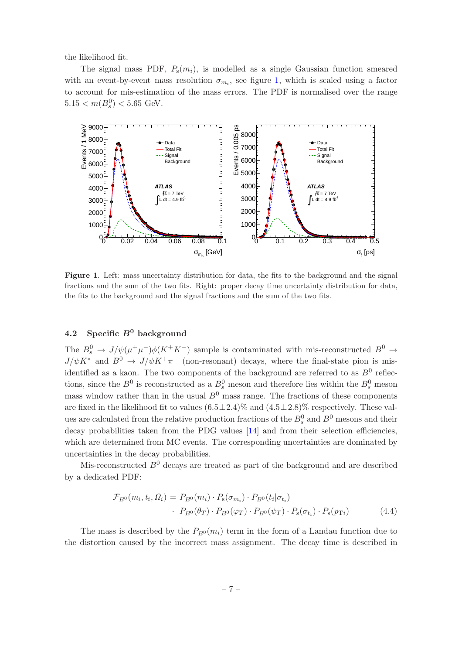the likelihood fit.

The signal mass PDF,  $P_s(m_i)$ , is modelled as a single Gaussian function smeared with an event-by-event mass resolution  $\sigma_{m_i}$ , see figure [1,](#page-8-1) which is scaled using a factor to account for mis-estimation of the mass errors. The PDF is normalised over the range  $5.15 < m(B_s^0) < 5.65$  GeV.



<span id="page-8-1"></span>Figure 1. Left: mass uncertainty distribution for data, the fits to the background and the signal fractions and the sum of the two fits. Right: proper decay time uncertainty distribution for data, the fits to the background and the signal fractions and the sum of the two fits.

# <span id="page-8-0"></span>4.2 Specific  $B^0$  background

The  $B_s^0 \to J/\psi(\mu^+\mu^-)\phi(K^+K^-)$  sample is contaminated with mis-reconstructed  $B^0 \to$  $J/\psi K^*$  and  $B^0 \to J/\psi K^+\pi^-$  (non-resonant) decays, where the final-state pion is misidentified as a kaon. The two components of the background are referred to as  $B^0$  reflections, since the  $B^0$  is reconstructed as a  $B^0_s$  meson and therefore lies within the  $B^0_s$  meson mass window rather than in the usual  $B^0$  mass range. The fractions of these components are fixed in the likelihood fit to values  $(6.5\pm2.4)\%$  and  $(4.5\pm2.8)\%$  respectively. These values are calculated from the relative production fractions of the  $B_s^0$  and  $B^0$  mesons and their decay probabilities taken from the PDG values [\[14\]](#page-19-0) and from their selection efficiencies, which are determined from MC events. The corresponding uncertainties are dominated by uncertainties in the decay probabilities.

Mis-reconstructed  $B^0$  decays are treated as part of the background and are described by a dedicated PDF:

$$
\mathcal{F}_{B^0}(m_i, t_i, \Omega_i) = P_{B^0}(m_i) \cdot P_{\rm s}(\sigma_{m_i}) \cdot P_{B^0}(t_i | \sigma_{t_i})
$$

$$
\cdot P_{B^0}(\theta_T) \cdot P_{B^0}(\varphi_T) \cdot P_{B^0}(\psi_T) \cdot P_{\rm s}(\sigma_{t_i}) \cdot P_{\rm s}(p_{\rm T_i}) \tag{4.4}
$$

The mass is described by the  $P_{B<sup>0</sup>}(m_i)$  term in the form of a Landau function due to the distortion caused by the incorrect mass assignment. The decay time is described in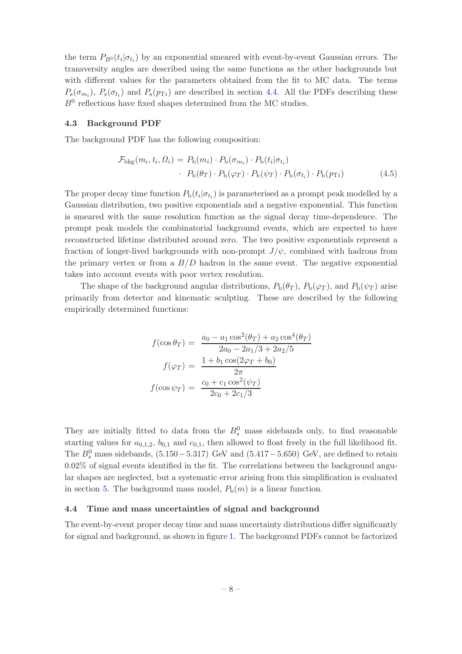the term  $P_{B^0}(t_i|\sigma_{t_i})$  by an exponential smeared with event-by-event Gaussian errors. The transversity angles are described using the same functions as the other backgrounds but with different values for the parameters obtained from the fit to MC data. The terms  $P_{\rm s}(\sigma_{m_i})$ ,  $P_{\rm s}(\sigma_{t_i})$  and  $P_{\rm s}(p_{\rm Ti})$  are described in section [4.4.](#page-9-1) All the PDFs describing these  $B^0$  reflections have fixed shapes determined from the MC studies.

#### <span id="page-9-0"></span>4.3 Background PDF

The background PDF has the following composition:

$$
\mathcal{F}_{\text{bkg}}(m_i, t_i, \Omega_i) = P_{\text{b}}(m_i) \cdot P_{\text{b}}(\sigma_{m_i}) \cdot P_{\text{b}}(t_i | \sigma_{t_i})
$$

$$
\cdot P_{\text{b}}(\theta_T) \cdot P_{\text{b}}(\varphi_T) \cdot P_{\text{b}}(\psi_T) \cdot P_{\text{b}}(\sigma_{t_i}) \cdot P_{\text{b}}(p_{\text{T}i})
$$
(4.5)

The proper decay time function  $P_b(t_i|\sigma_{t_i})$  is parameterised as a prompt peak modelled by a Gaussian distribution, two positive exponentials and a negative exponential. This function is smeared with the same resolution function as the signal decay time-dependence. The prompt peak models the combinatorial background events, which are expected to have reconstructed lifetime distributed around zero. The two positive exponentials represent a fraction of longer-lived backgrounds with non-prompt  $J/\psi$ , combined with hadrons from the primary vertex or from a  $B/D$  hadron in the same event. The negative exponential takes into account events with poor vertex resolution.

The shape of the background angular distributions,  $P_b(\theta_T)$ ,  $P_b(\varphi_T)$ , and  $P_b(\psi_T)$  arise primarily from detector and kinematic sculpting. These are described by the following empirically determined functions:

$$
f(\cos \theta_T) = \frac{a_0 - a_1 \cos^2(\theta_T) + a_2 \cos^4(\theta_T)}{2a_0 - 2a_1/3 + 2a_2/5}
$$

$$
f(\varphi_T) = \frac{1 + b_1 \cos(2\varphi_T + b_0)}{2\pi}
$$

$$
f(\cos \psi_T) = \frac{c_0 + c_1 \cos^2(\psi_T)}{2c_0 + 2c_1/3}
$$

They are initially fitted to data from the  $B_s^0$  mass sidebands only, to find reasonable starting values for  $a_{0,1,2}$ ,  $b_{0,1}$  and  $c_{0,1}$ , then allowed to float freely in the full likelihood fit. The  $B_s^0$  mass sidebands, (5.150 – 5.317) GeV and (5.417 – 5.650) GeV, are defined to retain 0.02% of signal events identified in the fit. The correlations between the background angular shapes are neglected, but a systematic error arising from this simplification is evaluated in section [5.](#page-10-1) The background mass model,  $P_b(m)$  is a linear function.

#### <span id="page-9-1"></span>4.4 Time and mass uncertainties of signal and background

The event-by-event proper decay time and mass uncertainty distributions differ significantly for signal and background, as shown in figure [1.](#page-8-1) The background PDFs cannot be factorized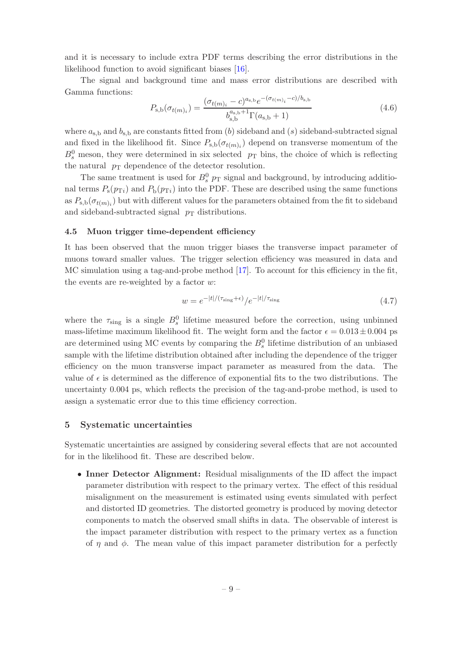and it is necessary to include extra PDF terms describing the error distributions in the likelihood function to avoid significant biases [\[16](#page-19-2)].

The signal and background time and mass error distributions are described with Gamma functions:

<span id="page-10-3"></span>
$$
P_{\rm s,b}(\sigma_{t(m)_i}) = \frac{(\sigma_{t(m)_i} - c)^{a_{\rm s,b}} e^{-(\sigma_{t(m)_i} - c)/b_{\rm s,b}}}{b_{\rm s,b}^{a_{\rm s,b}+1} \Gamma(a_{\rm s,b} + 1)}
$$
(4.6)

where  $a_{s,b}$  and  $b_{s,b}$  are constants fitted from (b) sideband and (s) sideband-subtracted signal and fixed in the likelihood fit. Since  $P_{s,b}(\sigma_{t(m)_i})$  depend on transverse momentum of the  $B_s^0$  meson, they were determined in six selected  $p_T$  bins, the choice of which is reflecting the natural  $p_T$  dependence of the detector resolution.

The same treatment is used for  $B_s^0$   $p_T$  signal and background, by introducing additional terms  $P_s(p_{\text{Ti}})$  and  $P_b(p_{\text{Ti}})$  into the PDF. These are described using the same functions as  $P_{\rm s,b}(\sigma_{t(m)_i})$  but with different values for the parameters obtained from the fit to sideband and sideband-subtracted signal  $p_T$  distributions.

#### <span id="page-10-0"></span>4.5 Muon trigger time-dependent efficiency

It has been observed that the muon trigger biases the transverse impact parameter of muons toward smaller values. The trigger selection efficiency was measured in data and MC simulation using a tag-and-probe method [\[17\]](#page-19-3). To account for this efficiency in the fit, the events are re-weighted by a factor  $w$ :

<span id="page-10-2"></span>
$$
w = e^{-|t|/(\tau_{\text{sing}} + \epsilon)} / e^{-|t|/\tau_{\text{sing}}}
$$
\n(4.7)

where the  $\tau_{\text{sing}}$  is a single  $B_s^0$  lifetime measured before the correction, using unbinned mass-lifetime maximum likelihood fit. The weight form and the factor  $\epsilon = 0.013 \pm 0.004$  ps are determined using MC events by comparing the  $B_s^0$  lifetime distribution of an unbiased sample with the lifetime distribution obtained after including the dependence of the trigger efficiency on the muon transverse impact parameter as measured from the data. The value of  $\epsilon$  is determined as the difference of exponential fits to the two distributions. The uncertainty 0.004 ps, which reflects the precision of the tag-and-probe method, is used to assign a systematic error due to this time efficiency correction.

## <span id="page-10-1"></span>5 Systematic uncertainties

Systematic uncertainties are assigned by considering several effects that are not accounted for in the likelihood fit. These are described below.

• Inner Detector Alignment: Residual misalignments of the ID affect the impact parameter distribution with respect to the primary vertex. The effect of this residual misalignment on the measurement is estimated using events simulated with perfect and distorted ID geometries. The distorted geometry is produced by moving detector components to match the observed small shifts in data. The observable of interest is the impact parameter distribution with respect to the primary vertex as a function of  $\eta$  and  $\phi$ . The mean value of this impact parameter distribution for a perfectly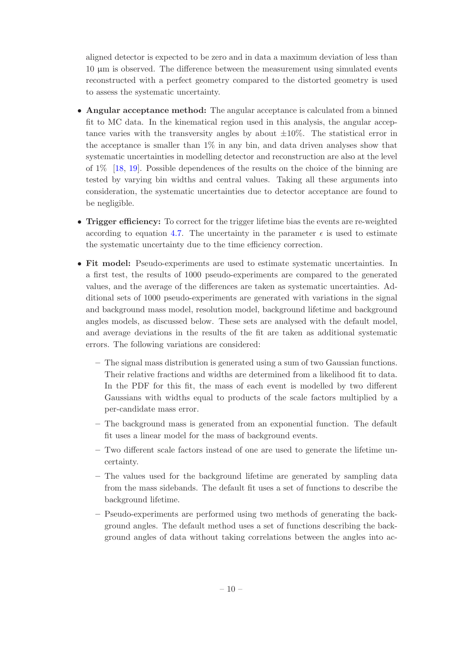aligned detector is expected to be zero and in data a maximum deviation of less than 10 µm is observed. The difference between the measurement using simulated events reconstructed with a perfect geometry compared to the distorted geometry is used to assess the systematic uncertainty.

- Angular acceptance method: The angular acceptance is calculated from a binned fit to MC data. In the kinematical region used in this analysis, the angular acceptance varies with the transversity angles by about  $\pm 10\%$ . The statistical error in the acceptance is smaller than 1% in any bin, and data driven analyses show that systematic uncertainties in modelling detector and reconstruction are also at the level of 1% [\[18](#page-19-4), [19](#page-19-5)]. Possible dependences of the results on the choice of the binning are tested by varying bin widths and central values. Taking all these arguments into consideration, the systematic uncertainties due to detector acceptance are found to be negligible.
- Trigger efficiency: To correct for the trigger lifetime bias the events are re-weighted according to equation [4.7.](#page-10-2) The uncertainty in the parameter  $\epsilon$  is used to estimate the systematic uncertainty due to the time efficiency correction.
- Fit model: Pseudo-experiments are used to estimate systematic uncertainties. In a first test, the results of 1000 pseudo-experiments are compared to the generated values, and the average of the differences are taken as systematic uncertainties. Additional sets of 1000 pseudo-experiments are generated with variations in the signal and background mass model, resolution model, background lifetime and background angles models, as discussed below. These sets are analysed with the default model, and average deviations in the results of the fit are taken as additional systematic errors. The following variations are considered:
	- The signal mass distribution is generated using a sum of two Gaussian functions. Their relative fractions and widths are determined from a likelihood fit to data. In the PDF for this fit, the mass of each event is modelled by two different Gaussians with widths equal to products of the scale factors multiplied by a per-candidate mass error.
	- The background mass is generated from an exponential function. The default fit uses a linear model for the mass of background events.
	- Two different scale factors instead of one are used to generate the lifetime uncertainty.
	- The values used for the background lifetime are generated by sampling data from the mass sidebands. The default fit uses a set of functions to describe the background lifetime.
	- Pseudo-experiments are performed using two methods of generating the background angles. The default method uses a set of functions describing the background angles of data without taking correlations between the angles into ac-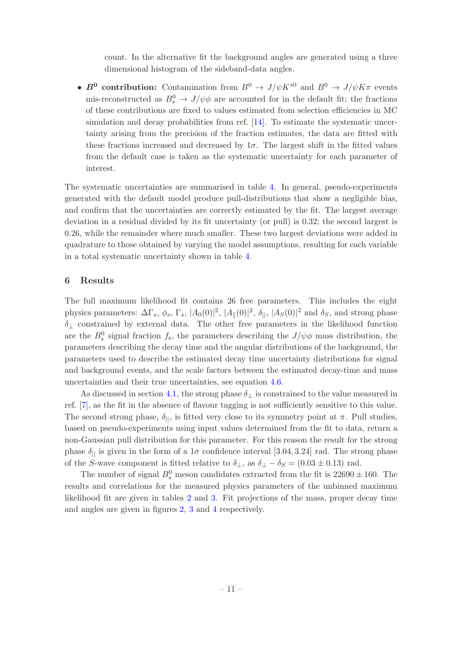count. In the alternative fit the background angles are generated using a three dimensional histogram of the sideband-data angles.

•  $B^0$  contribution: Contamination from  $B^0 \to J/\psi K^{*0}$  and  $B^0 \to J/\psi K \pi$  events mis-reconstructed as  $B_s^0 \to J/\psi \phi$  are accounted for in the default fit; the fractions of these contributions are fixed to values estimated from selection efficiencies in MC simulation and decay probabilities from ref. [\[14\]](#page-19-0). To estimate the systematic uncertainty arising from the precision of the fraction estimates, the data are fitted with these fractions increased and decreased by  $1\sigma$ . The largest shift in the fitted values from the default case is taken as the systematic uncertainty for each parameter of interest.

The systematic uncertainties are summarised in table [4.](#page-13-1) In general, pseudo-experiments generated with the default model produce pull-distributions that show a negligible bias, and confirm that the uncertainties are correctly estimated by the fit. The largest average deviation in a residual divided by its fit uncertainty (or pull) is 0.32; the second largest is 0.26, while the remainder where much smaller. These two largest deviations were added in quadrature to those obtained by varying the model assumptions, resulting for each variable in a total systematic uncertainty shown in table [4.](#page-13-1)

# <span id="page-12-0"></span>6 Results

The full maximum likelihood fit contains 26 free parameters. This includes the eight physics parameters:  $\Delta\Gamma_s$ ,  $\phi_s$ ,  $\Gamma_s$ ,  $|A_0(0)|^2$ ,  $|A_{\|}(0)|^2$ ,  $\delta_{\|}$ ,  $|A_S(0)|^2$  and  $\delta_S$ , and strong phase  $\delta_{\perp}$  constrained by external data. The other free parameters in the likelihood function are the  $B_s^0$  signal fraction  $f_s$ , the parameters describing the  $J/\psi\phi$  mass distribution, the parameters describing the decay time and the angular distributions of the background, the parameters used to describe the estimated decay time uncertainty distributions for signal and background events, and the scale factors between the estimated decay-time and mass uncertainties and their true uncertainties, see equation [4.6.](#page-10-3)

As discussed in section [4.1,](#page-6-0) the strong phase  $\delta_{\perp}$  is constrained to the value measured in ref. [\[7\]](#page-18-6), as the fit in the absence of flavour tagging is not sufficiently sensitive to this value. The second strong phase,  $\delta_{\parallel}$ , is fitted very close to its symmetry point at  $\pi$ . Pull studies, based on pseudo-experiments using input values determined from the fit to data, return a non-Gaussian pull distribution for this parameter. For this reason the result for the strong phase  $\delta_{\parallel}$  is given in the form of a  $1\sigma$  confidence interval [3.04, 3.24] rad. The strong phase of the S-wave component is fitted relative to  $\delta_{\perp}$ , as  $\delta_{\perp} - \delta_{S} = (0.03 \pm 0.13)$  rad.

The number of signal  $B_s^0$  meson candidates extracted from the fit is  $22690 \pm 160$ . The results and correlations for the measured physics parameters of the unbinned maximum likelihood fit are given in tables [2](#page-13-2) and [3.](#page-13-3) Fit projections of the mass, proper decay time and angles are given in figures [2,](#page-14-0) [3](#page-15-1) and [4](#page-16-0) respectively.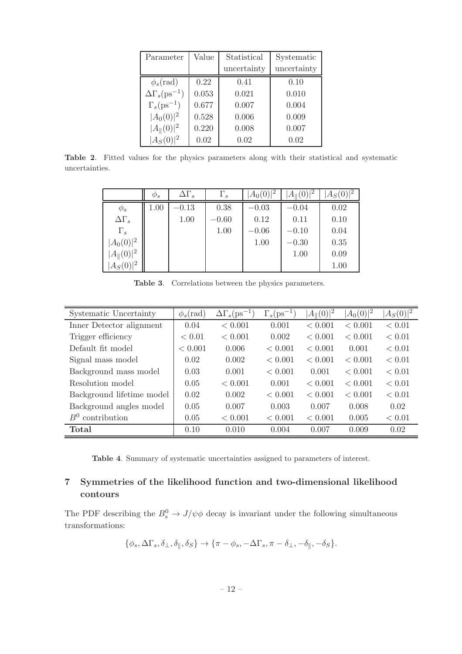| Parameter                        | Value | Statistical | Systematic  |  |
|----------------------------------|-------|-------------|-------------|--|
|                                  |       | uncertainty | uncertainty |  |
| $\phi_s(\text{rad})$             | 0.22  | 0.41        | 0.10        |  |
| $\Delta\Gamma_s(\text{ps}^{-1})$ | 0.053 | 0.021       | 0.010       |  |
| $\Gamma_s(\text{ps}^{-1})$       | 0.677 | 0.007       | 0.004       |  |
| $ A_0(0) ^2$                     | 0.528 | 0.006       | 0.009       |  |
| $ A_{\ }(0) ^2$                  | 0.220 | 0.008       | 0.007       |  |
| $ A_S(0) ^2$                     | 0.02  | 0.02        | 0.02        |  |

Table 2. Fitted values for the physics parameters along with their statistical and systematic uncertainties.

<span id="page-13-2"></span>

|                  | $\varphi_s$ | $\Delta\Gamma_s$ | $\Gamma_s$ | $ A_0(0) ^2$ | $A_{\parallel}(0) ^2$ | $ A_S(0) ^2$ |
|------------------|-------------|------------------|------------|--------------|-----------------------|--------------|
| $\phi_s$         | 1.00        | $-0.13$          | 0.38       | $-0.03$      | $-0.04$               | 0.02         |
| $\Delta\Gamma_s$ |             | 1.00             | $-0.60$    | 0.12         | 0.11                  | 0.10         |
| $\Gamma_s$       |             |                  | 1.00       | $-0.06$      | $-0.10$               | 0.04         |
| $ A_0(0) ^2$     |             |                  |            | 1.00         | $-0.30$               | 0.35         |
| $ A_{\ }(0) ^2$  |             |                  |            |              | 1.00                  | 0.09         |
| $ A_S(0) ^2$     |             |                  |            |              |                       | 1.00         |

<span id="page-13-3"></span>Table 3. Correlations between the physics parameters.

| Systematic Uncertainty    | $\phi_s(\text{rad})$ | $\Delta\Gamma_s(\text{ps}^{-1})$ | $\Gamma_s(\text{ps}^{-1})$ | $ A_{\ }(0) ^2$ | $ A_0(0) ^2$ | $ A_S(0) ^2$ |
|---------------------------|----------------------|----------------------------------|----------------------------|-----------------|--------------|--------------|
| Inner Detector alignment  | 0.04                 | < 0.001                          | 0.001                      | < 0.001         | < 0.001      | < 0.01       |
| Trigger efficiency        | < 0.01               | < 0.001                          | 0.002                      | < 0.001         | < 0.001      | < 0.01       |
| Default fit model         | < 0.001              | 0.006                            | < 0.001                    | < 0.001         | 0.001        | < 0.01       |
| Signal mass model         | 0.02                 | 0.002                            | < 0.001                    | < 0.001         | < 0.001      | < 0.01       |
| Background mass model     | 0.03                 | 0.001                            | < 0.001                    | 0.001           | < 0.001      | < 0.01       |
| Resolution model          | 0.05                 | < 0.001                          | 0.001                      | < 0.001         | < 0.001      | < 0.01       |
| Background lifetime model | 0.02                 | 0.002                            | < 0.001                    | < 0.001         | < 0.001      | < 0.01       |
| Background angles model   | 0.05                 | 0.007                            | 0.003                      | 0.007           | 0.008        | 0.02         |
| $B^0$ contribution        | 0.05                 | < 0.001                          | < 0.001                    | < 0.001         | 0.005        | < 0.01       |
| Total                     | 0.10                 | 0.010                            | 0.004                      | 0.007           | 0.009        | 0.02         |

<span id="page-13-1"></span>Table 4. Summary of systematic uncertainties assigned to parameters of interest.

# <span id="page-13-0"></span>7 Symmetries of the likelihood function and two-dimensional likelihood contours

The PDF describing the  $B_s^0 \to J/\psi \phi$  decay is invariant under the following simultaneous transformations:

$$
\{\phi_s, \Delta\Gamma_s, \delta_\perp, \delta_\parallel, \delta_S\} \rightarrow \{\pi - \phi_s, -\Delta\Gamma_s, \pi - \delta_\perp, -\delta_\parallel, -\delta_S\}.
$$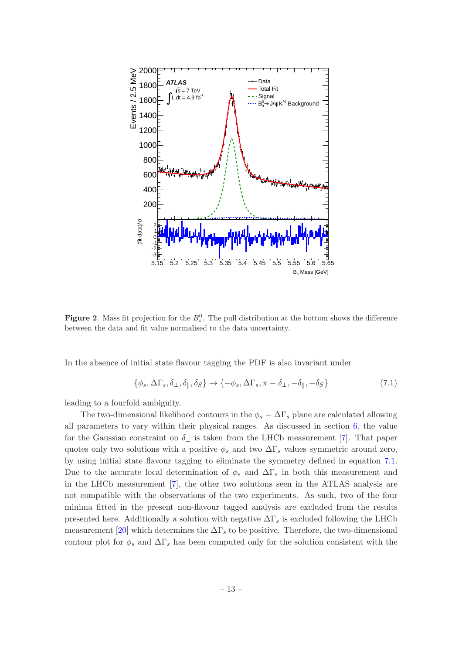

<span id="page-14-0"></span>**Figure 2.** Mass fit projection for the  $B_s^0$ . The pull distribution at the bottom shows the difference between the data and fit value normalised to the data uncertainty.

In the absence of initial state flavour tagging the PDF is also invariant under

<span id="page-14-1"></span>
$$
\{\phi_s, \Delta\Gamma_s, \delta_\perp, \delta_\parallel, \delta_S\} \to \{-\phi_s, \Delta\Gamma_s, \pi - \delta_\perp, -\delta_\parallel, -\delta_S\} \tag{7.1}
$$

leading to a fourfold ambiguity.

The two-dimensional likelihood contours in the  $\phi_s - \Delta\Gamma_s$  plane are calculated allowing all parameters to vary within their physical ranges. As discussed in section [6,](#page-12-0) the value for the Gaussian constraint on  $\delta_{\perp}$  is taken from the LHCb measurement [\[7](#page-18-6)]. That paper quotes only two solutions with a positive  $\phi_s$  and two  $\Delta\Gamma_s$  values symmetric around zero, by using initial state flavour tagging to eliminate the symmetry defined in equation [7.1.](#page-14-1) Due to the accurate local determination of  $\phi_s$  and  $\Delta\Gamma_s$  in both this measurement and in the LHCb measurement [\[7\]](#page-18-6), the other two solutions seen in the ATLAS analysis are not compatible with the observations of the two experiments. As such, two of the four minima fitted in the present non-flavour tagged analysis are excluded from the results presented here. Additionally a solution with negative  $\Delta\Gamma_s$  is excluded following the LHCb measurement [\[20\]](#page-19-6) which determines the  $\Delta\Gamma_s$  to be positive. Therefore, the two-dimensional contour plot for  $\phi_s$  and  $\Delta\Gamma_s$  has been computed only for the solution consistent with the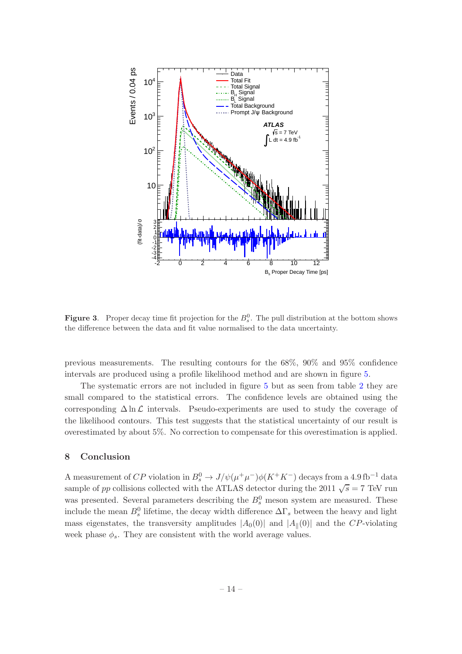

<span id="page-15-1"></span>**Figure 3.** Proper decay time fit projection for the  $B_s^0$ . The pull distribution at the bottom shows the difference between the data and fit value normalised to the data uncertainty.

previous measurements. The resulting contours for the 68%, 90% and 95% confidence intervals are produced using a profile likelihood method and are shown in figure [5.](#page-17-1)

The systematic errors are not included in figure [5](#page-17-1) but as seen from table [2](#page-13-2) they are small compared to the statistical errors. The confidence levels are obtained using the corresponding  $\Delta \ln \mathcal{L}$  intervals. Pseudo-experiments are used to study the coverage of the likelihood contours. This test suggests that the statistical uncertainty of our result is overestimated by about 5%. No correction to compensate for this overestimation is applied.

# <span id="page-15-0"></span>8 Conclusion

A measurement of  $CP$  violation in  $B_s^0 \to J/\psi(\mu^+\mu^-)\phi(K^+K^-)$  decays from a 4.9 fb<sup>-1</sup> data sample of pp collisions collected with the ATLAS detector during the 2011  $\sqrt{s} = 7$  TeV run was presented. Several parameters describing the  $B_s^0$  meson system are measured. These include the mean  $B_s^0$  lifetime, the decay width difference  $\Delta\Gamma_s$  between the heavy and light mass eigenstates, the transversity amplitudes  $|A_0(0)|$  and  $|A_{\parallel}(0)|$  and the CP-violating week phase  $\phi_s$ . They are consistent with the world average values.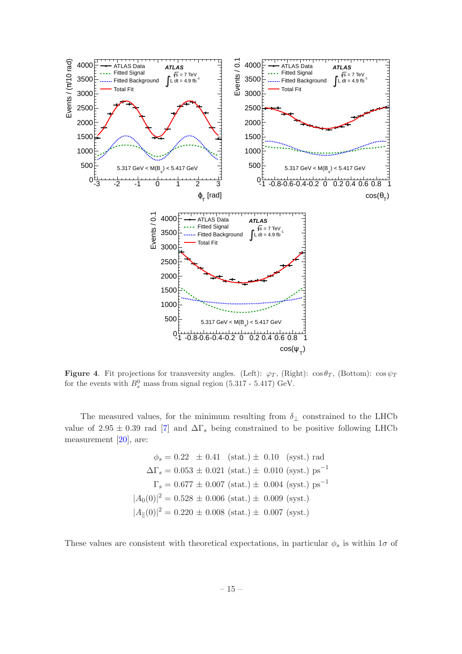

<span id="page-16-0"></span>Figure 4. Fit projections for transversity angles. (Left):  $\varphi_T$ , (Right):  $\cos \theta_T$ , (Bottom):  $\cos \psi_T$ for the events with  $B_s^0$  mass from signal region (5.317 - 5.417) GeV.

The measured values, for the minimum resulting from  $\delta_{\perp}$  constrained to the LHCb value of 2.95  $\pm$  0.39 rad [\[7](#page-18-6)] and  $\Delta\Gamma_s$  being constrained to be positive following LHCb measurement [\[20\]](#page-19-6), are:

$$
\phi_s = 0.22 \pm 0.41 \text{ (stat.)} \pm 0.10 \text{ (syst.) rad}
$$

$$
\Delta\Gamma_s = 0.053 \pm 0.021 \text{ (stat.)} \pm 0.010 \text{ (syst.) ps}^{-1}
$$

$$
\Gamma_s = 0.677 \pm 0.007 \text{ (stat.)} \pm 0.004 \text{ (syst.) ps}^{-1}
$$

$$
|A_0(0)|^2 = 0.528 \pm 0.006 \text{ (stat.)} \pm 0.009 \text{ (syst.)}
$$

$$
|A_{\parallel}(0)|^2 = 0.220 \pm 0.008 \text{ (stat.)} \pm 0.007 \text{ (syst.)}
$$

These values are consistent with theoretical expectations, in particular  $\phi_s$  is within  $1\sigma$  of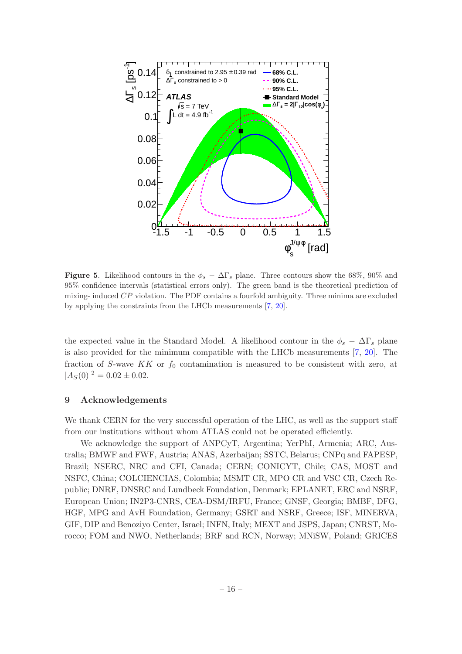

<span id="page-17-1"></span>**Figure 5.** Likelihood contours in the  $\phi_s - \Delta\Gamma_s$  plane. Three contours show the 68%, 90% and 95% confidence intervals (statistical errors only). The green band is the theoretical prediction of mixing- induced CP violation. The PDF contains a fourfold ambiguity. Three minima are excluded by applying the constraints from the LHCb measurements [\[7,](#page-18-6) [20\]](#page-19-6).

the expected value in the Standard Model. A likelihood contour in the  $\phi_s - \Delta\Gamma_s$  plane is also provided for the minimum compatible with the LHCb measurements [\[7](#page-18-6), [20](#page-19-6)]. The fraction of S-wave  $KK$  or  $f_0$  contamination is measured to be consistent with zero, at  $|A_S(0)|^2 = 0.02 \pm 0.02.$ 

# <span id="page-17-0"></span>9 Acknowledgements

We thank CERN for the very successful operation of the LHC, as well as the support staff from our institutions without whom ATLAS could not be operated efficiently.

We acknowledge the support of ANPCyT, Argentina; YerPhI, Armenia; ARC, Australia; BMWF and FWF, Austria; ANAS, Azerbaijan; SSTC, Belarus; CNPq and FAPESP, Brazil; NSERC, NRC and CFI, Canada; CERN; CONICYT, Chile; CAS, MOST and NSFC, China; COLCIENCIAS, Colombia; MSMT CR, MPO CR and VSC CR, Czech Republic; DNRF, DNSRC and Lundbeck Foundation, Denmark; EPLANET, ERC and NSRF, European Union; IN2P3-CNRS, CEA-DSM/IRFU, France; GNSF, Georgia; BMBF, DFG, HGF, MPG and AvH Foundation, Germany; GSRT and NSRF, Greece; ISF, MINERVA, GIF, DIP and Benoziyo Center, Israel; INFN, Italy; MEXT and JSPS, Japan; CNRST, Morocco; FOM and NWO, Netherlands; BRF and RCN, Norway; MNiSW, Poland; GRICES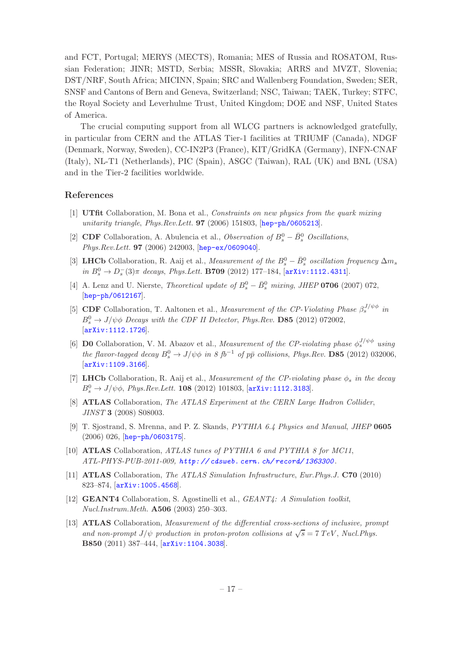and FCT, Portugal; MERYS (MECTS), Romania; MES of Russia and ROSATOM, Russian Federation; JINR; MSTD, Serbia; MSSR, Slovakia; ARRS and MVZT, Slovenia; DST/NRF, South Africa; MICINN, Spain; SRC and Wallenberg Foundation, Sweden; SER, SNSF and Cantons of Bern and Geneva, Switzerland; NSC, Taiwan; TAEK, Turkey; STFC, the Royal Society and Leverhulme Trust, United Kingdom; DOE and NSF, United States of America.

The crucial computing support from all WLCG partners is acknowledged gratefully, in particular from CERN and the ATLAS Tier-1 facilities at TRIUMF (Canada), NDGF (Denmark, Norway, Sweden), CC-IN2P3 (France), KIT/GridKA (Germany), INFN-CNAF (Italy), NL-T1 (Netherlands), PIC (Spain), ASGC (Taiwan), RAL (UK) and BNL (USA) and in the Tier-2 facilities worldwide.

# References

- <span id="page-18-0"></span>[1] UTfit Collaboration, M. Bona et al., Constraints on new physics from the quark mixing unitarity triangle, Phys.Rev.Lett. **97** (2006) 151803, [[hep-ph/0605213](http://xxx.lanl.gov/abs/hep-ph/0605213)].
- <span id="page-18-1"></span>[2] **CDF** Collaboration, A. Abulencia et al., *Observation of*  $B_s^0 - \bar{B}_s^0$  *Oscillations*, Phys.Rev.Lett. 97 (2006) 242003, [[hep-ex/0609040](http://xxx.lanl.gov/abs/hep-ex/0609040)].
- <span id="page-18-2"></span>[3] **LHC**b Collaboration, R. Aaij et al., *Measurement of the*  $B_s^0 - \bar{B}_s^0$  *oscillation frequency*  $\Delta m_s$ in  $B_s^0 \to D_s^-(3)\pi$  decays, Phys.Lett. **B709** (2012) 177-184, [[arXiv:1112.4311](http://xxx.lanl.gov/abs/1112.4311)].
- <span id="page-18-3"></span>[4] A. Lenz and U. Nierste, *Theoretical update of*  $B_s^0 - \bar{B}_s^0$  mixing, *JHEP* **0706** (2007) 072, [[hep-ph/0612167](http://xxx.lanl.gov/abs/hep-ph/0612167)].
- <span id="page-18-4"></span>[5] CDF Collaboration, T. Aaltonen et al., Measurement of the CP-Violating Phase  $\beta_s^{J/\psi\phi}$  in  $B_s^0 \rightarrow J/\psi \phi$  Decays with the CDF II Detector, Phys. Rev. **D85** (2012) 072002, [[arXiv:1112.1726](http://xxx.lanl.gov/abs/1112.1726)].
- <span id="page-18-5"></span>[6] **D0** Collaboration, V. M. Abazov et al., *Measurement of the CP-violating phase*  $\phi_s^{J/\psi \phi}$  using the flavor-tagged decay  $B_s^0 \to J/\psi \phi$  in 8 fb<sup>-1</sup> of pp<sup>{br}</sup> collisions, Phys.Rev. **D85** (2012) 032006, [[arXiv:1109.3166](http://xxx.lanl.gov/abs/1109.3166)].
- <span id="page-18-6"></span>[7] LHCb Collaboration, R. Aaij et al., Measurement of the CP-violating phase  $\phi_s$  in the decay  $B_s^0 \to J/\psi \phi$ , *Phys.Rev.Lett.* **108** (2012) 101803, [[arXiv:1112.3183](http://xxx.lanl.gov/abs/1112.3183)].
- <span id="page-18-7"></span>[8] **ATLAS** Collaboration, The ATLAS Experiment at the CERN Large Hadron Collider, JINST 3 (2008) S08003.
- <span id="page-18-8"></span>[9] T. Sjostrand, S. Mrenna, and P. Z. Skands, PYTHIA 6.4 Physics and Manual, JHEP 0605 (2006) 026, [[hep-ph/0603175](http://xxx.lanl.gov/abs/hep-ph/0603175)].
- <span id="page-18-9"></span>[10] **ATLAS** Collaboration, ATLAS tunes of PYTHIA 6 and PYTHIA 8 for MC11, ATL-PHYS-PUB-2011-009, *[http: // cdsweb. cern. ch/ record/ 1363300](http://cdsweb.cern.ch/record/1363300)* .
- <span id="page-18-10"></span>[11] ATLAS Collaboration, The ATLAS Simulation Infrastructure, Eur.Phys.J. C70 (2010) 823–874, [[arXiv:1005.4568](http://xxx.lanl.gov/abs/1005.4568)].
- <span id="page-18-11"></span>[12] GEANT4 Collaboration, S. Agostinelli et al., GEANT4: A Simulation toolkit, Nucl.Instrum.Meth. A506 (2003) 250–303.
- <span id="page-18-12"></span>[13] **ATLAS** Collaboration, *Measurement of the differential cross-sections of inclusive, prompt* and non-prompt  $J/\psi$  production in proton-proton collisions at  $\sqrt{s} = 7 \text{ TeV}$ , Nucl. Phys. B850 (2011) 387–444, [[arXiv:1104.3038](http://xxx.lanl.gov/abs/1104.3038)].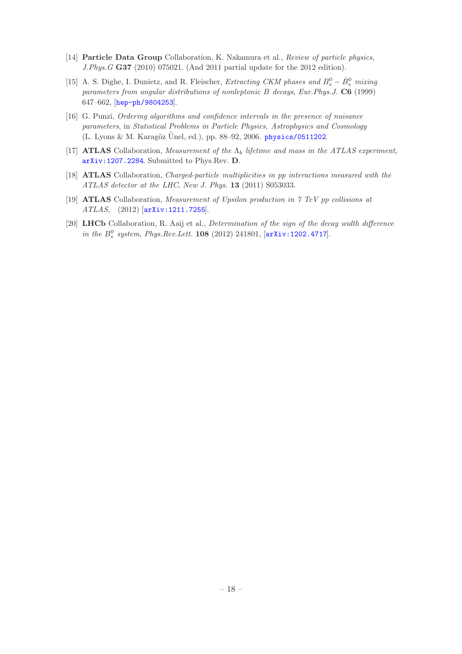- <span id="page-19-0"></span>[14] Particle Data Group Collaboration, K. Nakamura et al., Review of particle physics, J.Phys.G G37 (2010) 075021. (And 2011 partial update for the 2012 edition).
- <span id="page-19-1"></span>[15] A. S. Dighe, I. Dunietz, and R. Fleischer, Extracting CKM phases and  $B_s^0 - \bar{B}_s^0$  mixing parameters from angular distributions of nonleptonic B decays, Eur.Phys.J. C6 (1999) 647–662, [[hep-ph/9804253](http://xxx.lanl.gov/abs/hep-ph/9804253)].
- <span id="page-19-2"></span>[16] G. Punzi, Ordering algorithms and confidence intervals in the presence of nuisance parameters, in Statistical Problems in Particle Physics, Astrophysics and Cosmology (L. Lyons & M. Karagöz Ünel, ed.), pp. 88–92, 2006.  $physics/0511202$ .
- <span id="page-19-3"></span>[17] **ATLAS** Collaboration, Measurement of the  $\Lambda_b$  lifetime and mass in the ATLAS experiment, [arXiv:1207.2284](http://xxx.lanl.gov/abs/1207.2284). Submitted to Phys.Rev. D.
- <span id="page-19-4"></span>[18] ATLAS Collaboration, Charged-particle multiplicities in pp interactions measured with the ATLAS detector at the LHC, New J. Phys. 13 (2011) S053033.
- <span id="page-19-5"></span>[19] ATLAS Collaboration, Measurement of Upsilon production in 7 TeV pp collisions at ATLAS, (2012) [[arXiv:1211.7255](http://xxx.lanl.gov/abs/1211.7255)].
- <span id="page-19-6"></span>[20] LHCb Collaboration, R. Aaij et al., Determination of the sign of the decay width difference in the  $B_s^0$  system, Phys.Rev.Lett. 108 (2012) 241801,  $[$ [arXiv:1202.4717](http://xxx.lanl.gov/abs/1202.4717)].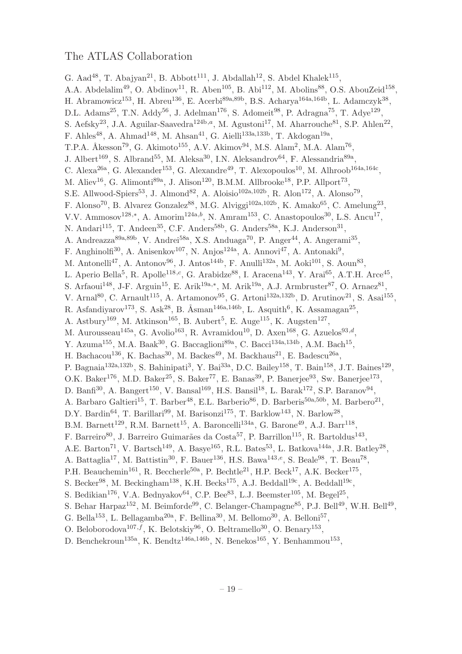# The ATLAS Collaboration

G. Aad<sup>48</sup>, T. Abajyan<sup>21</sup>, B. Abbott<sup>111</sup>, J. Abdallah<sup>12</sup>, S. Abdel Khalek<sup>115</sup>, A.A. Abdelalim<sup>49</sup>, O. Abdinov<sup>11</sup>, R. Aben<sup>105</sup>, B. Abi<sup>112</sup>, M. Abolins<sup>88</sup>, O.S. AbouZeid<sup>158</sup>, H. Abramowicz<sup>153</sup>, H. Abreu<sup>136</sup>, E. Acerbi<sup>89a,89b</sup>, B.S. Acharya<sup>164a,164b</sup>, L. Adamczyk<sup>38</sup>, D.L. Adams<sup>25</sup>, T.N. Addy<sup>56</sup>, J. Adelman<sup>176</sup>, S. Adomeit<sup>98</sup>, P. Adragna<sup>75</sup>, T. Adye<sup>129</sup>, S. Aefsky<sup>23</sup>, J.A. Aguilar-Saavedra<sup>124b,a</sup>, M. Agustoni<sup>17</sup>, M. Aharrouche<sup>81</sup>, S.P. Ahlen<sup>22</sup>, F. Ahles<sup>48</sup>, A. Ahmad<sup>148</sup>, M. Ahsan<sup>41</sup>, G. Aielli<sup>133a,133b</sup>, T. Akdogan<sup>19a</sup>, T.P.A. Åkesson<sup>79</sup>, G. Akimoto<sup>155</sup>, A.V. Akimov<sup>94</sup>, M.S. Alam<sup>2</sup>, M.A. Alam<sup>76</sup>, J. Albert<sup>169</sup>, S. Albrand<sup>55</sup>, M. Aleksa<sup>30</sup>, I.N. Aleksandrov<sup>64</sup>, F. Alessandria<sup>89a</sup>, C. Alexa<sup>26a</sup>, G. Alexander<sup>153</sup>, G. Alexandre<sup>49</sup>, T. Alexopoulos<sup>10</sup>, M. Alhroob<sup>164a,164c</sup>, M. Aliev<sup>16</sup>, G. Alimonti<sup>89a</sup>, J. Alison<sup>120</sup>, B.M.M. Allbrooke<sup>18</sup>, P.P. Allport<sup>73</sup>, S.E. Allwood-Spiers<sup>53</sup>, J. Almond<sup>82</sup>, A. Aloisio<sup>102a,102b</sup>, R. Alon<sup>172</sup>, A. Alonso<sup>79</sup>, F. Alonso<sup>70</sup>, B. Alvarez Gonzalez<sup>88</sup>, M.G. Alviggi<sup>102a,102b</sup>, K. Amako<sup>65</sup>, C. Amelung<sup>23</sup>, V.V. Ammosov<sup>128,\*</sup>, A. Amorim<sup>124a,b</sup>, N. Amram<sup>153</sup>, C. Anastopoulos<sup>30</sup>, L.S. Ancu<sup>17</sup>, N. Andari<sup>115</sup>, T. Andeen<sup>35</sup>, C.F. Anders<sup>58b</sup>, G. Anders<sup>58a</sup>, K.J. Anderson<sup>31</sup>, A. Andreazza<sup>89a,89b</sup>, V. Andrei<sup>58a</sup>, X.S. Anduaga<sup>70</sup>, P. Anger<sup>44</sup>, A. Angerami<sup>35</sup>, F. Anghinolfi<sup>30</sup>, A. Anisenkov<sup>107</sup>, N. Anjos<sup>124a</sup>, A. Annovi<sup>47</sup>, A. Antonaki<sup>9</sup>, M. Antonelli<sup>47</sup>, A. Antonov<sup>96</sup>, J. Antos<sup>144b</sup>, F. Anulli<sup>132a</sup>, M. Aoki<sup>101</sup>, S. Aoun<sup>83</sup>, L. Aperio Bella<sup>5</sup>, R. Apolle<sup>118,c</sup>, G. Arabidze<sup>88</sup>, I. Aracena<sup>143</sup>, Y. Arai<sup>65</sup>, A.T.H. Arce<sup>45</sup>, S. Arfaoui<sup>148</sup>, J-F. Arguin<sup>15</sup>, E. Arik<sup>19a,\*</sup>, M. Arik<sup>19a</sup>, A.J. Armbruster<sup>87</sup>, O. Arnaez<sup>81</sup>, V. Arnal<sup>80</sup>, C. Arnault<sup>115</sup>, A. Artamonov<sup>95</sup>, G. Artoni<sup>132a,132b</sup>, D. Arutinov<sup>21</sup>, S. Asai<sup>155</sup>, R. Asfandiyarov<sup>173</sup>, S. Ask<sup>28</sup>, B. Åsman<sup>146a,146b</sup>, L. Asquith<sup>6</sup>, K. Assamagan<sup>25</sup>, A. Astbury<sup>169</sup>, M. Atkinson<sup>165</sup>, B. Aubert<sup>5</sup>, E. Auge<sup>115</sup>, K. Augsten<sup>127</sup>, M. Aurousseau<sup>145a</sup>, G. Avolio<sup>163</sup>, R. Avramidou<sup>10</sup>, D. Axen<sup>168</sup>, G. Azuelos<sup>93,d</sup>, Y. Azuma<sup>155</sup>, M.A. Baak<sup>30</sup>, G. Baccaglioni<sup>89a</sup>, C. Bacci<sup>134a,134b</sup>, A.M. Bach<sup>15</sup>, H. Bachacou<sup>136</sup>, K. Bachas<sup>30</sup>, M. Backes<sup>49</sup>, M. Backhaus<sup>21</sup>, E. Badescu<sup>26a</sup>, P. Bagnaia<sup>132a,132b</sup>, S. Bahinipati<sup>3</sup>, Y. Bai<sup>33a</sup>, D.C. Bailey<sup>158</sup>, T. Bain<sup>158</sup>, J.T. Baines<sup>129</sup>, O.K. Baker<sup>176</sup>, M.D. Baker<sup>25</sup>, S. Baker<sup>77</sup>, E. Banas<sup>39</sup>, P. Banerjee<sup>93</sup>, Sw. Banerjee<sup>173</sup>, D. Banfi<sup>30</sup>, A. Bangert<sup>150</sup>, V. Bansal<sup>169</sup>, H.S. Bansil<sup>18</sup>, L. Barak<sup>172</sup>, S.P. Baranov<sup>94</sup>, A. Barbaro Galtieri<sup>15</sup>, T. Barber<sup>48</sup>, E.L. Barberio<sup>86</sup>, D. Barberis<sup>50a,50b</sup>, M. Barbero<sup>21</sup>, D.Y. Bardin<sup>64</sup>, T. Barillari<sup>99</sup>, M. Barisonzi<sup>175</sup>, T. Barklow<sup>143</sup>, N. Barlow<sup>28</sup>, B.M. Barnett<sup>129</sup>, R.M. Barnett<sup>15</sup>, A. Baroncelli<sup>134a</sup>, G. Barone<sup>49</sup>, A.J. Barr<sup>118</sup>, F. Barreiro<sup>80</sup>, J. Barreiro Guimarães da Costa<sup>57</sup>, P. Barrillon<sup>115</sup>, R. Bartoldus<sup>143</sup>, A.E. Barton<sup>71</sup>, V. Bartsch<sup>149</sup>, A. Basye<sup>165</sup>, R.L. Bates<sup>53</sup>, L. Batkova<sup>144a</sup>, J.R. Batley<sup>28</sup>, A. Battaglia<sup>17</sup>, M. Battistin<sup>30</sup>, F. Bauer<sup>136</sup>, H.S. Bawa<sup>143,e</sup>, S. Beale<sup>98</sup>, T. Beau<sup>78</sup>, P.H. Beauchemin<sup>161</sup>, R. Beccherle<sup>50a</sup>, P. Bechtle<sup>21</sup>, H.P. Beck<sup>17</sup>, A.K. Becker<sup>175</sup>, S. Becker<sup>98</sup>, M. Beckingham<sup>138</sup>, K.H. Becks<sup>175</sup>, A.J. Beddall<sup>19c</sup>, A. Beddall<sup>19c</sup>, S. Bedikian<sup>176</sup>, V.A. Bednyakov<sup>64</sup>, C.P. Bee<sup>83</sup>, L.J. Beemster<sup>105</sup>, M. Begel<sup>25</sup>, S. Behar Harpaz<sup>152</sup>, M. Beimforde<sup>99</sup>, C. Belanger-Champagne<sup>85</sup>, P.J. Bell<sup>49</sup>, W.H. Bell<sup>49</sup>, G. Bella<sup>153</sup>, L. Bellagamba<sup>20a</sup>, F. Bellina<sup>30</sup>, M. Bellomo<sup>30</sup>, A. Belloni<sup>57</sup>, O. Beloborodova<sup>107,f</sup>, K. Belotskiy<sup>96</sup>, O. Beltramello<sup>30</sup>, O. Benary<sup>153</sup>, D. Benchekroun<sup>135a</sup>, K. Bendtz<sup>146a,146b</sup>, N. Benekos<sup>165</sup>, Y. Benhammou<sup>153</sup>,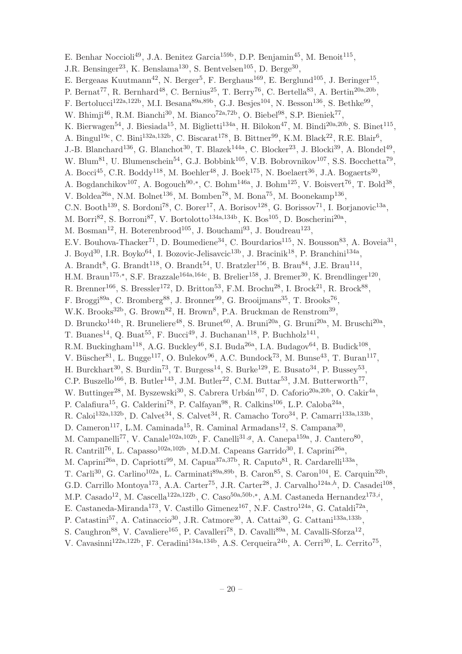E. Benhar Noccioli<sup>49</sup>, J.A. Benitez Garcia<sup>159b</sup>, D.P. Benjamin<sup>45</sup>, M. Benoit<sup>115</sup>, J.R. Bensinger<sup>23</sup>, K. Benslama<sup>130</sup>, S. Bentvelsen<sup>105</sup>, D. Berge<sup>30</sup>, E. Bergeaas Kuutmann<sup>42</sup>, N. Berger<sup>5</sup>, F. Berghaus<sup>169</sup>, E. Berglund<sup>105</sup>, J. Beringer<sup>15</sup>, P. Bernat<sup>77</sup>, R. Bernhard<sup>48</sup>, C. Bernius<sup>25</sup>, T. Berry<sup>76</sup>, C. Bertella<sup>83</sup>, A. Bertin<sup>20a,20b</sup>, F. Bertolucci<sup>122a,122b</sup>, M.I. Besana<sup>89a,89b</sup>, G.J. Besjes<sup>104</sup>, N. Besson<sup>136</sup>, S. Bethke<sup>99</sup>, W. Bhimji<sup>46</sup>, R.M. Bianchi<sup>30</sup>, M. Bianco<sup>72a,72b</sup>, O. Biebel<sup>98</sup>, S.P. Bieniek<sup>77</sup>, K. Bierwagen<sup>54</sup>, J. Biesiada<sup>15</sup>, M. Biglietti<sup>134a</sup>, H. Bilokon<sup>47</sup>, M. Bindi<sup>20a,20b</sup>, S. Binet<sup>115</sup>, A. Bingul<sup>19c</sup>, C. Bini<sup>132a,132b</sup>, C. Biscarat<sup>178</sup>, B. Bittner<sup>99</sup>, K.M. Black<sup>22</sup>, R.E. Blair<sup>6</sup>, J.-B. Blanchard<sup>136</sup>, G. Blanchot<sup>30</sup>, T. Blazek<sup>144a</sup>, C. Blocker<sup>23</sup>, J. Blocki<sup>39</sup>, A. Blondel<sup>49</sup>, W. Blum<sup>81</sup>, U. Blumenschein<sup>54</sup>, G.J. Bobbink<sup>105</sup>, V.B. Bobrovnikov<sup>107</sup>, S.S. Bocchetta<sup>79</sup>, A. Bocci<sup>45</sup>, C.R. Boddy<sup>118</sup>, M. Boehler<sup>48</sup>, J. Boek<sup>175</sup>, N. Boelaert<sup>36</sup>, J.A. Bogaerts<sup>30</sup>, A. Bogdanchikov<sup>107</sup>, A. Bogouch<sup>90,\*</sup>, C. Bohm<sup>146a</sup>, J. Bohm<sup>125</sup>, V. Boisvert<sup>76</sup>, T. Bold<sup>38</sup>, V. Boldea<sup>26a</sup>, N.M. Bolnet<sup>136</sup>, M. Bomben<sup>78</sup>, M. Bona<sup>75</sup>, M. Boonekamp<sup>136</sup>, C.N. Booth<sup>139</sup>, S. Bordoni<sup>78</sup>, C. Borer<sup>17</sup>, A. Borisov<sup>128</sup>, G. Borissov<sup>71</sup>, I. Borjanovic<sup>13a</sup>, M. Borri<sup>82</sup>, S. Borroni<sup>87</sup>, V. Bortolotto<sup>134a,134b</sup>, K. Bos<sup>105</sup>, D. Boscherini<sup>20a</sup>, M. Bosman<sup>12</sup>, H. Boterenbrood<sup>105</sup>, J. Bouchami<sup>93</sup>, J. Boudreau<sup>123</sup>, E.V. Bouhova-Thacker<sup>71</sup>, D. Boumediene<sup>34</sup>, C. Bourdarios<sup>115</sup>, N. Bousson<sup>83</sup>, A. Boveia<sup>31</sup>, J. Boyd<sup>30</sup>, I.R. Boyko<sup>64</sup>, I. Bozovic-Jelisavcic<sup>13b</sup>, J. Bracinik<sup>18</sup>, P. Branchini<sup>134a</sup>, A. Brandt<sup>8</sup>, G. Brandt<sup>118</sup>, O. Brandt<sup>54</sup>, U. Bratzler<sup>156</sup>, B. Brau<sup>84</sup>, J.E. Brau<sup>114</sup>, H.M. Braun<sup>175,\*</sup>, S.F. Brazzale<sup>164a,164c</sup>, B. Brelier<sup>158</sup>, J. Bremer<sup>30</sup>, K. Brendlinger<sup>120</sup>, R. Brenner<sup>166</sup>, S. Bressler<sup>172</sup>, D. Britton<sup>53</sup>, F.M. Brochu<sup>28</sup>, I. Brock<sup>21</sup>, R. Brock<sup>88</sup>, F. Broggi<sup>89a</sup>, C. Bromberg<sup>88</sup>, J. Bronner<sup>99</sup>, G. Brooijmans<sup>35</sup>, T. Brooks<sup>76</sup>, W.K. Brooks<sup>32b</sup>, G. Brown<sup>82</sup>, H. Brown<sup>8</sup>, P.A. Bruckman de Renstrom<sup>39</sup>, D. Bruncko<sup>144b</sup>, R. Bruneliere<sup>48</sup>, S. Brunet<sup>60</sup>, A. Bruni<sup>20a</sup>, G. Bruni<sup>20a</sup>, M. Bruschi<sup>20a</sup>, T. Buanes<sup>14</sup>, Q. Buat<sup>55</sup>, F. Bucci<sup>49</sup>, J. Buchanan<sup>118</sup>, P. Buchholz<sup>141</sup>, R.M. Buckingham<sup>118</sup>, A.G. Buckley<sup>46</sup>, S.I. Buda<sup>26a</sup>, I.A. Budagov<sup>64</sup>, B. Budick<sup>108</sup>, V. Büscher<sup>81</sup>, L. Bugge<sup>117</sup>, O. Bulekov<sup>96</sup>, A.C. Bundock<sup>73</sup>, M. Bunse<sup>43</sup>, T. Buran<sup>117</sup>, H. Burckhart<sup>30</sup>, S. Burdin<sup>73</sup>, T. Burgess<sup>14</sup>, S. Burke<sup>129</sup>, E. Busato<sup>34</sup>, P. Bussey<sup>53</sup>, C.P. Buszello<sup>166</sup>, B. Butler<sup>143</sup>, J.M. Butler<sup>22</sup>, C.M. Buttar<sup>53</sup>, J.M. Butterworth<sup>77</sup>, W. Buttinger<sup>28</sup>, M. Byszewski<sup>30</sup>, S. Cabrera Urbán<sup>167</sup>, D. Caforio<sup>20a,20b</sup>, O. Cakir<sup>4a</sup>, P. Calafiura<sup>15</sup>, G. Calderini<sup>78</sup>, P. Calfayan<sup>98</sup>, R. Calkins<sup>106</sup>, L.P. Caloba<sup>24a</sup>, R. Caloi<sup>132a,132b</sup>, D. Calvet<sup>34</sup>, S. Calvet<sup>34</sup>, R. Camacho Toro<sup>34</sup>, P. Camarri<sup>133a,133b</sup>, D. Cameron<sup>117</sup>, L.M. Caminada<sup>15</sup>, R. Caminal Armadans<sup>12</sup>, S. Campana<sup>30</sup>, M. Campanelli<sup>77</sup>, V. Canale<sup>102a,102b</sup>, F. Canelli<sup>31,g</sup>, A. Canepa<sup>159a</sup>, J. Cantero<sup>80</sup>, R. Cantrill<sup>76</sup>, L. Capasso<sup>102a,102b</sup>, M.D.M. Capeans Garrido<sup>30</sup>, I. Caprini<sup>26a</sup>, M. Caprini<sup>26a</sup>, D. Capriotti<sup>99</sup>, M. Capua<sup>37a,37b</sup>, R. Caputo<sup>81</sup>, R. Cardarelli<sup>133a</sup>, T. Carli<sup>30</sup>, G. Carlino<sup>102a</sup>, L. Carminati<sup>89a,89b</sup>, B. Caron<sup>85</sup>, S. Caron<sup>104</sup>, E. Carquin<sup>32b</sup>, G.D. Carrillo Montoya<sup>173</sup>, A.A. Carter<sup>75</sup>, J.R. Carter<sup>28</sup>, J. Carvalho<sup>124a,h</sup>, D. Casadei<sup>108</sup>, M.P. Casado<sup>12</sup>, M. Cascella<sup>122a,122b</sup>, C. Caso<sup>50a,50b,\*</sup>, A.M. Castaneda Hernandez<sup>173,*i*</sup>, E. Castaneda-Miranda<sup>173</sup>, V. Castillo Gimenez<sup>167</sup>, N.F. Castro<sup>124a</sup>, G. Cataldi<sup>72a</sup>, P. Catastini<sup>57</sup>, A. Catinaccio<sup>30</sup>, J.R. Catmore<sup>30</sup>, A. Cattai<sup>30</sup>, G. Cattani<sup>133a,133b</sup>, S. Caughron<sup>88</sup>, V. Cavaliere<sup>165</sup>, P. Cavalleri<sup>78</sup>, D. Cavalli<sup>89a</sup>, M. Cavalli-Sforza<sup>12</sup>, V. Cavasinni<sup>122a,122b</sup>, F. Ceradini<sup>134a,134b</sup>, A.S. Cerqueira<sup>24b</sup>, A. Cerri<sup>30</sup>, L. Cerrito<sup>75</sup>,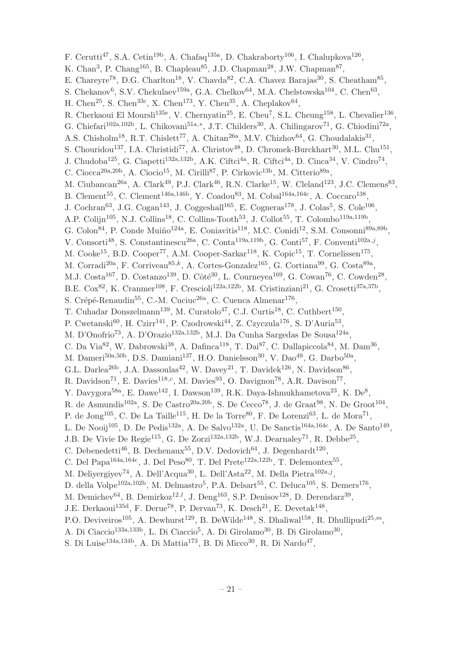F. Cerutti<sup>47</sup>, S.A. Cetin<sup>19b</sup>, A. Chafaq<sup>135a</sup>, D. Chakraborty<sup>106</sup>, I. Chalupkova<sup>126</sup>, K. Chan<sup>3</sup>, P. Chang<sup>165</sup>, B. Chapleau<sup>85</sup>, J.D. Chapman<sup>28</sup>, J.W. Chapman<sup>87</sup>, E. Chareyre<sup>78</sup>, D.G. Charlton<sup>18</sup>, V. Chavda<sup>82</sup>, C.A. Chavez Barajas<sup>30</sup>, S. Cheatham<sup>85</sup>, S. Chekanov<sup>6</sup>, S.V. Chekulaev<sup>159a</sup>, G.A. Chelkov<sup>64</sup>, M.A. Chelstowska<sup>104</sup>, C. Chen<sup>63</sup>, H. Chen<sup>25</sup>, S. Chen<sup>33c</sup>, X. Chen<sup>173</sup>, Y. Chen<sup>35</sup>, A. Cheplakov<sup>64</sup>, R. Cherkaoui El Moursli<sup>135e</sup>, V. Chernyatin<sup>25</sup>, E. Cheu<sup>7</sup>, S.L. Cheung<sup>158</sup>, L. Chevalier<sup>136</sup>, G. Chiefari<sup>102a,102b</sup>, L. Chikovani<sup>51a,\*</sup>, J.T. Childers<sup>30</sup>, A. Chilingarov<sup>71</sup>, G. Chiodini<sup>72a</sup>, A.S. Chisholm<sup>18</sup>, R.T. Chislett<sup>77</sup>, A. Chitan<sup>26a</sup>, M.V. Chizhov<sup>64</sup>, G. Choudalakis<sup>31</sup>, S. Chouridou<sup>137</sup>, I.A. Christidi<sup>77</sup>, A. Christov<sup>48</sup>, D. Chromek-Burckhart<sup>30</sup>, M.L. Chu<sup>151</sup>, J. Chudoba<sup>125</sup>, G. Ciapetti<sup>132a,132b</sup>, A.K. Ciftci<sup>4a</sup>, R. Ciftci<sup>4a</sup>, D. Cinca<sup>34</sup>, V. Cindro<sup>74</sup>, C. Ciocca<sup>20a, 20b</sup>, A. Ciocio<sup>15</sup>, M. Cirilli<sup>87</sup>, P. Cirkovic<sup>13b</sup>, M. Citterio<sup>89a</sup>, M. Ciubancan<sup>26a</sup>, A. Clark<sup>49</sup>, P.J. Clark<sup>46</sup>, R.N. Clarke<sup>15</sup>, W. Cleland<sup>123</sup>, J.C. Clemens<sup>83</sup>, B. Clement<sup>55</sup>, C. Clement<sup>146a,146b</sup>, Y. Coadou<sup>83</sup>, M. Cobal<sup>164a,164c</sup>, A. Coccaro<sup>138</sup>, J. Cochran<sup>63</sup>, J.G. Cogan<sup>143</sup>, J. Coggeshall<sup>165</sup>, E. Cogneras<sup>178</sup>, J. Colas<sup>5</sup>, S. Cole<sup>106</sup>, A.P. Colijn<sup>105</sup>, N.J. Collins<sup>18</sup>, C. Collins-Tooth<sup>53</sup>, J. Collot<sup>55</sup>, T. Colombo<sup>119a,119b</sup>, G. Colon<sup>84</sup>, P. Conde Muiño<sup>124a</sup>, E. Coniavitis<sup>118</sup>, M.C. Conidi<sup>12</sup>, S.M. Consonni<sup>89a,89b</sup>, V. Consorti<sup>48</sup>, S. Constantinescu<sup>26a</sup>, C. Conta<sup>119a, 119b</sup>, G. Conti<sup>57</sup>, F. Conventi<sup>102a, j</sup>, M. Cooke<sup>15</sup>, B.D. Cooper<sup>77</sup>, A.M. Cooper-Sarkar<sup>118</sup>, K. Copic<sup>15</sup>, T. Cornelissen<sup>175</sup>, M. Corradi<sup>20a</sup>, F. Corriveau<sup>85,k</sup>, A. Cortes-Gonzalez<sup>165</sup>, G. Cortiana<sup>99</sup>, G. Costa<sup>89a</sup>, M.J. Costa<sup>167</sup>, D. Costanzo<sup>139</sup>, D. Côté<sup>30</sup>, L. Courneyea<sup>169</sup>, G. Cowan<sup>76</sup>, C. Cowden<sup>28</sup>, B.E. Cox<sup>82</sup>, K. Cranmer<sup>108</sup>, F. Crescioli<sup>122a,122b</sup>, M. Cristinziani<sup>21</sup>, G. Crosetti<sup>37a,37b</sup>, S. Crépé-Renaudin<sup>55</sup>, C.-M. Cuciuc<sup>26a</sup>, C. Cuenca Almenar<sup>176</sup>, T. Cuhadar Donszelmann<sup>139</sup>, M. Curatolo<sup>47</sup>, C.J. Curtis<sup>18</sup>, C. Cuthbert<sup>150</sup>, P. Cwetanski $^{60}$ , H. Czirr<sup>141</sup>, P. Czodrowski<sup>44</sup>, Z. Czyczula<sup>176</sup>, S. D'Auria<sup>53</sup>, M. D'Onofrio<sup>73</sup>, A. D'Orazio<sup>132a,132b</sup>, M.J. Da Cunha Sargedas De Sousa<sup>124a</sup>, C. Da Via<sup>82</sup>, W. Dabrowski<sup>38</sup>, A. Dafinca<sup>118</sup>, T. Dai<sup>87</sup>, C. Dallapiccola<sup>84</sup>, M. Dam<sup>36</sup>, M. Dameri<sup>50a,50b</sup>, D.S. Damiani<sup>137</sup>, H.O. Danielsson<sup>30</sup>, V. Dao<sup>49</sup>, G. Darbo<sup>50a</sup>, G.L. Darlea<sup>26b</sup>, J.A. Dassoulas<sup>42</sup>, W. Davey<sup>21</sup>, T. Davidek<sup>126</sup>, N. Davidson<sup>86</sup>, R. Davidson<sup>71</sup>, E. Davies<sup>118,c</sup>, M. Davies<sup>93</sup>, O. Davignon<sup>78</sup>, A.R. Davison<sup>77</sup>, Y. Davygora<sup>58a</sup>, E. Dawe<sup>142</sup>, I. Dawson<sup>139</sup>, R.K. Daya-Ishmukhametova<sup>23</sup>, K. De<sup>8</sup>, R. de Asmundis<sup>102a</sup>, S. De Castro<sup>20a, 20b</sup>, S. De Cecco<sup>78</sup>, J. de Graat<sup>98</sup>, N. De Groot<sup>104</sup>, P. de Jong<sup>105</sup>, C. De La Taille<sup>115</sup>, H. De la Torre<sup>80</sup>, F. De Lorenzi<sup>63</sup>, L. de Mora<sup>71</sup>, L. De Nooij<sup>105</sup>, D. De Pedis<sup>132a</sup>, A. De Salvo<sup>132a</sup>, U. De Sanctis<sup>164a,164c</sup>, A. De Santo<sup>149</sup>, J.B. De Vivie De Regie<sup>115</sup>, G. De Zorzi<sup>132a,132b</sup>, W.J. Dearnaley<sup>71</sup>, R. Debbe<sup>25</sup>, C. Debenedetti<sup>46</sup>, B. Dechenaux<sup>55</sup>, D.V. Dedovich<sup>64</sup>, J. Degenhardt<sup>120</sup>, C. Del Papa<sup>164a,164c</sup>, J. Del Peso<sup>80</sup>, T. Del Prete<sup>122a,122b</sup>, T. Delemontex<sup>55</sup>, M. Deliyergiyev<sup>74</sup>, A. Dell'Acqua<sup>30</sup>, L. Dell'Asta<sup>22</sup>, M. Della Pietra<sup>102a, j</sup>, D. della Volpe<sup>102a,102b</sup>, M. Delmastro<sup>5</sup>, P.A. Delsart<sup>55</sup>, C. Deluca<sup>105</sup>, S. Demers<sup>176</sup>, M. Demichev $^{64}$ , B. Demirkoz $^{12,l}$ , J. Deng $^{163}$ , S.P. Denisov $^{128}$ , D. Derendarz $^{39}$ , J.E. Derkaoui<sup>135d</sup>, F. Derue<sup>78</sup>, P. Dervan<sup>73</sup>, K. Desch<sup>21</sup>, E. Devetak<sup>148</sup>, P.O. Deviveiros<sup>105</sup>, A. Dewhurst<sup>129</sup>, B. DeWilde<sup>148</sup>, S. Dhaliwal<sup>158</sup>, R. Dhullipudi<sup>25,*m*</sup>, A. Di Ciaccio<sup>133a,133b</sup>, L. Di Ciaccio<sup>5</sup>, A. Di Girolamo<sup>30</sup>, B. Di Girolamo<sup>30</sup>, S. Di Luise<sup>134a,134b</sup>, A. Di Mattia<sup>173</sup>, B. Di Micco<sup>30</sup>, R. Di Nardo<sup>47</sup>,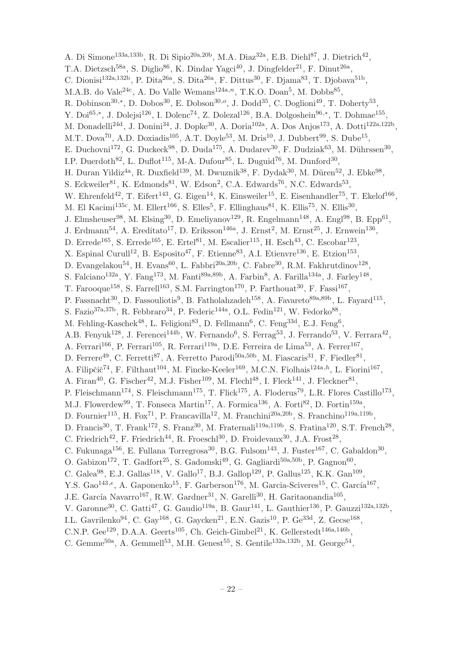A. Di Simone<sup>133a,133b</sup>, R. Di Sipio<sup>20a,20b</sup>, M.A. Diaz<sup>32a</sup>, E.B. Diehl<sup>87</sup>, J. Dietrich<sup>42</sup>, T.A. Dietzsch<sup>58a</sup>, S. Diglio<sup>86</sup>, K. Dindar Yagci<sup>40</sup>, J. Dingfelder<sup>21</sup>, F. Dinut<sup>26a</sup>, C. Dionisi<sup>132a,132b</sup>, P. Dita<sup>26a</sup>, S. Dita<sup>26a</sup>, F. Dittus<sup>30</sup>, F. Djama<sup>83</sup>, T. Djobava<sup>51b</sup>, M.A.B. do Vale<sup>24c</sup>, A. Do Valle Wemans<sup>124a,n</sup>, T.K.O. Doan<sup>5</sup>, M. Dobbs<sup>85</sup>, R. Dobinson<sup>30,\*</sup>, D. Dobos<sup>30</sup>, E. Dobson<sup>30,o</sup>, J. Dodd<sup>35</sup>, C. Doglioni<sup>49</sup>, T. Doherty<sup>53</sup>, Y. Doi<sup>65,\*</sup>, J. Dolejsi<sup>126</sup>, I. Dolenc<sup>74</sup>, Z. Dolezal<sup>126</sup>, B.A. Dolgoshein<sup>96,\*</sup>, T. Dohmae<sup>155</sup>, M. Donadelli<sup>24d</sup>, J. Donini<sup>34</sup>, J. Dopke<sup>30</sup>, A. Doria<sup>102a</sup>, A. Dos Anjos<sup>173</sup>, A. Dotti<sup>122a,122b</sup>, M.T. Dova<sup>70</sup>, A.D. Doxiadis<sup>105</sup>, A.T. Doyle<sup>53</sup>, M. Dris<sup>10</sup>, J. Dubbert<sup>99</sup>, S. Dube<sup>15</sup>, E. Duchovni<sup>172</sup>, G. Duckeck<sup>98</sup>, D. Duda<sup>175</sup>, A. Dudarev<sup>30</sup>, F. Dudziak<sup>63</sup>, M. Dührssen<sup>30</sup>, I.P. Duerdoth<sup>82</sup>, L. Duflot<sup>115</sup>, M-A. Dufour<sup>85</sup>, L. Duguid<sup>76</sup>, M. Dunford<sup>30</sup>, H. Duran Yildiz<sup>4a</sup>, R. Duxfield<sup>139</sup>, M. Dwuznik<sup>38</sup>, F. Dydak<sup>30</sup>, M. Düren<sup>52</sup>, J. Ebke<sup>98</sup>, S. Eckweiler<sup>81</sup>, K. Edmonds<sup>81</sup>, W. Edson<sup>2</sup>, C.A. Edwards<sup>76</sup>, N.C. Edwards<sup>53</sup>, W. Ehrenfeld<sup>42</sup>, T. Eifert<sup>143</sup>, G. Eigen<sup>14</sup>, K. Einsweiler<sup>15</sup>, E. Eisenhandler<sup>75</sup>, T. Ekelof<sup>166</sup>, M. El Kacimi<sup>135c</sup>, M. Ellert<sup>166</sup>, S. Elles<sup>5</sup>, F. Ellinghaus<sup>81</sup>, K. Ellis<sup>75</sup>, N. Ellis<sup>30</sup>, J. Elmsheuser<sup>98</sup>, M. Elsing<sup>30</sup>, D. Emeliyanov<sup>129</sup>, R. Engelmann<sup>148</sup>, A. Engl<sup>98</sup>, B. Epp<sup>61</sup>, J. Erdmann<sup>54</sup>, A. Ereditato<sup>17</sup>, D. Eriksson<sup>146a</sup>, J. Ernst<sup>2</sup>, M. Ernst<sup>25</sup>, J. Ernwein<sup>136</sup>, D. Errede<sup>165</sup>, S. Errede<sup>165</sup>, E. Ertel<sup>81</sup>, M. Escalier<sup>115</sup>, H. Esch<sup>43</sup>, C. Escobar<sup>123</sup>, X. Espinal Curull<sup>12</sup>, B. Esposito<sup>47</sup>, F. Etienne<sup>83</sup>, A.I. Etienvre<sup>136</sup>, E. Etzion<sup>153</sup>, D. Evangelakou<sup>54</sup>, H. Evans<sup>60</sup>, L. Fabbri<sup>20a, 20b</sup>, C. Fabre<sup>30</sup>, R.M. Fakhrutdinov<sup>128</sup>, S. Falciano<sup>132a</sup>, Y. Fang<sup>173</sup>, M. Fanti<sup>89a,89b</sup>, A. Farbin<sup>8</sup>, A. Farilla<sup>134a</sup>, J. Farley<sup>148</sup>, T. Farooque<sup>158</sup>, S. Farrell<sup>163</sup>, S.M. Farrington<sup>170</sup>, P. Farthouat<sup>30</sup>, F. Fassi<sup>167</sup>, P. Fassnacht<sup>30</sup>, D. Fassouliotis<sup>9</sup>, B. Fatholahzadeh<sup>158</sup>, A. Favareto<sup>89a,89b</sup>, L. Fayard<sup>115</sup>, S. Fazio<sup>37a,37b</sup>, R. Febbraro<sup>34</sup>, P. Federic<sup>144a</sup>, O.L. Fedin<sup>121</sup>, W. Fedorko<sup>88</sup>, M. Fehling-Kaschek<sup>48</sup>, L. Feligioni<sup>83</sup>, D. Fellmann<sup>6</sup>, C. Feng<sup>33d</sup>, E.J. Feng<sup>6</sup>, A.B. Fenyuk<sup>128</sup>, J. Ferencei<sup>144b</sup>, W. Fernando<sup>6</sup>, S. Ferrag<sup>53</sup>, J. Ferrando<sup>53</sup>, V. Ferrara<sup>42</sup>, A. Ferrari<sup>166</sup>, P. Ferrari<sup>105</sup>, R. Ferrari<sup>119a</sup>, D.E. Ferreira de Lima<sup>53</sup>, A. Ferrer<sup>167</sup>, D. Ferrere<sup>49</sup>, C. Ferretti<sup>87</sup>, A. Ferretto Parodi<sup>50a,50b</sup>, M. Fiascaris<sup>31</sup>, F. Fiedler<sup>81</sup>, A. Filipčič<sup>74</sup>, F. Filthaut<sup>104</sup>, M. Fincke-Keeler<sup>169</sup>, M.C.N. Fiolhais<sup>124a,h</sup>, L. Fiorini<sup>167</sup>, A. Firan<sup>40</sup>, G. Fischer<sup>42</sup>, M.J. Fisher<sup>109</sup>, M. Flechl<sup>48</sup>, I. Fleck<sup>141</sup>, J. Fleckner<sup>81</sup>, P. Fleischmann<sup>174</sup>, S. Fleischmann<sup>175</sup>, T. Flick<sup>175</sup>, A. Floderus<sup>79</sup>, L.R. Flores Castillo<sup>173</sup>, M.J. Flowerdew<sup>99</sup>, T. Fonseca Martin<sup>17</sup>, A. Formica<sup>136</sup>, A. Forti<sup>82</sup>, D. Fortin<sup>159a</sup>, D. Fournier<sup>115</sup>, H. Fox<sup>71</sup>, P. Francavilla<sup>12</sup>, M. Franchini<sup>20a,20b</sup>, S. Franchino<sup>119a,119b</sup>, D. Francis<sup>30</sup>, T. Frank<sup>172</sup>, S. Franz<sup>30</sup>, M. Fraternali<sup>119a,119b</sup>, S. Fratina<sup>120</sup>, S.T. French<sup>28</sup>, C. Friedrich<sup>42</sup>, F. Friedrich<sup>44</sup>, R. Froeschl<sup>30</sup>, D. Froidevaux<sup>30</sup>, J.A. Frost<sup>28</sup>, C. Fukunaga<sup>156</sup>, E. Fullana Torregrosa<sup>30</sup>, B.G. Fulsom<sup>143</sup>, J. Fuster<sup>167</sup>, C. Gabaldon<sup>30</sup>, O. Gabizon<sup>172</sup>, T. Gadfort<sup>25</sup>, S. Gadomski<sup>49</sup>, G. Gagliardi<sup>50a,50b</sup>, P. Gagnon<sup>60</sup>, C. Galea<sup>98</sup>, E.J. Gallas<sup>118</sup>, V. Gallo<sup>17</sup>, B.J. Gallop<sup>129</sup>, P. Gallus<sup>125</sup>, K.K. Gan<sup>109</sup>, Y.S. Gao<sup>143,e</sup>, A. Gaponenko<sup>15</sup>, F. Garberson<sup>176</sup>, M. García-Sciveres<sup>15</sup>, C. García<sup>167</sup>, J.E. García Navarro<sup>167</sup>, R.W. Gardner<sup>31</sup>, N. Garelli<sup>30</sup>, H. Garitaonandia<sup>105</sup>, V. Garonne<sup>30</sup>, C. Gatti<sup>47</sup>, G. Gaudio<sup>119a</sup>, B. Gaur<sup>141</sup>, L. Gauthier<sup>136</sup>, P. Gauzzi<sup>132a,132b</sup>, I.L. Gavrilenko<sup>94</sup>, C. Gay<sup>168</sup>, G. Gaycken<sup>21</sup>, E.N. Gazis<sup>10</sup>, P. Ge<sup>33d</sup>, Z. Gecse<sup>168</sup>, C.N.P. Gee<sup>129</sup>, D.A.A. Geerts<sup>105</sup>, Ch. Geich-Gimbel<sup>21</sup>, K. Gellerstedt<sup>146a,146b</sup>,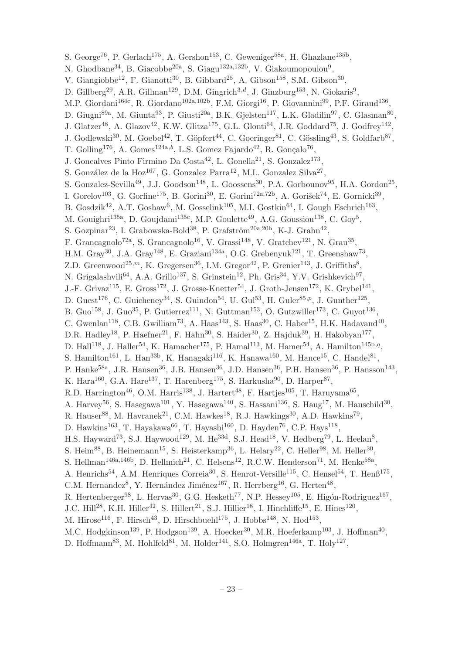S. George<sup>76</sup>, P. Gerlach<sup>175</sup>, A. Gershon<sup>153</sup>, C. Geweniger<sup>58a</sup>, H. Ghazlane<sup>135b</sup>, N. Ghodbane<sup>34</sup>, B. Giacobbe<sup>20a</sup>, S. Giagu<sup>132a,132b</sup>, V. Giakoumopoulou<sup>9</sup>, V. Giangiobbe<sup>12</sup>, F. Gianotti<sup>30</sup>, B. Gibbard<sup>25</sup>, A. Gibson<sup>158</sup>, S.M. Gibson<sup>30</sup>, D. Gillberg<sup>29</sup>, A.R. Gillman<sup>129</sup>, D.M. Gingrich<sup>3,d</sup>, J. Ginzburg<sup>153</sup>, N. Giokaris<sup>9</sup>, M.P. Giordani<sup>164c</sup>, R. Giordano<sup>102a,102b</sup>, F.M. Giorgi<sup>16</sup>, P. Giovannini<sup>99</sup>, P.F. Giraud<sup>136</sup>, D. Giugni<sup>89a</sup>, M. Giunta<sup>93</sup>, P. Giusti<sup>20a</sup>, B.K. Gjelsten<sup>117</sup>, L.K. Gladilin<sup>97</sup>, C. Glasman<sup>80</sup>, J. Glatzer<sup>48</sup>, A. Glazov<sup>42</sup>, K.W. Glitza<sup>175</sup>, G.L. Glonti<sup>64</sup>, J.R. Goddard<sup>75</sup>, J. Godfrey<sup>142</sup>, J. Godlewski<sup>30</sup>, M. Goebel<sup>42</sup>, T. Göpfert<sup>44</sup>, C. Goeringer<sup>81</sup>, C. Gössling<sup>43</sup>, S. Goldfarb<sup>87</sup>, T. Golling<sup>176</sup>, A. Gomes<sup>124a,b</sup>, L.S. Gomez Fajardo<sup>42</sup>, R. Gonçalo<sup>76</sup>, J. Goncalves Pinto Firmino Da Costa<sup>42</sup>, L. Gonella<sup>21</sup>, S. Gonzalez<sup>173</sup>, S. González de la Hoz<sup>167</sup>, G. Gonzalez Parra<sup>12</sup>, M.L. Gonzalez Silva<sup>27</sup>, S. Gonzalez-Sevilla<sup>49</sup>, J.J. Goodson<sup>148</sup>, L. Goossens<sup>30</sup>, P.A. Gorbounov<sup>95</sup>, H.A. Gordon<sup>25</sup>, I. Gorelov<sup>103</sup>, G. Gorfine<sup>175</sup>, B. Gorini<sup>30</sup>, E. Gorini<sup>72a,72b</sup>, A. Gorišek<sup>74</sup>, E. Gornicki<sup>39</sup>, B. Gosdzik<sup>42</sup>, A.T. Goshaw<sup>6</sup>, M. Gosselink<sup>105</sup>, M.I. Gostkin<sup>64</sup>, I. Gough Eschrich<sup>163</sup>, M. Gouighri<sup>135a</sup>, D. Goujdami<sup>135c</sup>, M.P. Goulette<sup>49</sup>, A.G. Goussiou<sup>138</sup>, C. Goy<sup>5</sup>, S. Gozpinar<sup>23</sup>, I. Grabowska-Bold<sup>38</sup>, P. Grafström<sup>20a, 20b</sup>, K-J. Grahn<sup>42</sup>, F. Grancagnolo<sup>72a</sup>, S. Grancagnolo<sup>16</sup>, V. Grassi<sup>148</sup>, V. Gratchev<sup>121</sup>, N. Grau<sup>35</sup>, H.M. Gray<sup>30</sup>, J.A. Gray<sup>148</sup>, E. Graziani<sup>134a</sup>, O.G. Grebenyuk<sup>121</sup>, T. Greenshaw<sup>73</sup>, Z.D. Greenwood<sup>25,*m*</sup>, K. Gregersen<sup>36</sup>, I.M. Gregor<sup>42</sup>, P. Grenier<sup>143</sup>, J. Griffiths<sup>8</sup>, N. Grigalashvili<sup>64</sup>, A.A. Grillo<sup>137</sup>, S. Grinstein<sup>12</sup>, Ph. Gris<sup>34</sup>, Y.V. Grishkevich<sup>97</sup>, J.-F. Grivaz<sup>115</sup>, E. Gross<sup>172</sup>, J. Grosse-Knetter<sup>54</sup>, J. Groth-Jensen<sup>172</sup>, K. Grybel<sup>141</sup>, D. Guest<sup>176</sup>, C. Guicheney<sup>34</sup>, S. Guindon<sup>54</sup>, U. Gul<sup>53</sup>, H. Guler<sup>85,p</sup>, J. Gunther<sup>125</sup>, B. Guo<sup>158</sup>, J. Guo<sup>35</sup>, P. Gutierrez<sup>111</sup>, N. Guttman<sup>153</sup>, O. Gutzwiller<sup>173</sup>, C. Guyot<sup>136</sup>, C. Gwenlan<sup>118</sup>, C.B. Gwilliam<sup>73</sup>, A. Haas<sup>143</sup>, S. Haas<sup>30</sup>, C. Haber<sup>15</sup>, H.K. Hadavand<sup>40</sup>, D.R. Hadley<sup>18</sup>, P. Haefner<sup>21</sup>, F. Hahn<sup>30</sup>, S. Haider<sup>30</sup>, Z. Hajduk<sup>39</sup>, H. Hakobyan<sup>177</sup>, D. Hall<sup>118</sup>, J. Haller<sup>54</sup>, K. Hamacher<sup>175</sup>, P. Hamal<sup>113</sup>, M. Hamer<sup>54</sup>, A. Hamilton<sup>145b,q</sup>, S. Hamilton<sup>161</sup>, L. Han<sup>33b</sup>, K. Hanagaki<sup>116</sup>, K. Hanawa<sup>160</sup>, M. Hance<sup>15</sup>, C. Handel<sup>81</sup>, P. Hanke<sup>58a</sup>, J.R. Hansen<sup>36</sup>, J.B. Hansen<sup>36</sup>, J.D. Hansen<sup>36</sup>, P.H. Hansen<sup>36</sup>, P. Hansson<sup>143</sup>, K. Hara<sup>160</sup>, G.A. Hare<sup>137</sup>, T. Harenberg<sup>175</sup>, S. Harkusha<sup>90</sup>, D. Harper<sup>87</sup>, R.D. Harrington<sup>46</sup>, O.M. Harris<sup>138</sup>, J. Hartert<sup>48</sup>, F. Hartjes<sup>105</sup>, T. Haruyama<sup>65</sup>, A. Harvey<sup>56</sup>, S. Hasegawa<sup>101</sup>, Y. Hasegawa<sup>140</sup>, S. Hassani<sup>136</sup>, S. Haug<sup>17</sup>, M. Hauschild<sup>30</sup>, R. Hauser<sup>88</sup>, M. Havranek<sup>21</sup>, C.M. Hawkes<sup>18</sup>, R.J. Hawkings<sup>30</sup>, A.D. Hawkins<sup>79</sup>, D. Hawkins<sup>163</sup>, T. Hayakawa<sup>66</sup>, T. Hayashi<sup>160</sup>, D. Hayden<sup>76</sup>, C.P. Hays<sup>118</sup>, H.S. Hayward<sup>73</sup>, S.J. Haywood<sup>129</sup>, M. He<sup>33d</sup>, S.J. Head<sup>18</sup>, V. Hedberg<sup>79</sup>, L. Heelan<sup>8</sup>, S. Heim<sup>88</sup>, B. Heinemann<sup>15</sup>, S. Heisterkamp<sup>36</sup>, L. Helary<sup>22</sup>, C. Heller<sup>98</sup>, M. Heller<sup>30</sup>, S. Hellman<sup>146a,146b</sup>, D. Hellmich<sup>21</sup>, C. Helsens<sup>12</sup>, R.C.W. Henderson<sup>71</sup>, M. Henke<sup>58a</sup>, A. Henrichs<sup>54</sup>, A.M. Henriques Correia<sup>30</sup>, S. Henrot-Versille<sup>115</sup>, C. Hensel<sup>54</sup>, T. Henß<sup>175</sup>, C.M. Hernandez<sup>8</sup>, Y. Hernández Jiménez<sup>167</sup>, R. Herrberg<sup>16</sup>, G. Herten<sup>48</sup>, R. Hertenberger<sup>98</sup>, L. Hervas<sup>30</sup>, G.G. Hesketh<sup>77</sup>, N.P. Hessey<sup>105</sup>, E. Higón-Rodriguez<sup>167</sup>, J.C. Hill<sup>28</sup>, K.H. Hiller<sup>42</sup>, S. Hillert<sup>21</sup>, S.J. Hillier<sup>18</sup>, I. Hinchliffe<sup>15</sup>, E. Hines<sup>120</sup>, M. Hirose<sup>116</sup>, F. Hirsch<sup>43</sup>, D. Hirschbuehl<sup>175</sup>, J. Hobbs<sup>148</sup>, N. Hod<sup>153</sup>, M.C. Hodgkinson<sup>139</sup>, P. Hodgson<sup>139</sup>, A. Hoecker<sup>30</sup>, M.R. Hoeferkamp<sup>103</sup>, J. Hoffman<sup>40</sup>, D. Hoffmann<sup>83</sup>, M. Hohlfeld<sup>81</sup>, M. Holder<sup>141</sup>, S.O. Holmgren<sup>146a</sup>, T. Holy<sup>127</sup>,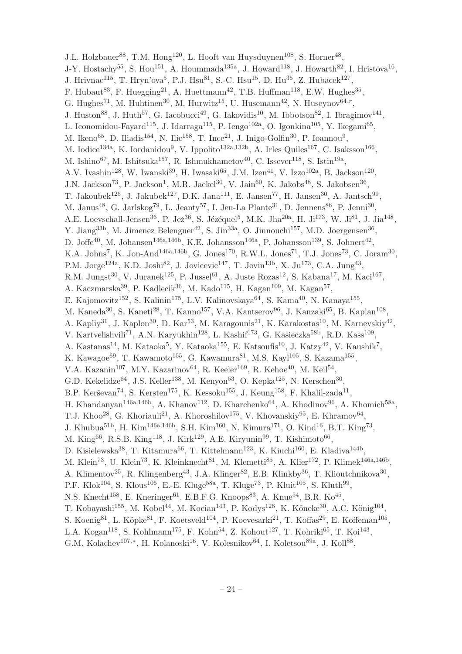J.L. Holzbauer<sup>88</sup>, T.M. Hong<sup>120</sup>, L. Hooft van Huysduynen<sup>108</sup>, S. Horner<sup>48</sup>, J-Y. Hostachy<sup>55</sup>, S. Hou<sup>151</sup>, A. Hoummada<sup>135a</sup>, J. Howard<sup>118</sup>, J. Howarth<sup>82</sup>, I. Hristova<sup>16</sup>, J. Hrivnac<sup>115</sup>, T. Hryn'ova<sup>5</sup>, P.J. Hsu<sup>81</sup>, S.-C. Hsu<sup>15</sup>, D. Hu<sup>35</sup>, Z. Hubacek<sup>127</sup>, F. Hubaut<sup>83</sup>, F. Huegging<sup>21</sup>, A. Huettmann<sup>42</sup>, T.B. Huffman<sup>118</sup>, E.W. Hughes<sup>35</sup>, G. Hughes<sup>71</sup>, M. Huhtinen<sup>30</sup>, M. Hurwitz<sup>15</sup>, U. Husemann<sup>42</sup>, N. Huseynov<sup>64,r</sup>, J. Huston<sup>88</sup>, J. Huth<sup>57</sup>, G. Iacobucci<sup>49</sup>, G. Iakovidis<sup>10</sup>, M. Ibbotson<sup>82</sup>, I. Ibragimov<sup>141</sup>, L. Iconomidou-Fayard<sup>115</sup>, J. Idarraga<sup>115</sup>, P. Iengo<sup>102a</sup>, O. Igonkina<sup>105</sup>, Y. Ikegami<sup>65</sup>, M. Ikeno<sup>65</sup>, D. Iliadis<sup>154</sup>, N. Ilic<sup>158</sup>, T. Ince<sup>21</sup>, J. Inigo-Golfin<sup>30</sup>, P. Ioannou<sup>9</sup>, M. Iodice<sup>134a</sup>, K. Iordanidou<sup>9</sup>, V. Ippolito<sup>132a,132b</sup>, A. Irles Quiles<sup>167</sup>, C. Isaksson<sup>166</sup>, M. Ishino<sup>67</sup>, M. Ishitsuka<sup>157</sup>, R. Ishmukhametov<sup>40</sup>, C. Issever<sup>118</sup>, S. Istin<sup>19a</sup>, A.V. Ivashin<sup>128</sup>, W. Iwanski<sup>39</sup>, H. Iwasaki<sup>65</sup>, J.M. Izen<sup>41</sup>, V. Izzo<sup>102a</sup>, B. Jackson<sup>120</sup>, J.N. Jackson<sup>73</sup>, P. Jackson<sup>1</sup>, M.R. Jaekel<sup>30</sup>, V. Jain<sup>60</sup>, K. Jakobs<sup>48</sup>, S. Jakobsen<sup>36</sup>, T. Jakoubek<sup>125</sup>, J. Jakubek<sup>127</sup>, D.K. Jana<sup>111</sup>, E. Jansen<sup>77</sup>, H. Jansen<sup>30</sup>, A. Jantsch<sup>99</sup>, M. Janus<sup>48</sup>, G. Jarlskog<sup>79</sup>, L. Jeanty<sup>57</sup>, I. Jen-La Plante<sup>31</sup>, D. Jennens<sup>86</sup>, P. Jenni<sup>30</sup>, A.E. Loevschall-Jensen<sup>36</sup>, P. Jež<sup>36</sup>, S. Jézéquel<sup>5</sup>, M.K. Jha<sup>20a</sup>, H. Ji<sup>173</sup>, W. Ji<sup>81</sup>, J. Jia<sup>148</sup>, Y. Jiang<sup>33b</sup>, M. Jimenez Belenguer<sup>42</sup>, S. Jin<sup>33a</sup>, O. Jinnouchi<sup>157</sup>, M.D. Joergensen<sup>36</sup>, D. Joffe<sup>40</sup>, M. Johansen<sup>146a,146b</sup>, K.E. Johansson<sup>146a</sup>, P. Johansson<sup>139</sup>, S. Johnert<sup>42</sup>, K.A. Johns<sup>7</sup>, K. Jon-And<sup>146a,146b</sup>, G. Jones<sup>170</sup>, R.W.L. Jones<sup>71</sup>, T.J. Jones<sup>73</sup>, C. Joram<sup>30</sup>, P.M. Jorge<sup>124a</sup>, K.D. Joshi<sup>82</sup>, J. Jovicevic<sup>147</sup>, T. Jovin<sup>13b</sup>, X. Ju<sup>173</sup>, C.A. Jung<sup>43</sup>, R.M. Jungst<sup>30</sup>, V. Juranek<sup>125</sup>, P. Jussel<sup>61</sup>, A. Juste Rozas<sup>12</sup>, S. Kabana<sup>17</sup>, M. Kaci<sup>167</sup>, A. Kaczmarska $^{39}$ , P. Kadlecik $^{36}$ , M. Kado<sup>115</sup>, H. Kagan $^{109}$ , M. Kagan $^{57}$ , E. Kajomovitz<sup>152</sup>, S. Kalinin<sup>175</sup>, L.V. Kalinovskaya<sup>64</sup>, S. Kama<sup>40</sup>, N. Kanaya<sup>155</sup>, M. Kaneda<sup>30</sup>, S. Kaneti<sup>28</sup>, T. Kanno<sup>157</sup>, V.A. Kantserov<sup>96</sup>, J. Kanzaki<sup>65</sup>, B. Kaplan<sup>108</sup>, A. Kapliy<sup>31</sup>, J. Kaplon<sup>30</sup>, D. Kar<sup>53</sup>, M. Karagounis<sup>21</sup>, K. Karakostas<sup>10</sup>, M. Karnevskiy<sup>42</sup>, V. Kartvelishvili<sup>71</sup>, A.N. Karyukhin<sup>128</sup>, L. Kashif<sup>173</sup>, G. Kasieczka<sup>58b</sup>, R.D. Kass<sup>109</sup>, A. Kastanas<sup>14</sup>, M. Kataoka<sup>5</sup>, Y. Kataoka<sup>155</sup>, E. Katsoufis<sup>10</sup>, J. Katzy<sup>42</sup>, V. Kaushik<sup>7</sup>, K. Kawagoe $^{69}$ , T. Kawamoto $^{155}$ , G. Kawamura $^{81}$ , M.S. Kayl $^{105}$ , S. Kazama $^{155}$ , V.A. Kazanin<sup>107</sup>, M.Y. Kazarinov<sup>64</sup>, R. Keeler<sup>169</sup>, R. Kehoe<sup>40</sup>, M. Keil<sup>54</sup>, G.D. Kekelidze<sup>64</sup>, J.S. Keller<sup>138</sup>, M. Kenyon<sup>53</sup>, O. Kepka<sup>125</sup>, N. Kerschen<sup>30</sup>, B.P. Kerševan<sup>74</sup>, S. Kersten<sup>175</sup>, K. Kessoku<sup>155</sup>, J. Keung<sup>158</sup>, F. Khalil-zada<sup>11</sup>, H. Khandanyan<sup>146a,146b</sup>, A. Khanov<sup>112</sup>, D. Kharchenko<sup>64</sup>, A. Khodinov<sup>96</sup>, A. Khomich<sup>58a</sup>, T.J. Khoo<sup>28</sup>, G. Khoriauli<sup>21</sup>, A. Khoroshilov<sup>175</sup>, V. Khovanskiy<sup>95</sup>, E. Khramov<sup>64</sup>, J. Khubua<sup>51b</sup>, H. Kim<sup>146a,146b</sup>, S.H. Kim<sup>160</sup>, N. Kimura<sup>171</sup>, O. Kind<sup>16</sup>, B.T. King<sup>73</sup>, M. King $^{66}$ , R.S.B. King $^{118}$ , J. Kirk $^{129}$ , A.E. Kiryunin $^{99}$ , T. Kishimoto $^{66}$ , D. Kisielewska<sup>38</sup>, T. Kitamura<sup>66</sup>, T. Kittelmann<sup>123</sup>, K. Kiuchi<sup>160</sup>, E. Kladiva<sup>144b</sup>, M. Klein<sup>73</sup>, U. Klein<sup>73</sup>, K. Kleinknecht<sup>81</sup>, M. Klemetti<sup>85</sup>, A. Klier<sup>172</sup>, P. Klimek<sup>146a,146b</sup>, A. Klimentov<sup>25</sup>, R. Klingenberg<sup>43</sup>, J.A. Klinger<sup>82</sup>, E.B. Klinkby<sup>36</sup>, T. Klioutchnikova<sup>30</sup>, P.F. Klok<sup>104</sup>, S. Klous<sup>105</sup>, E.-E. Kluge<sup>58a</sup>, T. Kluge<sup>73</sup>, P. Kluit<sup>105</sup>, S. Kluth<sup>99</sup>, N.S. Knecht<sup>158</sup>, E. Kneringer<sup>61</sup>, E.B.F.G. Knoops<sup>83</sup>, A. Knue<sup>54</sup>, B.R. Ko<sup>45</sup>, T. Kobayashi<sup>155</sup>, M. Kobel<sup>44</sup>, M. Kocian<sup>143</sup>, P. Kodys<sup>126</sup>, K. Köneke<sup>30</sup>, A.C. König<sup>104</sup>, S. Koenig<sup>81</sup>, L. Köpke<sup>81</sup>, F. Koetsveld<sup>104</sup>, P. Koevesarki<sup>21</sup>, T. Koffas<sup>29</sup>, E. Koffeman<sup>105</sup>, L.A. Kogan<sup>118</sup>, S. Kohlmann<sup>175</sup>, F. Kohn<sup>54</sup>, Z. Kohout<sup>127</sup>, T. Kohriki<sup>65</sup>, T. Koi<sup>143</sup>, G.M. Kolachev<sup>107,\*</sup>, H. Kolanoski<sup>16</sup>, V. Kolesnikov<sup>64</sup>, I. Koletsou<sup>89a</sup>, J. Koll<sup>88</sup>,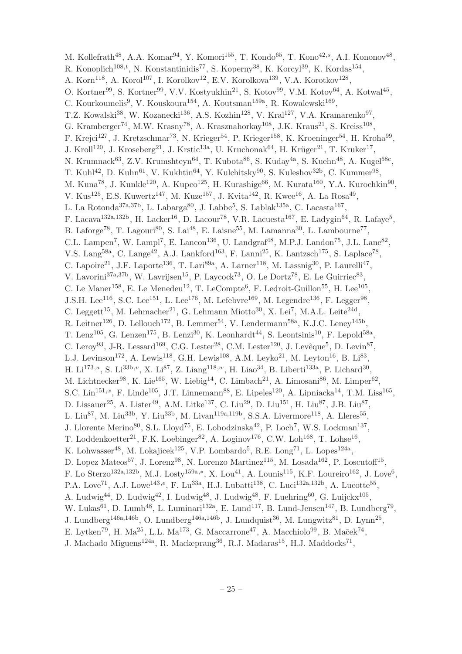M. Kollefrath<sup>48</sup>, A.A. Komar<sup>94</sup>, Y. Komori<sup>155</sup>, T. Kondo<sup>65</sup>, T. Kono<sup>42,s</sup>, A.I. Kononov<sup>48</sup>, R. Konoplich<sup>108,*t*</sup>, N. Konstantinidis<sup>77</sup>, S. Koperny<sup>38</sup>, K. Korcyl<sup>39</sup>, K. Kordas<sup>154</sup>, A. Korn<sup>118</sup>, A. Korol<sup>107</sup>, I. Korolkov<sup>12</sup>, E.V. Korolkova<sup>139</sup>, V.A. Korotkov<sup>128</sup>, O. Kortner<sup>99</sup>, S. Kortner<sup>99</sup>, V.V. Kostyukhin<sup>21</sup>, S. Kotov<sup>99</sup>, V.M. Kotov<sup>64</sup>, A. Kotwal<sup>45</sup>, C. Kourkoumelis<sup>9</sup>, V. Kouskoura<sup>154</sup>, A. Koutsman<sup>159a</sup>, R. Kowalewski<sup>169</sup>, T.Z. Kowalski<sup>38</sup>, W. Kozanecki<sup>136</sup>, A.S. Kozhin<sup>128</sup>, V. Kral<sup>127</sup>, V.A. Kramarenko<sup>97</sup>, G. Kramberger<sup>74</sup>, M.W. Krasny<sup>78</sup>, A. Krasznahorkay<sup>108</sup>, J.K. Kraus<sup>21</sup>, S. Kreiss<sup>108</sup>, F. Krejci<sup>127</sup>, J. Kretzschmar<sup>73</sup>, N. Krieger<sup>54</sup>, P. Krieger<sup>158</sup>, K. Kroeninger<sup>54</sup>, H. Kroha<sup>99</sup>, J. Kroll<sup>120</sup>, J. Kroseberg<sup>21</sup>, J. Krstic<sup>13a</sup>, U. Kruchonak<sup>64</sup>, H. Krüger<sup>21</sup>, T. Kruker<sup>17</sup>, N. Krumnack $^{63}$ , Z.V. Krumshteyn $^{64}$ , T. Kubota $^{86}$ , S. Kuday $^{4a}$ , S. Kuehn $^{48}$ , A. Kugel $^{58c}$ , T. Kuhl<sup>42</sup>, D. Kuhn<sup>61</sup>, V. Kukhtin<sup>64</sup>, Y. Kulchitsky<sup>90</sup>, S. Kuleshov<sup>32b</sup>, C. Kummer<sup>98</sup>, M. Kuna<sup>78</sup>, J. Kunkle<sup>120</sup>, A. Kupco<sup>125</sup>, H. Kurashige<sup>66</sup>, M. Kurata<sup>160</sup>, Y.A. Kurochkin<sup>90</sup>, V. Kus<sup>125</sup>, E.S. Kuwertz<sup>147</sup>, M. Kuze<sup>157</sup>, J. Kvita<sup>142</sup>, R. Kwee<sup>16</sup>, A. La Rosa<sup>49</sup>, L. La Rotonda<sup>37a,37b</sup>, L. Labarga<sup>80</sup>, J. Labbe<sup>5</sup>, S. Lablak<sup>135a</sup>, C. Lacasta<sup>167</sup>, F. Lacava<sup>132a,132b</sup>, H. Lacker<sup>16</sup>, D. Lacour<sup>78</sup>, V.R. Lacuesta<sup>167</sup>, E. Ladygin<sup>64</sup>, R. Lafaye<sup>5</sup>, B. Laforge<sup>78</sup>, T. Lagouri<sup>80</sup>, S. Lai<sup>48</sup>, E. Laisne<sup>55</sup>, M. Lamanna<sup>30</sup>, L. Lambourne<sup>77</sup>, C.L. Lampen<sup>7</sup>, W. Lampl<sup>7</sup>, E. Lancon<sup>136</sup>, U. Landgraf<sup>48</sup>, M.P.J. Landon<sup>75</sup>, J.L. Lane<sup>82</sup>, V.S. Lang<sup>58a</sup>, C. Lange<sup>42</sup>, A.J. Lankford<sup>163</sup>, F. Lanni<sup>25</sup>, K. Lantzsch<sup>175</sup>, S. Laplace<sup>78</sup>, C. Lapoire<sup>21</sup>, J.F. Laporte<sup>136</sup>, T. Lari<sup>89a</sup>, A. Larner<sup>118</sup>, M. Lassnig<sup>30</sup>, P. Laurelli<sup>47</sup>, V. Lavorini<sup>37a, 37b</sup>, W. Lavrijsen<sup>15</sup>, P. Laycock<sup>73</sup>, O. Le Dortz<sup>78</sup>, E. Le Guirriec<sup>83</sup>, C. Le Maner<sup>158</sup>, E. Le Menedeu<sup>12</sup>, T. LeCompte<sup>6</sup>, F. Ledroit-Guillon<sup>55</sup>, H. Lee<sup>105</sup>, J.S.H. Lee<sup>116</sup>, S.C. Lee<sup>151</sup>, L. Lee<sup>176</sup>, M. Lefebvre<sup>169</sup>, M. Legendre<sup>136</sup>, F. Legger<sup>98</sup>, C. Leggett<sup>15</sup>, M. Lehmacher<sup>21</sup>, G. Lehmann Miotto<sup>30</sup>, X. Lei<sup>7</sup>, M.A.L. Leite<sup>24d</sup>, R. Leitner<sup>126</sup>, D. Lellouch<sup>172</sup>, B. Lemmer<sup>54</sup>, V. Lendermann<sup>58a</sup>, K.J.C. Leney<sup>145b</sup>, T. Lenz<sup>105</sup>, G. Lenzen<sup>175</sup>, B. Lenzi<sup>30</sup>, K. Leonhardt<sup>44</sup>, S. Leontsinis<sup>10</sup>, F. Lepold<sup>58a</sup>, C. Leroy<sup>93</sup>, J-R. Lessard<sup>169</sup>, C.G. Lester<sup>28</sup>, C.M. Lester<sup>120</sup>, J. Levêque<sup>5</sup>, D. Levin<sup>87</sup>, L.J. Levinson<sup>172</sup>, A. Lewis<sup>118</sup>, G.H. Lewis<sup>108</sup>, A.M. Leyko<sup>21</sup>, M. Leyton<sup>16</sup>, B. Li<sup>83</sup>, H. Li<sup>173,*u*</sup>, S. Li<sup>33b,*v*</sup>, X. Li<sup>87</sup>, Z. Liang<sup>118,*w*</sup>, H. Liao<sup>34</sup>, B. Liberti<sup>133a</sup>, P. Lichard<sup>30</sup>, M. Lichtnecker<sup>98</sup>, K. Lie<sup>165</sup>, W. Liebig<sup>14</sup>, C. Limbach<sup>21</sup>, A. Limosani<sup>86</sup>, M. Limper<sup>62</sup>, S.C. Lin<sup>151,x</sup>, F. Linde<sup>105</sup>, J.T. Linnemann<sup>88</sup>, E. Lipeles<sup>120</sup>, A. Lipniacka<sup>14</sup>, T.M. Liss<sup>165</sup>, D. Lissauer<sup>25</sup>, A. Lister<sup>49</sup>, A.M. Litke<sup>137</sup>, C. Liu<sup>29</sup>, D. Liu<sup>151</sup>, H. Liu<sup>87</sup>, J.B. Liu<sup>87</sup>, L. Liu<sup>87</sup>, M. Liu<sup>33b</sup>, Y. Liu<sup>33b</sup>, M. Livan<sup>119a,119b</sup>, S.S.A. Livermore<sup>118</sup>, A. Lleres<sup>55</sup>, J. Llorente Merino<sup>80</sup>, S.L. Lloyd<sup>75</sup>, E. Lobodzinska<sup>42</sup>, P. Loch<sup>7</sup>, W.S. Lockman<sup>137</sup>, T. Loddenkoetter<sup>21</sup>, F.K. Loebinger<sup>82</sup>, A. Loginov<sup>176</sup>, C.W. Loh<sup>168</sup>, T. Lohse<sup>16</sup>, K. Lohwasser<sup>48</sup>, M. Lokajicek<sup>125</sup>, V.P. Lombardo<sup>5</sup>, R.E. Long<sup>71</sup>, L. Lopes<sup>124a</sup>, D. Lopez Mateos<sup>57</sup>, J. Lorenz<sup>98</sup>, N. Lorenzo Martinez<sup>115</sup>, M. Losada<sup>162</sup>, P. Loscutoff<sup>15</sup>, F. Lo Sterzo<sup>132a,132b</sup>, M.J. Losty<sup>159a,\*</sup>, X. Lou<sup>41</sup>, A. Lounis<sup>115</sup>, K.F. Loureiro<sup>162</sup>, J. Love<sup>6</sup>, P.A. Love<sup>71</sup>, A.J. Lowe<sup>143,e</sup>, F. Lu<sup>33a</sup>, H.J. Lubatti<sup>138</sup>, C. Luci<sup>132a,132b</sup>, A. Lucotte<sup>55</sup>, A. Ludwig<sup>44</sup>, D. Ludwig<sup>42</sup>, I. Ludwig<sup>48</sup>, J. Ludwig<sup>48</sup>, F. Luehring<sup>60</sup>, G. Luijckx<sup>105</sup>, W. Lukas<sup>61</sup>, D. Lumb<sup>48</sup>, L. Luminari<sup>132a</sup>, E. Lund<sup>117</sup>, B. Lund-Jensen<sup>147</sup>, B. Lundberg<sup>79</sup>, J. Lundberg<sup>146a,146b</sup>, O. Lundberg<sup>146a,146b</sup>, J. Lundquist<sup>36</sup>, M. Lungwitz<sup>81</sup>, D. Lynn<sup>25</sup>, E. Lytken<sup>79</sup>, H. Ma<sup>25</sup>, L.L. Ma<sup>173</sup>, G. Maccarrone<sup>47</sup>, A. Macchiolo<sup>99</sup>, B. Maček<sup>74</sup>, J. Machado Miguens<sup>124a</sup>, R. Mackeprang<sup>36</sup>, R.J. Madaras<sup>15</sup>, H.J. Maddocks<sup>71</sup>,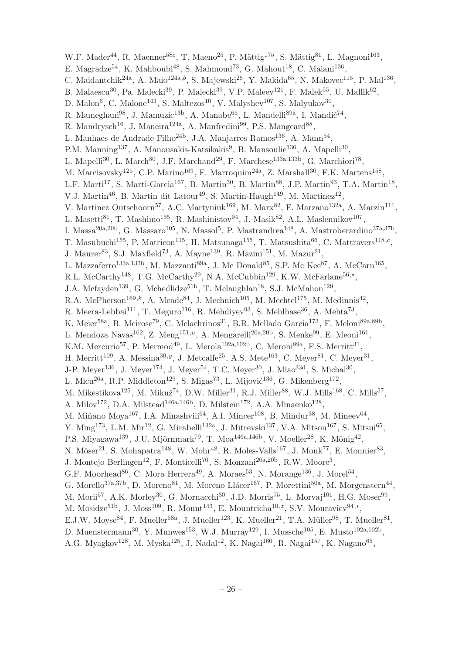W.F. Mader<sup>44</sup>, R. Maenner<sup>58c</sup>, T. Maeno<sup>25</sup>, P. Mättig<sup>175</sup>, S. Mättig<sup>81</sup>, L. Magnoni<sup>163</sup>, E. Magradze<sup>54</sup>, K. Mahboubi<sup>48</sup>, S. Mahmoud<sup>73</sup>, G. Mahout<sup>18</sup>, C. Maiani<sup>136</sup>, C. Maidantchik<sup>24a</sup>, A. Maio<sup>124a,b</sup>, S. Majewski<sup>25</sup>, Y. Makida<sup>65</sup>, N. Makovec<sup>115</sup>, P. Mal<sup>136</sup>, B. Malaescu<sup>30</sup>, Pa. Malecki<sup>39</sup>, P. Malecki<sup>39</sup>, V.P. Maleev<sup>121</sup>, F. Malek<sup>55</sup>, U. Mallik<sup>62</sup>, D. Malon<sup>6</sup>, C. Malone<sup>143</sup>, S. Maltezos<sup>10</sup>, V. Malyshev<sup>107</sup>, S. Malyukov<sup>30</sup>, R. Mameghani $^{98}$ , J. Mamuzic<sup>13b</sup>, A. Manabe<sup>65</sup>, L. Mandelli<sup>89a</sup>, I. Mandić<sup>74</sup>, R. Mandrysch<sup>16</sup>, J. Maneira<sup>124a</sup>, A. Manfredini<sup>99</sup>, P.S. Mangeard<sup>88</sup>, L. Manhaes de Andrade Filho<sup>24b</sup>, J.A. Manjarres Ramos<sup>136</sup>, A. Mann<sup>54</sup>, P.M. Manning<sup>137</sup>, A. Manousakis-Katsikakis<sup>9</sup>, B. Mansoulie<sup>136</sup>, A. Mapelli<sup>30</sup>, L. Mapelli<sup>30</sup>, L. March<sup>80</sup>, J.F. Marchand<sup>29</sup>, F. Marchese<sup>133a,133b</sup>, G. Marchiori<sup>78</sup>, M. Marcisovsky<sup>125</sup>, C.P. Marino<sup>169</sup>, F. Marroquim<sup>24a</sup>, Z. Marshall<sup>30</sup>, F.K. Martens<sup>158</sup>, L.F. Marti<sup>17</sup>, S. Marti-Garcia<sup>167</sup>, B. Martin<sup>30</sup>, B. Martin<sup>88</sup>, J.P. Martin<sup>93</sup>, T.A. Martin<sup>18</sup>, V.J. Martin<sup>46</sup>, B. Martin dit Latour<sup>49</sup>, S. Martin-Haugh<sup>149</sup>, M. Martinez<sup>12</sup>, V. Martinez Outschoorn<sup>57</sup>, A.C. Martyniuk<sup>169</sup>, M. Marx<sup>82</sup>, F. Marzano<sup>132a</sup>, A. Marzin<sup>111</sup>, L. Masetti $^{81}$ , T. Mashimo<sup>155</sup>, R. Mashinistov $^{94}$ , J. Masik $^{82}$ , A.L. Maslennikov $^{107}$ , I. Massa<sup>20a, 20b</sup>, G. Massaro<sup>105</sup>, N. Massol<sup>5</sup>, P. Mastrandrea<sup>148</sup>, A. Mastroberardino<sup>37a, 37b</sup>, T. Masubuchi<sup>155</sup>, P. Matricon<sup>115</sup>, H. Matsunaga<sup>155</sup>, T. Matsushita<sup>66</sup>, C. Mattravers<sup>118,c</sup>, J. Maurer<sup>83</sup>, S.J. Maxfield<sup>73</sup>, A. Mayne<sup>139</sup>, R. Mazini<sup>151</sup>, M. Mazur<sup>21</sup>, L. Mazzaferro<sup>133a,133b</sup>, M. Mazzanti<sup>89a</sup>, J. Mc Donald<sup>85</sup>, S.P. Mc Kee<sup>87</sup>, A. McCarn<sup>165</sup>, R.L. McCarthy<sup>148</sup>, T.G. McCarthy<sup>29</sup>, N.A. McCubbin<sup>129</sup>, K.W. McFarlane<sup>56,\*</sup>, J.A. Mcfayden<sup>139</sup>, G. Mchedlidze<sup>51b</sup>, T. Mclaughlan<sup>18</sup>, S.J. McMahon<sup>129</sup>, R.A. McPherson<sup>169,k</sup>, A. Meade<sup>84</sup>, J. Mechnich<sup>105</sup>, M. Mechtel<sup>175</sup>, M. Medinnis<sup>42</sup>, R. Meera-Lebbai<sup>111</sup>, T. Meguro<sup>116</sup>, R. Mehdiyev<sup>93</sup>, S. Mehlhase<sup>36</sup>, A. Mehta<sup>73</sup>, K. Meier<sup>58a</sup>, B. Meirose<sup>79</sup>, C. Melachrinos<sup>31</sup>, B.R. Mellado Garcia<sup>173</sup>, F. Meloni<sup>89a,89b</sup>, L. Mendoza Navas<sup>162</sup>, Z. Meng<sup>151,*u*</sup>, A. Mengarelli<sup>20a,20b</sup>, S. Menke<sup>99</sup>, E. Meoni<sup>161</sup>, K.M. Mercurio<sup>57</sup>, P. Mermod<sup>49</sup>, L. Merola<sup>102a,102b</sup>, C. Meroni<sup>89a</sup>, F.S. Merritt<sup>31</sup>, H. Merritt<sup>109</sup>, A. Messina<sup>30,y</sup>, J. Metcalfe<sup>25</sup>, A.S. Mete<sup>163</sup>, C. Meyer<sup>81</sup>, C. Meyer<sup>31</sup>, J-P. Meyer<sup>136</sup>, J. Meyer<sup>174</sup>, J. Meyer<sup>54</sup>, T.C. Meyer<sup>30</sup>, J. Miao<sup>33d</sup>, S. Michal<sup>30</sup>, L. Micu<sup>26a</sup>, R.P. Middleton<sup>129</sup>, S. Migas<sup>73</sup>, L. Mijović<sup>136</sup>, G. Mikenberg<sup>172</sup>, M. Mikestikova<sup>125</sup>, M. Mikuž<sup>74</sup>, D.W. Miller<sup>31</sup>, R.J. Miller<sup>88</sup>, W.J. Mills<sup>168</sup>, C. Mills<sup>57</sup>, A. Milov<sup>172</sup>, D.A. Milstead<sup>146a,146b</sup>, D. Milstein<sup>172</sup>, A.A. Minaenko<sup>128</sup>, M. Miñano Moya<sup>167</sup>, I.A. Minashvili<sup>64</sup>, A.I. Mincer<sup>108</sup>, B. Mindur<sup>38</sup>, M. Mineev<sup>64</sup>, Y. Ming<sup>173</sup>, L.M. Mir<sup>12</sup>, G. Mirabelli<sup>132a</sup>, J. Mitrevski<sup>137</sup>, V.A. Mitsou<sup>167</sup>, S. Mitsui<sup>65</sup>, P.S. Miyagawa<sup>139</sup>, J.U. Mjörnmark<sup>79</sup>, T. Moa<sup>146a,146b</sup>, V. Moeller<sup>28</sup>, K. Mönig<sup>42</sup>, N. Möser<sup>21</sup>, S. Mohapatra<sup>148</sup>, W. Mohr<sup>48</sup>, R. Moles-Valls<sup>167</sup>, J. Monk<sup>77</sup>, E. Monnier<sup>83</sup>, J. Montejo Berlingen<sup>12</sup>, F. Monticelli<sup>70</sup>, S. Monzani<sup>20a, 20b</sup>, R.W. Moore<sup>3</sup>, G.F. Moorhead<sup>86</sup>, C. Mora Herrera<sup>49</sup>, A. Moraes<sup>53</sup>, N. Morange<sup>136</sup>, J. Morel<sup>54</sup>, G. Morello<sup>37a,37b</sup>, D. Moreno<sup>81</sup>, M. Moreno Llácer<sup>167</sup>, P. Morettini<sup>50a</sup>, M. Morgenstern<sup>44</sup>, M. Morii<sup>57</sup>, A.K. Morley<sup>30</sup>, G. Mornacchi<sup>30</sup>, J.D. Morris<sup>75</sup>, L. Morvaj<sup>101</sup>, H.G. Moser<sup>99</sup>, M. Mosidze<sup>51b</sup>, J. Moss<sup>109</sup>, R. Mount<sup>143</sup>, E. Mountricha<sup>10,z</sup>, S.V. Mouraviev<sup>94,\*</sup>, E.J.W. Moyse<sup>84</sup>, F. Mueller<sup>58a</sup>, J. Mueller<sup>123</sup>, K. Mueller<sup>21</sup>, T.A. Müller<sup>98</sup>, T. Mueller<sup>81</sup>, D. Muenstermann<sup>30</sup>, Y. Munwes<sup>153</sup>, W.J. Murray<sup>129</sup>, I. Mussche<sup>105</sup>, E. Musto<sup>102a,102b</sup>, A.G. Myagkov $^{128}$ , M. Myska $^{125}$ , J. Nadal $^{12}$ , K. Nagai $^{160}$ , R. Nagai $^{157}$ , K. Nagano $^{65}$ ,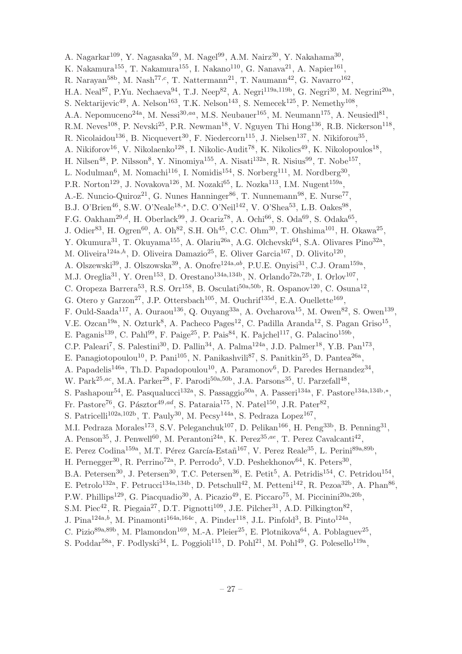A. Nagarkar $^{109}$ , Y. Nagasaka $^{59}$ , M. Nagel $^{99}$ , A.M. Nairz $^{30}$ , Y. Nakahama $^{30}$ , K. Nakamura<sup>155</sup>, T. Nakamura<sup>155</sup>, I. Nakano<sup>110</sup>, G. Nanava<sup>21</sup>, A. Napier<sup>161</sup>, R. Narayan<sup>58b</sup>, M. Nash<sup>77,c</sup>, T. Nattermann<sup>21</sup>, T. Naumann<sup>42</sup>, G. Navarro<sup>162</sup>, H.A. Neal<sup>87</sup>, P.Yu. Nechaeva<sup>94</sup>, T.J. Neep<sup>82</sup>, A. Negri<sup>119a,119b</sup>, G. Negri<sup>30</sup>, M. Negrini<sup>20a</sup>, S. Nektarijevic<sup>49</sup>, A. Nelson<sup>163</sup>, T.K. Nelson<sup>143</sup>, S. Nemecek<sup>125</sup>, P. Nemethy<sup>108</sup>, A.A. Nepomuceno<sup>24a</sup>, M. Nessi<sup>30,aa</sup>, M.S. Neubauer<sup>165</sup>, M. Neumann<sup>175</sup>, A. Neusiedl<sup>81</sup>, R.M. Neves<sup>108</sup>, P. Nevski<sup>25</sup>, P.R. Newman<sup>18</sup>, V. Nguyen Thi Hong<sup>136</sup>, R.B. Nickerson<sup>118</sup>, R. Nicolaidou<sup>136</sup>, B. Nicquevert<sup>30</sup>, F. Niedercorn<sup>115</sup>, J. Nielsen<sup>137</sup>, N. Nikiforou<sup>35</sup>, A. Nikiforov<sup>16</sup>, V. Nikolaenko<sup>128</sup>, I. Nikolic-Audit<sup>78</sup>, K. Nikolics<sup>49</sup>, K. Nikolopoulos<sup>18</sup>, H. Nilsen<sup>48</sup>, P. Nilsson<sup>8</sup>, Y. Ninomiya<sup>155</sup>, A. Nisati<sup>132a</sup>, R. Nisius<sup>99</sup>, T. Nobe<sup>157</sup>, L. Nodulman<sup>6</sup>, M. Nomachi<sup>116</sup>, I. Nomidis<sup>154</sup>, S. Norberg<sup>111</sup>, M. Nordberg<sup>30</sup>, P.R. Norton<sup>129</sup>, J. Novakova<sup>126</sup>, M. Nozaki<sup>65</sup>, L. Nozka<sup>113</sup>, I.M. Nugent<sup>159a</sup>, A.-E. Nuncio-Quiroz<sup>21</sup>, G. Nunes Hanninger<sup>86</sup>, T. Nunnemann<sup>98</sup>, E. Nurse<sup>77</sup>, B.J. O'Brien<sup>46</sup>, S.W. O'Neale<sup>18,\*</sup>, D.C. O'Neil<sup>142</sup>, V. O'Shea<sup>53</sup>, L.B. Oakes<sup>98</sup>, F.G. Oakham<sup>29,d</sup>, H. Oberlack<sup>99</sup>, J. Ocariz<sup>78</sup>, A. Ochi<sup>66</sup>, S. Oda<sup>69</sup>, S. Odaka<sup>65</sup>, J. Odier<sup>83</sup>, H. Ogren<sup>60</sup>, A. Oh<sup>82</sup>, S.H. Oh<sup>45</sup>, C.C. Ohm<sup>30</sup>, T. Ohshima<sup>101</sup>, H. Okawa<sup>25</sup>, Y. Okumura<sup>31</sup>, T. Okuyama<sup>155</sup>, A. Olariu<sup>26a</sup>, A.G. Olchevski<sup>64</sup>, S.A. Olivares Pino<sup>32a</sup>, M. Oliveira<sup>124a,h</sup>, D. Oliveira Damazio<sup>25</sup>, E. Oliver Garcia<sup>167</sup>, D. Olivito<sup>120</sup>, A. Olszewski<sup>39</sup>, J. Olszowska<sup>39</sup>, A. Onofre<sup>124a,ab</sup>, P.U.E. Onyisi<sup>31</sup>, C.J. Oram<sup>159a</sup>, M.J. Oreglia<sup>31</sup>, Y. Oren<sup>153</sup>, D. Orestano<sup>134a,134b</sup>, N. Orlando<sup>72a,72b</sup>, I. Orlov<sup>107</sup>, C. Oropeza Barrera<sup>53</sup>, R.S. Orr<sup>158</sup>, B. Osculati<sup>50a,50b</sup>, R. Ospanov<sup>120</sup>, C. Osuna<sup>12</sup>, G. Otero y Garzon<sup>27</sup>, J.P. Ottersbach<sup>105</sup>, M. Ouchrif<sup>135d</sup>, E.A. Ouellette<sup>169</sup>, F. Ould-Saada<sup>117</sup>, A. Ouraou<sup>136</sup>, Q. Ouyang<sup>33a</sup>, A. Ovcharova<sup>15</sup>, M. Owen<sup>82</sup>, S. Owen<sup>139</sup>, V.E. Ozcan<sup>19a</sup>, N. Ozturk<sup>8</sup>, A. Pacheco Pages<sup>12</sup>, C. Padilla Aranda<sup>12</sup>, S. Pagan Griso<sup>15</sup>, E. Paganis<sup>139</sup>, C. Pahl<sup>99</sup>, F. Paige<sup>25</sup>, P. Pais<sup>84</sup>, K. Pajchel<sup>117</sup>, G. Palacino<sup>159b</sup>, C.P. Paleari<sup>7</sup>, S. Palestini<sup>30</sup>, D. Pallin<sup>34</sup>, A. Palma<sup>124a</sup>, J.D. Palmer<sup>18</sup>, Y.B. Pan<sup>173</sup>, E. Panagiotopoulou<sup>10</sup>, P. Pani<sup>105</sup>, N. Panikashvili<sup>87</sup>, S. Panitkin<sup>25</sup>, D. Pantea<sup>26a</sup>, A. Papadelis<sup>146a</sup>, Th.D. Papadopoulou<sup>10</sup>, A. Paramonov<sup>6</sup>, D. Paredes Hernandez<sup>34</sup>, W. Park $^{25,ac}$ , M.A. Parker<sup>28</sup>, F. Parodi<sup>50a,50b</sup>, J.A. Parsons<sup>35</sup>, U. Parzefall<sup>48</sup>, S. Pashapour<sup>54</sup>, E. Pasqualucci<sup>132a</sup>, S. Passaggio<sup>50a</sup>, A. Passeri<sup>134a</sup>, F. Pastore<sup>134a,134b,\*</sup>, Fr. Pastore<sup>76</sup>, G. Pásztor<sup>49,ad</sup>, S. Pataraia<sup>175</sup>, N. Patel<sup>150</sup>, J.R. Pater<sup>82</sup>, S. Patricelli<sup>102a,102b</sup>, T. Pauly<sup>30</sup>, M. Pecsy<sup>144a</sup>, S. Pedraza Lopez<sup>167</sup>, M.I. Pedraza Morales<sup>173</sup>, S.V. Peleganchuk<sup>107</sup>, D. Pelikan<sup>166</sup>, H. Peng<sup>33b</sup>, B. Penning<sup>31</sup>, A. Penson<sup>35</sup>, J. Penwell<sup>60</sup>, M. Perantoni<sup>24a</sup>, K. Perez<sup>35,ae</sup>, T. Perez Cavalcanti<sup>42</sup>, E. Perez Codina<sup>159a</sup>, M.T. Pérez García-Estañ<sup>167</sup>, V. Perez Reale<sup>35</sup>, L. Perini<sup>89a,89b</sup>, H. Pernegger<sup>30</sup>, R. Perrino<sup>72a</sup>, P. Perrodo<sup>5</sup>, V.D. Peshekhonov<sup>64</sup>, K. Peters<sup>30</sup>, B.A. Petersen<sup>30</sup>, J. Petersen<sup>30</sup>, T.C. Petersen<sup>36</sup>, E. Petit<sup>5</sup>, A. Petridis<sup>154</sup>, C. Petridou<sup>154</sup>, E. Petrolo<sup>132a</sup>, F. Petrucci<sup>134a,134b</sup>, D. Petschull<sup>42</sup>, M. Petteni<sup>142</sup>, R. Pezoa<sup>32b</sup>, A. Phan<sup>86</sup>, P.W. Phillips<sup>129</sup>, G. Piacquadio<sup>30</sup>, A. Picazio<sup>49</sup>, E. Piccaro<sup>75</sup>, M. Piccinini<sup>20a,20b</sup>, S.M. Piec<sup>42</sup>, R. Piegaia<sup>27</sup>, D.T. Pignotti<sup>109</sup>, J.E. Pilcher<sup>31</sup>, A.D. Pilkington<sup>82</sup>, J. Pina<sup>124a,b</sup>, M. Pinamonti<sup>164a,164c</sup>, A. Pinder<sup>118</sup>, J.L. Pinfold<sup>3</sup>, B. Pinto<sup>124a</sup>, C. Pizio<sup>89a,89b</sup>, M. Plamondon<sup>169</sup>, M.-A. Pleier<sup>25</sup>, E. Plotnikova<sup>64</sup>, A. Poblaguev<sup>25</sup>, S. Poddar<sup>58a</sup>, F. Podlyski<sup>34</sup>, L. Poggioli<sup>115</sup>, D. Pohl<sup>21</sup>, M. Pohl<sup>49</sup>, G. Polesello<sup>119a</sup>,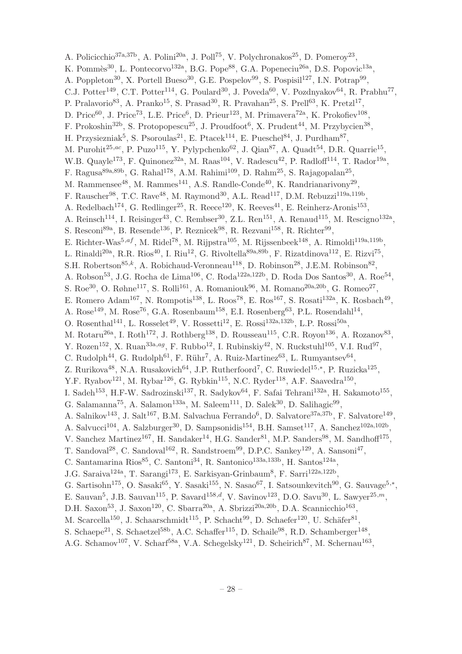A. Policicchio<sup>37a,37b</sup>, A. Polini<sup>20a</sup>, J. Poll<sup>75</sup>, V. Polychronakos<sup>25</sup>, D. Pomeroy<sup>23</sup>, K. Pommès<sup>30</sup>, L. Pontecorvo<sup>132a</sup>, B.G. Pope<sup>88</sup>, G.A. Popeneciu<sup>26a</sup>, D.S. Popovic<sup>13a</sup>, A. Poppleton<sup>30</sup>, X. Portell Bueso<sup>30</sup>, G.E. Pospelov<sup>99</sup>, S. Pospisil<sup>127</sup>, I.N. Potrap<sup>99</sup>, C.J. Potter<sup>149</sup>, C.T. Potter<sup>114</sup>, G. Poulard<sup>30</sup>, J. Poveda<sup>60</sup>, V. Pozdnyakov<sup>64</sup>, R. Prabhu<sup>77</sup>, P. Pralavorio<sup>83</sup>, A. Pranko<sup>15</sup>, S. Prasad<sup>30</sup>, R. Pravahan<sup>25</sup>, S. Prell<sup>63</sup>, K. Pretzl<sup>17</sup>, D. Price<sup>60</sup>, J. Price<sup>73</sup>, L.E. Price<sup>6</sup>, D. Prieur<sup>123</sup>, M. Primavera<sup>72a</sup>, K. Prokofiev<sup>108</sup>, F. Prokoshin<sup>32b</sup>, S. Protopopescu<sup>25</sup>, J. Proudfoot<sup>6</sup>, X. Prudent<sup>44</sup>, M. Przybycien<sup>38</sup>, H. Przysiezniak<sup>5</sup>, S. Psoroulas<sup>21</sup>, E. Ptacek<sup>114</sup>, E. Pueschel<sup>84</sup>, J. Purdham<sup>87</sup>, M. Purohit<sup>25,ac</sup>, P. Puzo<sup>115</sup>, Y. Pylypchenko<sup>62</sup>, J. Qian<sup>87</sup>, A. Quadt<sup>54</sup>, D.R. Quarrie<sup>15</sup>, W.B. Quayle<sup>173</sup>, F. Quinonez<sup>32a</sup>, M. Raas<sup>104</sup>, V. Radescu<sup>42</sup>, P. Radloff<sup>114</sup>, T. Rador<sup>19a</sup>, F. Ragusa<sup>89a,89b</sup>, G. Rahal<sup>178</sup>, A.M. Rahimi<sup>109</sup>, D. Rahm<sup>25</sup>, S. Rajagopalan<sup>25</sup>, M. Rammensee<sup>48</sup>, M. Rammes<sup>141</sup>, A.S. Randle-Conde<sup>40</sup>, K. Randrianarivony<sup>29</sup>, F. Rauscher<sup>98</sup>, T.C. Rave<sup>48</sup>, M. Raymond<sup>30</sup>, A.L. Read<sup>117</sup>, D.M. Rebuzzi<sup>119a,119b</sup>, A. Redelbach<sup>174</sup>, G. Redlinger<sup>25</sup>, R. Reece<sup>120</sup>, K. Reeves<sup>41</sup>, E. Reinherz-Aronis<sup>153</sup>, A. Reinsch<sup>114</sup>, I. Reisinger<sup>43</sup>, C. Rembser<sup>30</sup>, Z.L. Ren<sup>151</sup>, A. Renaud<sup>115</sup>, M. Rescigno<sup>132a</sup>, S. Resconi<sup>89a</sup>, B. Resende<sup>136</sup>, P. Reznicek<sup>98</sup>, R. Rezvani<sup>158</sup>, R. Richter<sup>99</sup>, E. Richter-Was<sup>5,af</sup>, M. Ridel<sup>78</sup>, M. Rijpstra<sup>105</sup>, M. Rijssenbeek<sup>148</sup>, A. Rimoldi<sup>119a,119b</sup>, L. Rinaldi<sup>20a</sup>, R.R. Rios<sup>40</sup>, I. Riu<sup>12</sup>, G. Rivoltella<sup>89a,89b</sup>, F. Rizatdinova<sup>112</sup>, E. Rizvi<sup>75</sup>, S.H. Robertson<sup>85,k</sup>, A. Robichaud-Veronneau<sup>118</sup>, D. Robinson<sup>28</sup>, J.E.M. Robinson<sup>82</sup>, A. Robson<sup>53</sup>, J.G. Rocha de Lima<sup>106</sup>, C. Roda<sup>122a,122b</sup>, D. Roda Dos Santos<sup>30</sup>, A. Roe<sup>54</sup>, S. Roe<sup>30</sup>, O. Røhne<sup>117</sup>, S. Rolli<sup>161</sup>, A. Romaniouk<sup>96</sup>, M. Romano<sup>20a,20b</sup>, G. Romeo<sup>27</sup>, E. Romero Adam<sup>167</sup>, N. Rompotis<sup>138</sup>, L. Roos<sup>78</sup>, E. Ros<sup>167</sup>, S. Rosati<sup>132a</sup>, K. Rosbach<sup>49</sup>, A. Rose<sup>149</sup>, M. Rose<sup>76</sup>, G.A. Rosenbaum<sup>158</sup>, E.I. Rosenberg<sup>63</sup>, P.L. Rosendahl<sup>14</sup>, O. Rosenthal<sup>141</sup>, L. Rosselet<sup>49</sup>, V. Rossetti<sup>12</sup>, E. Rossi<sup>132a,132b</sup>, L.P. Rossi<sup>50a</sup>, M. Rotaru<sup>26a</sup>, I. Roth<sup>172</sup>, J. Rothberg<sup>138</sup>, D. Rousseau<sup>115</sup>, C.R. Royon<sup>136</sup>, A. Rozanov<sup>83</sup>, Y. Rozen<sup>152</sup>, X. Ruan<sup>33a,ag</sup>, F. Rubbo<sup>12</sup>, I. Rubinskiy<sup>42</sup>, N. Ruckstuhl<sup>105</sup>, V.I. Rud<sup>97</sup>, C. Rudolph<sup>44</sup>, G. Rudolph<sup>61</sup>, F. Rühr<sup>7</sup>, A. Ruiz-Martinez<sup>63</sup>, L. Rumyantsev<sup>64</sup>, Z. Rurikova<sup>48</sup>, N.A. Rusakovich<sup>64</sup>, J.P. Rutherfoord<sup>7</sup>, C. Ruwiedel<sup>15,\*</sup>, P. Ruzicka<sup>125</sup>, Y.F. Ryabov<sup>121</sup>, M. Rybar<sup>126</sup>, G. Rybkin<sup>115</sup>, N.C. Ryder<sup>118</sup>, A.F. Saavedra<sup>150</sup>, I. Sadeh<sup>153</sup>, H.F-W. Sadrozinski<sup>137</sup>, R. Sadykov<sup>64</sup>, F. Safai Tehrani<sup>132a</sup>, H. Sakamoto<sup>155</sup>, G. Salamanna<sup>75</sup>, A. Salamon<sup>133a</sup>, M. Saleem<sup>111</sup>, D. Salek<sup>30</sup>, D. Salihagic<sup>99</sup>, A. Salnikov<sup>143</sup>, J. Salt<sup>167</sup>, B.M. Salvachua Ferrando<sup>6</sup>, D. Salvatore<sup>37a,37b</sup>, F. Salvatore<sup>149</sup>, A. Salvucci<sup>104</sup>, A. Salzburger<sup>30</sup>, D. Sampsonidis<sup>154</sup>, B.H. Samset<sup>117</sup>, A. Sanchez<sup>102a,102b</sup>, V. Sanchez Martinez<sup>167</sup>, H. Sandaker<sup>14</sup>, H.G. Sander<sup>81</sup>, M.P. Sanders<sup>98</sup>, M. Sandhoff<sup>175</sup>, T. Sandoval<sup>28</sup>, C. Sandoval<sup>162</sup>, R. Sandstroem<sup>99</sup>, D.P.C. Sankey<sup>129</sup>, A. Sansoni<sup>47</sup>, C. Santamarina Rios<sup>85</sup>, C. Santoni<sup>34</sup>, R. Santonico<sup>133a,133b</sup>, H. Santos<sup>124a</sup>, J.G. Saraiva<sup>124a</sup>, T. Sarangi<sup>173</sup>, E. Sarkisyan-Grinbaum<sup>8</sup>, F. Sarri<sup>122a,122b</sup>, G. Sartisohn<sup>175</sup>, O. Sasaki<sup>65</sup>, Y. Sasaki<sup>155</sup>, N. Sasao<sup>67</sup>, I. Satsounkevitch<sup>90</sup>, G. Sauvage<sup>5,\*</sup>, E. Sauvan<sup>5</sup>, J.B. Sauvan<sup>115</sup>, P. Savard<sup>158,d</sup>, V. Savinov<sup>123</sup>, D.O. Savu<sup>30</sup>, L. Sawyer<sup>25,m</sup>, D.H. Saxon<sup>53</sup>, J. Saxon<sup>120</sup>, C. Sbarra<sup>20a</sup>, A. Sbrizzi<sup>20a,20b</sup>, D.A. Scannicchio<sup>163</sup>, M. Scarcella<sup>150</sup>, J. Schaarschmidt<sup>115</sup>, P. Schacht<sup>99</sup>, D. Schaefer<sup>120</sup>, U. Schäfer<sup>81</sup>, S. Schaepe<sup>21</sup>, S. Schaetzel<sup>58b</sup>, A.C. Schaffer<sup>115</sup>, D. Schaile<sup>98</sup>, R.D. Schamberger<sup>148</sup>, A.G. Schamov<sup>107</sup>, V. Scharf<sup>58a</sup>, V.A. Schegelsky<sup>121</sup>, D. Scheirich<sup>87</sup>, M. Schernau<sup>163</sup>,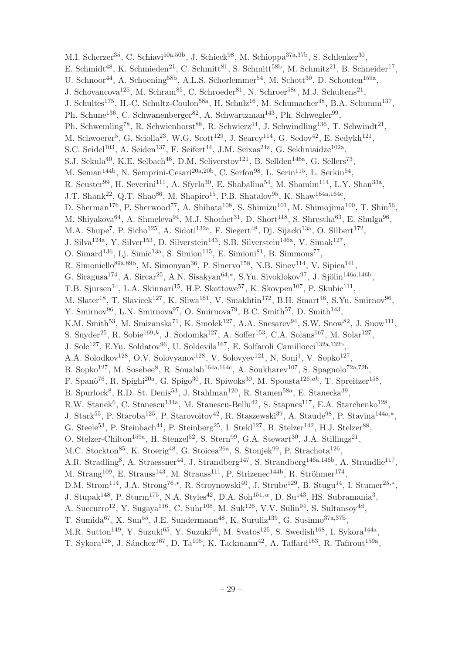M.I. Scherzer<sup>35</sup>, C. Schiavi<sup>50a,50b</sup>, J. Schieck<sup>98</sup>, M. Schioppa<sup>37a,37b</sup>, S. Schlenker<sup>30</sup>, E. Schmidt<sup>48</sup>, K. Schmieden<sup>21</sup>, C. Schmitt<sup>81</sup>, S. Schmitt<sup>58b</sup>, M. Schmitz<sup>21</sup>, B. Schneider<sup>17</sup>, U. Schnoor<sup>44</sup>, A. Schoening<sup>58b</sup>, A.L.S. Schorlemmer<sup>54</sup>, M. Schott<sup>30</sup>, D. Schouten<sup>159a</sup>, J. Schovancova<sup>125</sup>, M. Schram<sup>85</sup>, C. Schroeder<sup>81</sup>, N. Schroer<sup>58c</sup>, M.J. Schultens<sup>21</sup>, J. Schultes<sup>175</sup>, H.-C. Schultz-Coulon<sup>58a</sup>, H. Schulz<sup>16</sup>, M. Schumacher<sup>48</sup>, B.A. Schumm<sup>137</sup>, Ph. Schune<sup>136</sup>, C. Schwanenberger<sup>82</sup>, A. Schwartzman<sup>143</sup>, Ph. Schwegler<sup>99</sup>, Ph. Schwemling<sup>78</sup>, R. Schwienhorst<sup>88</sup>, R. Schwierz<sup>44</sup>, J. Schwindling<sup>136</sup>, T. Schwindt<sup>21</sup>, M. Schwoerer<sup>5</sup>, G. Sciolla<sup>23</sup>, W.G. Scott<sup>129</sup>, J. Searcy<sup>114</sup>, G. Sedov<sup>42</sup>, E. Sedykh<sup>121</sup>, S.C. Seidel<sup>103</sup>, A. Seiden<sup>137</sup>, F. Seifert<sup>44</sup>, J.M. Seixas<sup>24a</sup>, G. Sekhniaidze<sup>102a</sup>, S.J. Sekula<sup>40</sup>, K.E. Selbach<sup>46</sup>, D.M. Seliverstov<sup>121</sup>, B. Sellden<sup>146a</sup>, G. Sellers<sup>73</sup>, M. Seman<sup>144b</sup>, N. Semprini-Cesari<sup>20a,20b</sup>, C. Serfon<sup>98</sup>, L. Serin<sup>115</sup>, L. Serkin<sup>54</sup>, R. Seuster<sup>99</sup>, H. Severini<sup>111</sup>, A. Sfyrla<sup>30</sup>, E. Shabalina<sup>54</sup>, M. Shamim<sup>114</sup>, L.Y. Shan<sup>33a</sup>, J.T. Shank<sup>22</sup>, Q.T. Shao<sup>86</sup>, M. Shapiro<sup>15</sup>, P.B. Shatalov<sup>95</sup>, K. Shaw<sup>164a,164c</sup>, D. Sherman<sup>176</sup>, P. Sherwood<sup>77</sup>, A. Shibata<sup>108</sup>, S. Shimizu<sup>101</sup>, M. Shimojima<sup>100</sup>, T. Shin<sup>56</sup>, M. Shiyakova<sup>64</sup>, A. Shmeleva<sup>94</sup>, M.J. Shochet<sup>31</sup>, D. Short<sup>118</sup>, S. Shrestha<sup>63</sup>, E. Shulga<sup>96</sup>, M.A. Shupe<sup>7</sup>, P. Sicho<sup>125</sup>, A. Sidoti<sup>132a</sup>, F. Siegert<sup>48</sup>, Dj. Sijacki<sup>13a</sup>, O. Silbert<sup>172</sup>, J. Silva<sup>124a</sup>, Y. Silver<sup>153</sup>, D. Silverstein<sup>143</sup>, S.B. Silverstein<sup>146a</sup>, V. Simak<sup>127</sup>, O. Simard<sup>136</sup>, Lj. Simic<sup>13a</sup>, S. Simion<sup>115</sup>, E. Simioni<sup>81</sup>, B. Simmons<sup>77</sup>, R. Simoniello<sup>89a,89b</sup>, M. Simonyan<sup>36</sup>, P. Sinervo<sup>158</sup>, N.B. Sinev<sup>114</sup>, V. Sipica<sup>141</sup>, G. Siragusa<sup>174</sup>, A. Sircar<sup>25</sup>, A.N. Sisakyan<sup>64,\*</sup>, S.Yu. Sivoklokov<sup>97</sup>, J. Sjölin<sup>146a,146b</sup>, T.B. Sjursen<sup>14</sup>, L.A. Skinnari<sup>15</sup>, H.P. Skottowe<sup>57</sup>, K. Skovpen<sup>107</sup>, P. Skubic<sup>111</sup>, M. Slater<sup>18</sup>, T. Slavicek<sup>127</sup>, K. Sliwa<sup>161</sup>, V. Smakhtin<sup>172</sup>, B.H. Smart<sup>46</sup>, S.Yu. Smirnov<sup>96</sup>, Y. Smirnov<sup>96</sup>, L.N. Smirnova<sup>97</sup>, O. Smirnova<sup>79</sup>, B.C. Smith<sup>57</sup>, D. Smith<sup>143</sup>, K.M. Smith<sup>53</sup>, M. Smizanska<sup>71</sup>, K. Smolek<sup>127</sup>, A.A. Snesarev<sup>94</sup>, S.W. Snow<sup>82</sup>, J. Snow<sup>111</sup>, S. Snyder<sup>25</sup>, R. Sobie<sup>169,k</sup>, J. Sodomka<sup>127</sup>, A. Soffer<sup>153</sup>, C.A. Solans<sup>167</sup>, M. Solar<sup>127</sup>, J. Sol $c^{127}$ , E.Yu. Soldatov<sup>96</sup>, U. Soldevila<sup>167</sup>, E. Solfaroli Camillocci<sup>132a,132b</sup>, A.A. Solodkov<sup>128</sup>, O.V. Solovyanov<sup>128</sup>, V. Solovyev<sup>121</sup>, N. Soni<sup>1</sup>, V. Sopko<sup>127</sup>, B. Sopko<sup>127</sup>, M. Sosebee<sup>8</sup>, R. Soualah<sup>164a,164c</sup>, A. Soukharev<sup>107</sup>, S. Spagnolo<sup>72a,72b</sup>, F. Spanò<sup>76</sup>, R. Spighi<sup>20a</sup>, G. Spigo<sup>30</sup>, R. Spiwoks<sup>30</sup>, M. Spousta<sup>126,ah</sup>, T. Spreitzer<sup>158</sup>, B. Spurlock<sup>8</sup>, R.D. St. Denis<sup>53</sup>, J. Stahlman<sup>120</sup>, R. Stamen<sup>58a</sup>, E. Stanecka<sup>39</sup>, R.W. Stanek<sup>6</sup>, C. Stanescu<sup>134a</sup>, M. Stanescu-Bellu<sup>42</sup>, S. Stapnes<sup>117</sup>, E.A. Starchenko<sup>128</sup>, J. Stark<sup>55</sup>, P. Staroba<sup>125</sup>, P. Starovoitov<sup>42</sup>, R. Staszewski<sup>39</sup>, A. Staude<sup>98</sup>, P. Stavina<sup>144a,\*</sup>, G. Steele<sup>53</sup>, P. Steinbach<sup>44</sup>, P. Steinberg<sup>25</sup>, I. Stekl<sup>127</sup>, B. Stelzer<sup>142</sup>, H.J. Stelzer<sup>88</sup>, O. Stelzer-Chilton<sup>159a</sup>, H. Stenzel<sup>52</sup>, S. Stern<sup>99</sup>, G.A. Stewart<sup>30</sup>, J.A. Stillings<sup>21</sup>, M.C. Stockton<sup>85</sup>, K. Stoerig<sup>48</sup>, G. Stoicea<sup>26a</sup>, S. Stonjek<sup>99</sup>, P. Strachota<sup>126</sup>, A.R. Stradling<sup>8</sup>, A. Straessner<sup>44</sup>, J. Strandberg<sup>147</sup>, S. Strandberg<sup>146a,146b</sup>, A. Strandlie<sup>117</sup>, M. Strang<sup>109</sup>, E. Strauss<sup>143</sup>, M. Strauss<sup>111</sup>, P. Strizenec<sup>144b</sup>, R. Ströhmer<sup>174</sup>, D.M. Strom<sup>114</sup>, J.A. Strong<sup>76,\*</sup>, R. Stroynowski<sup>40</sup>, J. Strube<sup>129</sup>, B. Stugu<sup>14</sup>, I. Stumer<sup>25,\*</sup>, J. Stupak<sup>148</sup>, P. Sturm<sup>175</sup>, N.A. Styles<sup>42</sup>, D.A. Soh<sup>151,w</sup>, D. Su<sup>143</sup>, HS. Subramania<sup>3</sup>, A. Succurro<sup>12</sup>, Y. Sugaya<sup>116</sup>, C. Suhr<sup>106</sup>, M. Suk<sup>126</sup>, V.V. Sulin<sup>94</sup>, S. Sultansoy<sup>4d</sup>, T. Sumida<sup>67</sup>, X. Sun<sup>55</sup>, J.E. Sundermann<sup>48</sup>, K. Suruliz<sup>139</sup>, G. Susinno<sup>37a,37b</sup>, M.R. Sutton<sup>149</sup>, Y. Suzuki<sup>65</sup>, Y. Suzuki<sup>66</sup>, M. Svatos<sup>125</sup>, S. Swedish<sup>168</sup>, I. Sykora<sup>144a</sup>, T. Sykora $^{126}$ , J. Sánchez $^{167}$ , D. Ta $^{105}$ , K. Tackmann $^{42}$ , A. Taffard $^{163}$ , R. Tafirout $^{159a}$ ,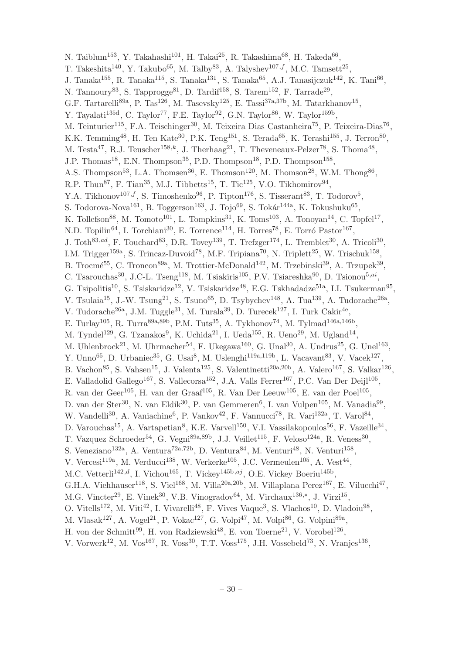N. Taiblum<sup>153</sup>, Y. Takahashi<sup>101</sup>, H. Takai<sup>25</sup>, R. Takashima<sup>68</sup>, H. Takeda<sup>66</sup>, T. Takeshita<sup>140</sup>, Y. Takubo<sup>65</sup>, M. Talby<sup>83</sup>, A. Talyshev<sup>107,f</sup>, M.C. Tamsett<sup>25</sup>, J. Tanaka<sup>155</sup>, R. Tanaka<sup>115</sup>, S. Tanaka<sup>131</sup>, S. Tanaka<sup>65</sup>, A.J. Tanasijczuk<sup>142</sup>, K. Tani<sup>66</sup>, N. Tannoury<sup>83</sup>, S. Tapprogge<sup>81</sup>, D. Tardif<sup>158</sup>, S. Tarem<sup>152</sup>, F. Tarrade<sup>29</sup>, G.F. Tartarelli<sup>89a</sup>, P. Tas<sup>126</sup>, M. Tasevsky<sup>125</sup>, E. Tassi<sup>37a,37b</sup>, M. Tatarkhanov<sup>15</sup>, Y. Tayalati<sup>135d</sup>, C. Taylor<sup>77</sup>, F.E. Taylor<sup>92</sup>, G.N. Taylor<sup>86</sup>, W. Taylor<sup>159b</sup>, M. Teinturier<sup>115</sup>, F.A. Teischinger<sup>30</sup>, M. Teixeira Dias Castanheira<sup>75</sup>, P. Teixeira-Dias<sup>76</sup>, K.K. Temming<sup>48</sup>, H. Ten Kate<sup>30</sup>, P.K. Teng<sup>151</sup>, S. Terada<sup>65</sup>, K. Terashi<sup>155</sup>, J. Terron<sup>80</sup>, M. Testa<sup>47</sup>, R.J. Teuscher<sup>158,k</sup>, J. Therhaag<sup>21</sup>, T. Theveneaux-Pelzer<sup>78</sup>, S. Thoma<sup>48</sup>, J.P. Thomas<sup>18</sup>, E.N. Thompson<sup>35</sup>, P.D. Thompson<sup>18</sup>, P.D. Thompson<sup>158</sup>, A.S. Thompson<sup>53</sup>, L.A. Thomsen<sup>36</sup>, E. Thomson<sup>120</sup>, M. Thomson<sup>28</sup>, W.M. Thong<sup>86</sup>, R.P. Thun<sup>87</sup>, F. Tian<sup>35</sup>, M.J. Tibbetts<sup>15</sup>, T. Tic<sup>125</sup>, V.O. Tikhomirov<sup>94</sup>, Y.A. Tikhonov<sup>107, f</sup>, S. Timoshenko<sup>96</sup>, P. Tipton<sup>176</sup>, S. Tisserant<sup>83</sup>, T. Todorov<sup>5</sup>, S. Todorova-Nova<sup>161</sup>, B. Toggerson<sup>163</sup>, J. Tojo<sup>69</sup>, S. Tokár<sup>144a</sup>, K. Tokushuku<sup>65</sup>, K. Tollefson<sup>88</sup>, M. Tomoto<sup>101</sup>, L. Tompkins<sup>31</sup>, K. Toms<sup>103</sup>, A. Tonoyan<sup>14</sup>, C. Topfel<sup>17</sup>, N.D. Topilin<sup>64</sup>, I. Torchiani<sup>30</sup>, E. Torrence<sup>114</sup>, H. Torres<sup>78</sup>, E. Torró Pastor<sup>167</sup>, J. Toth<sup>83,ad</sup>, F. Touchard<sup>83</sup>, D.R. Tovey<sup>139</sup>, T. Trefzger<sup>174</sup>, L. Tremblet<sup>30</sup>, A. Tricoli<sup>30</sup>, I.M. Trigger<sup>159a</sup>, S. Trincaz-Duvoid<sup>78</sup>, M.F. Tripiana<sup>70</sup>, N. Triplett<sup>25</sup>, W. Trischuk<sup>158</sup>, B. Trocmé<sup>55</sup>, C. Troncon<sup>89a</sup>, M. Trottier-McDonald<sup>142</sup>, M. Trzebinski<sup>39</sup>, A. Trzupek<sup>39</sup>, C. Tsarouchas<sup>30</sup>, J.C-L. Tseng<sup>118</sup>, M. Tsiakiris<sup>105</sup>, P.V. Tsiareshka<sup>90</sup>, D. Tsionou<sup>5,ai</sup>, G. Tsipolitis<sup>10</sup>, S. Tsiskaridze<sup>12</sup>, V. Tsiskaridze<sup>48</sup>, E.G. Tskhadadze<sup>51a</sup>, I.I. Tsukerman<sup>95</sup>, V. Tsulaia<sup>15</sup>, J.-W. Tsung<sup>21</sup>, S. Tsuno<sup>65</sup>, D. Tsybychev<sup>148</sup>, A. Tua<sup>139</sup>, A. Tudorache<sup>26a</sup>, V. Tudorache<sup>26a</sup>, J.M. Tuggle<sup>31</sup>, M. Turala<sup>39</sup>, D. Turecek<sup>127</sup>, I. Turk Cakir<sup>4e</sup>, E. Turlay<sup>105</sup>, R. Turra<sup>89a,89b</sup>, P.M. Tuts<sup>35</sup>, A. Tykhonov<sup>74</sup>, M. Tylmad<sup>146a,146b</sup>, M. Tyndel<sup>129</sup>, G. Tzanakos<sup>9</sup>, K. Uchida<sup>21</sup>, I. Ueda<sup>155</sup>, R. Ueno<sup>29</sup>, M. Ugland<sup>14</sup>, M. Uhlenbrock<sup>21</sup>, M. Uhrmacher<sup>54</sup>, F. Ukegawa<sup>160</sup>, G. Unal<sup>30</sup>, A. Undrus<sup>25</sup>, G. Unel<sup>163</sup>, Y. Unno<sup>65</sup>, D. Urbaniec<sup>35</sup>, G. Usai<sup>8</sup>, M. Uslenghi<sup>119a,119b</sup>, L. Vacavant<sup>83</sup>, V. Vacek<sup>127</sup>, B. Vachon<sup>85</sup>, S. Vahsen<sup>15</sup>, J. Valenta<sup>125</sup>, S. Valentinetti<sup>20a,20b</sup>, A. Valero<sup>167</sup>, S. Valkar<sup>126</sup>, E. Valladolid Gallego<sup>167</sup>, S. Vallecorsa<sup>152</sup>, J.A. Valls Ferrer<sup>167</sup>, P.C. Van Der Deijl<sup>105</sup>, R. van der Geer<sup>105</sup>, H. van der Graaf<sup>105</sup>, R. Van Der Leeuw<sup>105</sup>, E. van der Poel<sup>105</sup>, D. van der Ster<sup>30</sup>, N. van Eldik<sup>30</sup>, P. van Gemmeren<sup>6</sup>, I. van Vulpen<sup>105</sup>, M. Vanadia<sup>99</sup>, W. Vandelli<sup>30</sup>, A. Vaniachine<sup>6</sup>, P. Vankov<sup>42</sup>, F. Vannucci<sup>78</sup>, R. Vari<sup>132a</sup>, T. Varol<sup>84</sup>, D. Varouchas<sup>15</sup>, A. Vartapetian<sup>8</sup>, K.E. Varvell<sup>150</sup>, V.I. Vassilakopoulos<sup>56</sup>, F. Vazeille<sup>34</sup>, T. Vazquez Schroeder<sup>54</sup>, G. Vegni<sup>89a,89b</sup>, J.J. Veillet<sup>115</sup>, F. Veloso<sup>124a</sup>, R. Veness<sup>30</sup>, S. Veneziano<sup>132a</sup>, A. Ventura<sup>72a,72b</sup>, D. Ventura<sup>84</sup>, M. Venturi<sup>48</sup>, N. Venturi<sup>158</sup>, V. Vercesi<sup>119a</sup>, M. Verducci<sup>138</sup>, W. Verkerke<sup>105</sup>, J.C. Vermeulen<sup>105</sup>, A. Vest<sup>44</sup>, M.C. Vetterli<sup>142,d</sup>, I. Vichou<sup>165</sup>, T. Vickey<sup>145b,aj</sup>, O.E. Vickey Boeriu<sup>145b</sup>, G.H.A. Viehhauser<sup>118</sup>, S. Viel<sup>168</sup>, M. Villa<sup>20a,20b</sup>, M. Villaplana Perez<sup>167</sup>, E. Vilucchi<sup>47</sup>, M.G. Vincter<sup>29</sup>, E. Vinek<sup>30</sup>, V.B. Vinogradov<sup>64</sup>, M. Virchaux<sup>136,\*</sup>, J. Virzi<sup>15</sup>, O. Vitells<sup>172</sup>, M. Viti<sup>42</sup>, I. Vivarelli<sup>48</sup>, F. Vives Vaque<sup>3</sup>, S. Vlachos<sup>10</sup>, D. Vladoiu<sup>98</sup>, M. Vlasak $^{127}$ , A. Vogel<sup>21</sup>, P. Vokac $^{127}$ , G. Volpi<sup>47</sup>, M. Volpi<sup>86</sup>, G. Volpini<sup>89a</sup>, H. von der Schmitt<sup>99</sup>, H. von Radziewski<sup>48</sup>, E. von Toerne<sup>21</sup>, V. Vorobel<sup>126</sup>,

V. Vorwerk<sup>12</sup>, M. Vos<sup>167</sup>, R. Voss<sup>30</sup>, T.T. Voss<sup>175</sup>, J.H. Vossebeld<sup>73</sup>, N. Vranjes<sup>136</sup>,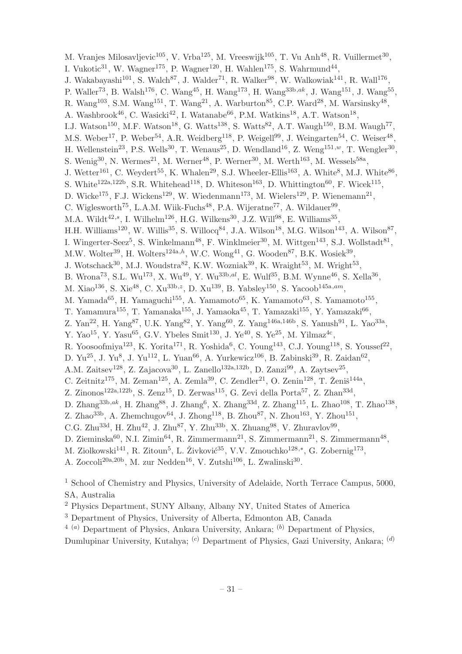M. Vranjes Milosavljevic $^{105}$ , V. Vrba $^{125}$ , M. Vreeswijk $^{105}$ , T. Vu Anh<sup>48</sup>, R. Vuillermet $^{30}$ , I. Vukotic<sup>31</sup>, W. Wagner<sup>175</sup>, P. Wagner<sup>120</sup>, H. Wahlen<sup>175</sup>, S. Wahrmund<sup>44</sup>, J. Wakabayashi<sup>101</sup>, S. Walch<sup>87</sup>, J. Walder<sup>71</sup>, R. Walker<sup>98</sup>, W. Walkowiak<sup>141</sup>, R. Wall<sup>176</sup>, P. Waller<sup>73</sup>, B. Walsh<sup>176</sup>, C. Wang<sup>45</sup>, H. Wang<sup>173</sup>, H. Wang<sup>33b,ak</sup>, J. Wang<sup>151</sup>, J. Wang<sup>55</sup>, R. Wang<sup>103</sup>, S.M. Wang<sup>151</sup>, T. Wang<sup>21</sup>, A. Warburton<sup>85</sup>, C.P. Ward<sup>28</sup>, M. Warsinsky<sup>48</sup>, A. Washbrook<sup>46</sup>, C. Wasicki<sup>42</sup>, I. Watanabe<sup>66</sup>, P.M. Watkins<sup>18</sup>, A.T. Watson<sup>18</sup>, I.J. Watson<sup>150</sup>, M.F. Watson<sup>18</sup>, G. Watts<sup>138</sup>, S. Watts<sup>82</sup>, A.T. Waugh<sup>150</sup>, B.M. Waugh<sup>77</sup>, M.S. Weber<sup>17</sup>, P. Weber<sup>54</sup>, A.R. Weidberg<sup>118</sup>, P. Weigell<sup>99</sup>, J. Weingarten<sup>54</sup>, C. Weiser<sup>48</sup>, H. Wellenstein<sup>23</sup>, P.S. Wells<sup>30</sup>, T. Wenaus<sup>25</sup>, D. Wendland<sup>16</sup>, Z. Weng<sup>151,*w*</sup>, T. Wengler<sup>30</sup>, S. Wenig<sup>30</sup>, N. Wermes<sup>21</sup>, M. Werner<sup>48</sup>, P. Werner<sup>30</sup>, M. Werth<sup>163</sup>, M. Wessels<sup>58a</sup>, J. Wetter<sup>161</sup>, C. Weydert<sup>55</sup>, K. Whalen<sup>29</sup>, S.J. Wheeler-Ellis<sup>163</sup>, A. White<sup>8</sup>, M.J. White<sup>86</sup>, S. White<sup>122a,122b</sup>, S.R. Whitehead<sup>118</sup>, D. Whiteson<sup>163</sup>, D. Whittington<sup>60</sup>, F. Wicek<sup>115</sup>, D. Wicke<sup>175</sup>, F.J. Wickens<sup>129</sup>, W. Wiedenmann<sup>173</sup>, M. Wielers<sup>129</sup>, P. Wienemann<sup>21</sup>, C. Wiglesworth<sup>75</sup>, L.A.M. Wiik-Fuchs<sup>48</sup>, P.A. Wijeratne<sup>77</sup>, A. Wildauer<sup>99</sup>, M.A. Wildt<sup>42,s</sup>, I. Wilhelm<sup>126</sup>, H.G. Wilkens<sup>30</sup>, J.Z. Will<sup>98</sup>, E. Williams<sup>35</sup>, H.H. Williams<sup>120</sup>, W. Willis<sup>35</sup>, S. Willocq<sup>84</sup>, J.A. Wilson<sup>18</sup>, M.G. Wilson<sup>143</sup>, A. Wilson<sup>87</sup>, I. Wingerter-Seez<sup>5</sup>, S. Winkelmann<sup>48</sup>, F. Winklmeier<sup>30</sup>, M. Wittgen<sup>143</sup>, S.J. Wollstadt<sup>81</sup>, M.W. Wolter<sup>39</sup>, H. Wolters<sup>124a,h</sup>, W.C. Wong<sup>41</sup>, G. Wooden<sup>87</sup>, B.K. Wosiek<sup>39</sup>, J. Wotschack<sup>30</sup>, M.J. Woudstra<sup>82</sup>, K.W. Wozniak<sup>39</sup>, K. Wraight<sup>53</sup>, M. Wright<sup>53</sup>, B. Wrona<sup>73</sup>, S.L. Wu<sup>173</sup>, X. Wu<sup>49</sup>, Y. Wu<sup>33b,al</sup>, E. Wulf<sup>35</sup>, B.M. Wynne<sup>46</sup>, S. Xella<sup>36</sup>, M. Xiao136, S. Xie48, C. Xu33b,z, D. Xu139, B. Yabsley150, S. Yacoob145a,am, M. Yamada $^{65}$ , H. Yamaguchi<sup>155</sup>, A. Yamamoto<sup>65</sup>, K. Yamamoto<sup>63</sup>, S. Yamamoto<sup>155</sup>, T. Yamamura<sup>155</sup>, T. Yamanaka<sup>155</sup>, J. Yamaoka<sup>45</sup>, T. Yamazaki<sup>155</sup>, Y. Yamazaki<sup>66</sup>, Z. Yan<sup>22</sup>, H. Yang<sup>87</sup>, U.K. Yang<sup>82</sup>, Y. Yang<sup>60</sup>, Z. Yang<sup>146a,146b</sup>, S. Yanush<sup>91</sup>, L. Yao<sup>33a</sup>, Y. Yao<sup>15</sup>, Y. Yasu<sup>65</sup>, G.V. Ybeles Smit<sup>130</sup>, J. Ye<sup>40</sup>, S. Ye<sup>25</sup>, M. Yilmaz<sup>4c</sup>, R. Yoosoofmiya<sup>123</sup>, K. Yorita<sup>171</sup>, R. Yoshida<sup>6</sup>, C. Young<sup>143</sup>, C.J. Young<sup>118</sup>, S. Youssef<sup>22</sup>, D. Yu<sup>25</sup>, J. Yu<sup>8</sup>, J. Yu<sup>112</sup>, L. Yuan<sup>66</sup>, A. Yurkewicz<sup>106</sup>, B. Zabinski<sup>39</sup>, R. Zaidan<sup>62</sup>, A.M. Zaitsev<sup>128</sup>, Z. Zajacova<sup>30</sup>, L. Zanello<sup>132a,132b</sup>, D. Zanzi<sup>99</sup>, A. Zaytsev<sup>25</sup>, C. Zeitnitz<sup>175</sup>, M. Zeman<sup>125</sup>, A. Zemla<sup>39</sup>, C. Zendler<sup>21</sup>, O. Zenin<sup>128</sup>, T. Ženiš<sup>144a</sup>, Z. Zinonos<sup>122a,122b</sup>, S. Zenz<sup>15</sup>, D. Zerwas<sup>115</sup>, G. Zevi della Porta<sup>57</sup>, Z. Zhan<sup>33d</sup>, D. Zhang $^{33b,ak}$ , H. Zhang $^{88}$ , J. Zhang $^6$ , X. Zhang $^{33d}$ , Z. Zhang $^{115}$ , L. Zhao $^{108}$ , T. Zhao $^{138}$ , Z. Zhao<sup>33b</sup>, A. Zhemchugov<sup>64</sup>, J. Zhong<sup>118</sup>, B. Zhou<sup>87</sup>, N. Zhou<sup>163</sup>, Y. Zhou<sup>151</sup>, C.G. Zhu<sup>33d</sup>, H. Zhu<sup>42</sup>, J. Zhu<sup>87</sup>, Y. Zhu<sup>33b</sup>, X. Zhuang<sup>98</sup>, V. Zhuravlov<sup>99</sup>, D. Zieminska $^{60}$ , N.I. Zimin $^{64}$ , R. Zimmermann $^{21}$ , S. Zimmermann $^{21}$ , S. Zimmermann $^{48}$ , M. Ziolkowski<sup>141</sup>, R. Zitoun<sup>5</sup>, L. Živković<sup>35</sup>, V.V. Zmouchko<sup>128,\*</sup>, G. Zobernig<sup>173</sup>, A. Zoccoli<sup>20a, 20b</sup>, M. zur Nedden<sup>16</sup>, V. Zutshi<sup>106</sup>, L. Zwalinski<sup>30</sup>.

<sup>1</sup> School of Chemistry and Physics, University of Adelaide, North Terrace Campus, 5000, SA, Australia

<sup>2</sup> Physics Department, SUNY Albany, Albany NY, United States of America

<sup>3</sup> Department of Physics, University of Alberta, Edmonton AB, Canada

 $4(a)$  Department of Physics, Ankara University, Ankara;  $(b)$  Department of Physics, Dumlupinar University, Kutahya;  $^{(c)}$  Department of Physics, Gazi University, Ankara;  $^{(d)}$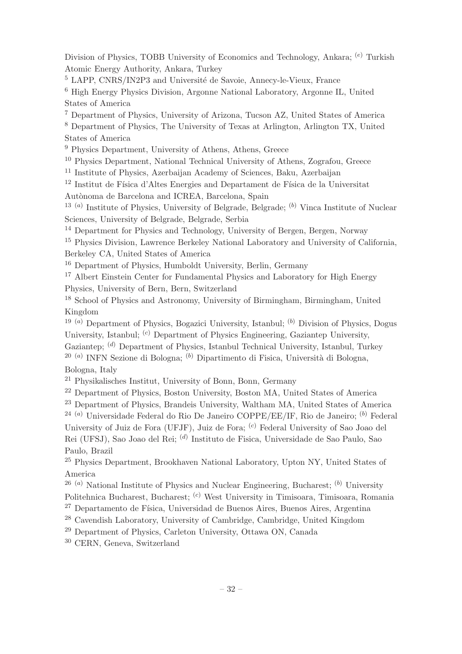Division of Physics, TOBB University of Economics and Technology, Ankara; <sup>(e)</sup> Turkish Atomic Energy Authority, Ankara, Turkey

<sup>5</sup> LAPP, CNRS/IN2P3 and Université de Savoie, Annecy-le-Vieux, France

<sup>6</sup> High Energy Physics Division, Argonne National Laboratory, Argonne IL, United States of America

<sup>7</sup> Department of Physics, University of Arizona, Tucson AZ, United States of America

<sup>8</sup> Department of Physics, The University of Texas at Arlington, Arlington TX, United States of America

<sup>9</sup> Physics Department, University of Athens, Athens, Greece

<sup>10</sup> Physics Department, National Technical University of Athens, Zografou, Greece

<sup>11</sup> Institute of Physics, Azerbaijan Academy of Sciences, Baku, Azerbaijan

 $^{12}$  Institut de Física d'Altes Energies and Departament de Física de la Universitat

Autònoma de Barcelona and ICREA, Barcelona, Spain

<sup>13 (a)</sup> Institute of Physics, University of Belgrade, Belgrade; <sup>(b)</sup> Vinca Institute of Nuclear Sciences, University of Belgrade, Belgrade, Serbia

<sup>14</sup> Department for Physics and Technology, University of Bergen, Bergen, Norway

<sup>15</sup> Physics Division, Lawrence Berkeley National Laboratory and University of California, Berkeley CA, United States of America

<sup>16</sup> Department of Physics, Humboldt University, Berlin, Germany

<sup>17</sup> Albert Einstein Center for Fundamental Physics and Laboratory for High Energy Physics, University of Bern, Bern, Switzerland

<sup>18</sup> School of Physics and Astronomy, University of Birmingham, Birmingham, United Kingdom

<sup>19 (a)</sup> Department of Physics, Bogazici University, Istanbul; <sup>(b)</sup> Division of Physics, Dogus University, Istanbul; <sup>(c)</sup> Department of Physics Engineering, Gaziantep University, Gaziantep; (d) Department of Physics, Istanbul Technical University, Istanbul, Turkey <sup>20 (a)</sup> INFN Sezione di Bologna; <sup>(b)</sup> Dipartimento di Fisica, Università di Bologna,

Bologna, Italy

<sup>21</sup> Physikalisches Institut, University of Bonn, Bonn, Germany

<sup>22</sup> Department of Physics, Boston University, Boston MA, United States of America

<sup>23</sup> Department of Physics, Brandeis University, Waltham MA, United States of America

<sup>24 (a)</sup> Universidade Federal do Rio De Janeiro COPPE/EE/IF, Rio de Janeiro; <sup>(b)</sup> Federal University of Juiz de Fora (UFJF), Juiz de Fora; <sup>(c)</sup> Federal University of Sao Joao del Rei (UFSJ), Sao Joao del Rei; <sup>(d)</sup> Instituto de Fisica, Universidade de Sao Paulo, Sao Paulo, Brazil

<sup>25</sup> Physics Department, Brookhaven National Laboratory, Upton NY, United States of America

<sup>26 (a)</sup> National Institute of Physics and Nuclear Engineering, Bucharest;  $^{(b)}$  University Politehnica Bucharest, Bucharest; <sup>(c)</sup> West University in Timisoara, Timisoara, Romania

<sup>27</sup> Departamento de Física, Universidad de Buenos Aires, Buenos Aires, Argentina

<sup>28</sup> Cavendish Laboratory, University of Cambridge, Cambridge, United Kingdom

<sup>29</sup> Department of Physics, Carleton University, Ottawa ON, Canada

<sup>30</sup> CERN, Geneva, Switzerland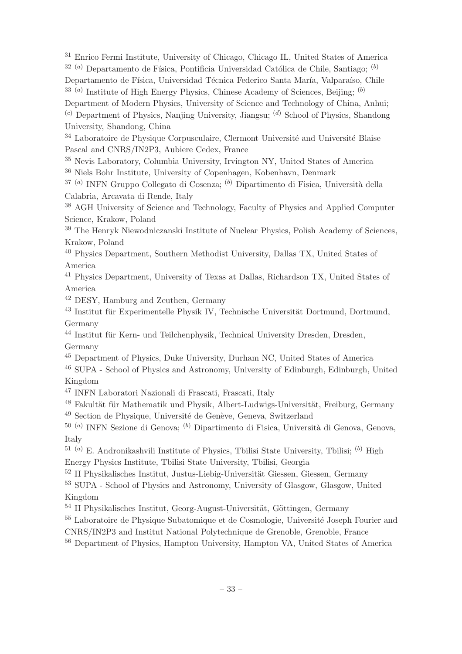<sup>31</sup> Enrico Fermi Institute, University of Chicago, Chicago IL, United States of America  $32(a)$  Departamento de Física, Pontificia Universidad Católica de Chile, Santiago;  $(b)$ Departamento de Física, Universidad Técnica Federico Santa María, Valparaíso, Chile  $33$  (a) Institute of High Energy Physics, Chinese Academy of Sciences, Beijing; (b)

Department of Modern Physics, University of Science and Technology of China, Anhui;

 $(c)$  Department of Physics, Nanjing University, Jiangsu;  $(d)$  School of Physics, Shandong University, Shandong, China

<sup>34</sup> Laboratoire de Physique Corpusculaire, Clermont Université and Université Blaise Pascal and CNRS/IN2P3, Aubiere Cedex, France

<sup>35</sup> Nevis Laboratory, Columbia University, Irvington NY, United States of America <sup>36</sup> Niels Bohr Institute, University of Copenhagen, Kobenhavn, Denmark

 $37$ <sup>(a)</sup> INFN Gruppo Collegato di Cosenza; <sup>(b)</sup> Dipartimento di Fisica, Università della Calabria, Arcavata di Rende, Italy

<sup>38</sup> AGH University of Science and Technology, Faculty of Physics and Applied Computer Science, Krakow, Poland

<sup>39</sup> The Henryk Niewodniczanski Institute of Nuclear Physics, Polish Academy of Sciences, Krakow, Poland

<sup>40</sup> Physics Department, Southern Methodist University, Dallas TX, United States of America

<sup>41</sup> Physics Department, University of Texas at Dallas, Richardson TX, United States of America

<sup>42</sup> DESY, Hamburg and Zeuthen, Germany

 $43$  Institut für Experimentelle Physik IV, Technische Universität Dortmund, Dortmund, Germany

<sup>44</sup> Institut für Kern- und Teilchenphysik, Technical University Dresden, Dresden, Germany

<sup>45</sup> Department of Physics, Duke University, Durham NC, United States of America

<sup>46</sup> SUPA - School of Physics and Astronomy, University of Edinburgh, Edinburgh, United Kingdom

<sup>47</sup> INFN Laboratori Nazionali di Frascati, Frascati, Italy

<sup>48</sup> Fakultät für Mathematik und Physik, Albert-Ludwigs-Universität, Freiburg, Germany

<sup>49</sup> Section de Physique, Université de Genève, Geneva, Switzerland

<sup>50 (a)</sup> INFN Sezione di Genova; <sup>(b)</sup> Dipartimento di Fisica, Università di Genova, Genova, Italy

 $^{51}$  (a) E. Andronikashvili Institute of Physics, Tbilisi State University, Tbilisi; (b) High Energy Physics Institute, Tbilisi State University, Tbilisi, Georgia

<sup>52</sup> II Physikalisches Institut, Justus-Liebig-Universität Giessen, Giessen, Germany

<sup>53</sup> SUPA - School of Physics and Astronomy, University of Glasgow, Glasgow, United Kingdom

 $^{54}$  II Physikalisches Institut, Georg-August-Universität, Göttingen, Germany

<sup>55</sup> Laboratoire de Physique Subatomique et de Cosmologie, Université Joseph Fourier and

CNRS/IN2P3 and Institut National Polytechnique de Grenoble, Grenoble, France

<sup>56</sup> Department of Physics, Hampton University, Hampton VA, United States of America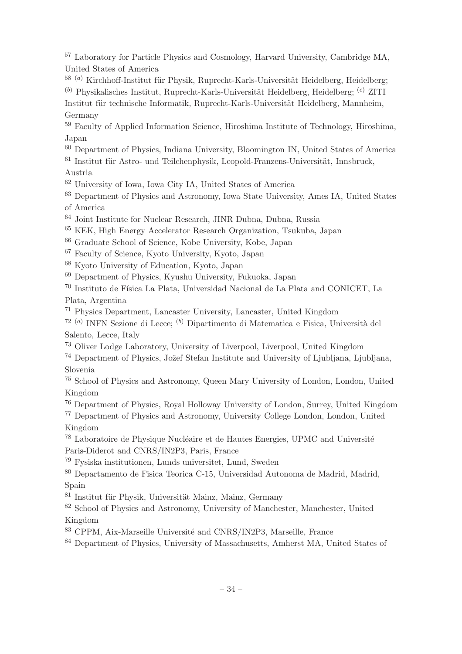<sup>57</sup> Laboratory for Particle Physics and Cosmology, Harvard University, Cambridge MA, United States of America

 $58$  (a) Kirchhoff-Institut für Physik, Ruprecht-Karls-Universität Heidelberg, Heidelberg;  $(b)$  Physikalisches Institut, Ruprecht-Karls-Universität Heidelberg, Heidelberg;  $(c)$  ZITI Institut für technische Informatik, Ruprecht-Karls-Universität Heidelberg, Mannheim, Germany

<sup>59</sup> Faculty of Applied Information Science, Hiroshima Institute of Technology, Hiroshima, Japan

<sup>60</sup> Department of Physics, Indiana University, Bloomington IN, United States of America

 $61$  Institut für Astro- und Teilchenphysik, Leopold-Franzens-Universität, Innsbruck, Austria

<sup>62</sup> University of Iowa, Iowa City IA, United States of America

<sup>63</sup> Department of Physics and Astronomy, Iowa State University, Ames IA, United States of America

<sup>64</sup> Joint Institute for Nuclear Research, JINR Dubna, Dubna, Russia

<sup>65</sup> KEK, High Energy Accelerator Research Organization, Tsukuba, Japan

<sup>66</sup> Graduate School of Science, Kobe University, Kobe, Japan

<sup>67</sup> Faculty of Science, Kyoto University, Kyoto, Japan

<sup>68</sup> Kyoto University of Education, Kyoto, Japan

<sup>69</sup> Department of Physics, Kyushu University, Fukuoka, Japan

<sup>70</sup> Instituto de Física La Plata, Universidad Nacional de La Plata and CONICET. La Plata, Argentina

<sup>71</sup> Physics Department, Lancaster University, Lancaster, United Kingdom

<sup>72 (a)</sup> INFN Sezione di Lecce; <sup>(b)</sup> Dipartimento di Matematica e Fisica, Università del Salento, Lecce, Italy

<sup>73</sup> Oliver Lodge Laboratory, University of Liverpool, Liverpool, United Kingdom

<sup>74</sup> Department of Physics, Jožef Stefan Institute and University of Ljubliana, Ljubliana, Slovenia

<sup>75</sup> School of Physics and Astronomy, Queen Mary University of London, London, United Kingdom

<sup>76</sup> Department of Physics, Royal Holloway University of London, Surrey, United Kingdom

<sup>77</sup> Department of Physics and Astronomy, University College London, London, United Kingdom

<sup>78</sup> Laboratoire de Physique Nucléaire et de Hautes Energies, UPMC and Université Paris-Diderot and CNRS/IN2P3, Paris, France

<sup>79</sup> Fysiska institutionen, Lunds universitet, Lund, Sweden

<sup>80</sup> Departamento de Fisica Teorica C-15, Universidad Autonoma de Madrid, Madrid, Spain

 $81$  Institut für Physik, Universität Mainz, Mainz, Germany

<sup>82</sup> School of Physics and Astronomy, University of Manchester, Manchester, United Kingdom

<sup>83</sup> CPPM, Aix-Marseille Université and CNRS/IN2P3, Marseille, France

<sup>84</sup> Department of Physics, University of Massachusetts, Amherst MA, United States of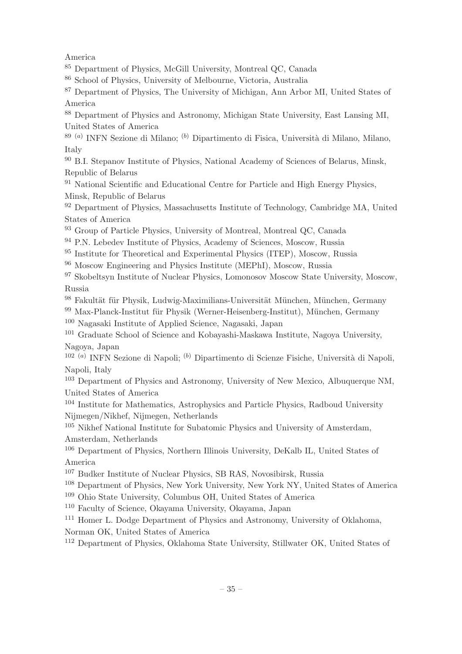America

<sup>85</sup> Department of Physics, McGill University, Montreal QC, Canada

<sup>86</sup> School of Physics, University of Melbourne, Victoria, Australia

<sup>87</sup> Department of Physics, The University of Michigan, Ann Arbor MI, United States of America

<sup>88</sup> Department of Physics and Astronomy, Michigan State University, East Lansing MI, United States of America

<sup>89 (a)</sup> INFN Sezione di Milano; <sup>(b)</sup> Dipartimento di Fisica, Università di Milano, Milano, Italy

<sup>90</sup> B.I. Stepanov Institute of Physics, National Academy of Sciences of Belarus, Minsk, Republic of Belarus

<sup>91</sup> National Scientific and Educational Centre for Particle and High Energy Physics, Minsk, Republic of Belarus

<sup>92</sup> Department of Physics, Massachusetts Institute of Technology, Cambridge MA, United States of America

<sup>93</sup> Group of Particle Physics, University of Montreal, Montreal QC, Canada

<sup>94</sup> P.N. Lebedev Institute of Physics, Academy of Sciences, Moscow, Russia

<sup>95</sup> Institute for Theoretical and Experimental Physics (ITEP), Moscow, Russia

<sup>96</sup> Moscow Engineering and Physics Institute (MEPhI), Moscow, Russia

<sup>97</sup> Skobeltsyn Institute of Nuclear Physics, Lomonosov Moscow State University, Moscow, Russia

98 Fakultät für Physik, Ludwig-Maximilians-Universität München, München, Germany

 $99$  Max-Planck-Institut für Physik (Werner-Heisenberg-Institut), München, Germany

<sup>100</sup> Nagasaki Institute of Applied Science, Nagasaki, Japan

<sup>101</sup> Graduate School of Science and Kobayashi-Maskawa Institute, Nagoya University, Nagoya, Japan

<sup>102 (a)</sup> INFN Sezione di Napoli; <sup>(b)</sup> Dipartimento di Scienze Fisiche, Università di Napoli, Napoli, Italy

<sup>103</sup> Department of Physics and Astronomy, University of New Mexico, Albuquerque NM, United States of America

<sup>104</sup> Institute for Mathematics, Astrophysics and Particle Physics, Radboud University Nijmegen/Nikhef, Nijmegen, Netherlands

<sup>105</sup> Nikhef National Institute for Subatomic Physics and University of Amsterdam, Amsterdam, Netherlands

<sup>106</sup> Department of Physics, Northern Illinois University, DeKalb IL, United States of America

<sup>107</sup> Budker Institute of Nuclear Physics, SB RAS, Novosibirsk, Russia

<sup>108</sup> Department of Physics, New York University, New York NY, United States of America

<sup>109</sup> Ohio State University, Columbus OH, United States of America

<sup>110</sup> Faculty of Science, Okayama University, Okayama, Japan

<sup>111</sup> Homer L. Dodge Department of Physics and Astronomy, University of Oklahoma,

Norman OK, United States of America

<sup>112</sup> Department of Physics, Oklahoma State University, Stillwater OK, United States of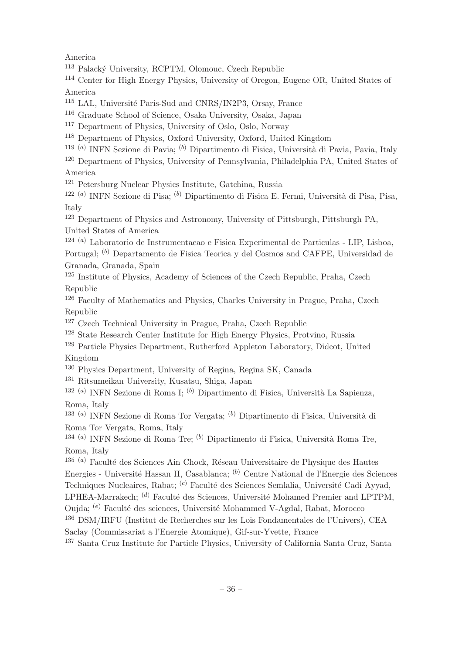America

<sup>113</sup> Palacký University, RCPTM, Olomouc, Czech Republic

<sup>114</sup> Center for High Energy Physics, University of Oregon, Eugene OR, United States of America

<sup>115</sup> LAL, Université Paris-Sud and CNRS/IN2P3, Orsay, France

<sup>116</sup> Graduate School of Science, Osaka University, Osaka, Japan

<sup>117</sup> Department of Physics, University of Oslo, Oslo, Norway

<sup>118</sup> Department of Physics, Oxford University, Oxford, United Kingdom

<sup>119 (a)</sup> INFN Sezione di Pavia; <sup>(b)</sup> Dipartimento di Fisica, Università di Pavia, Pavia, Italy

<sup>120</sup> Department of Physics, University of Pennsylvania, Philadelphia PA, United States of America

<sup>121</sup> Petersburg Nuclear Physics Institute, Gatchina, Russia

<sup>122 (a)</sup> INFN Sezione di Pisa; <sup>(b)</sup> Dipartimento di Fisica E. Fermi, Università di Pisa, Pisa, Italy

<sup>123</sup> Department of Physics and Astronomy, University of Pittsburgh, Pittsburgh PA, United States of America

124 (a) Laboratorio de Instrumentacao e Fisica Experimental de Particulas - LIP, Lisboa,

Portugal; <sup>(b)</sup> Departamento de Fisica Teorica y del Cosmos and CAFPE, Universidad de Granada, Granada, Spain

<sup>125</sup> Institute of Physics, Academy of Sciences of the Czech Republic, Praha, Czech Republic

<sup>126</sup> Faculty of Mathematics and Physics, Charles University in Prague, Praha, Czech Republic

<sup>127</sup> Czech Technical University in Prague, Praha, Czech Republic

<sup>128</sup> State Research Center Institute for High Energy Physics, Protvino, Russia

<sup>129</sup> Particle Physics Department, Rutherford Appleton Laboratory, Didcot, United Kingdom

<sup>130</sup> Physics Department, University of Regina, Regina SK, Canada

<sup>131</sup> Ritsumeikan University, Kusatsu, Shiga, Japan

<sup>132 (a)</sup> INFN Sezione di Roma I; <sup>(b)</sup> Dipartimento di Fisica, Università La Sapienza, Roma, Italy

<sup>133 (a)</sup> INFN Sezione di Roma Tor Vergata; <sup>(b)</sup> Dipartimento di Fisica, Università di Roma Tor Vergata, Roma, Italy

<sup>134 (a)</sup> INFN Sezione di Roma Tre; <sup>(b)</sup> Dipartimento di Fisica, Università Roma Tre, Roma, Italy

 $135$ <sup>(a)</sup> Faculté des Sciences Ain Chock, Réseau Universitaire de Physique des Hautes Energies - Université Hassan II, Casablanca; <sup>(b)</sup> Centre National de l'Energie des Sciences Techniques Nucleaires, Rabat; <sup>(c)</sup> Faculté des Sciences Semlalia, Université Cadi Ayyad, LPHEA-Marrakech;  $(d)$  Faculté des Sciences, Université Mohamed Premier and LPTPM,

Oujda; <sup>(e)</sup> Faculté des sciences, Université Mohammed V-Agdal, Rabat, Morocco

<sup>136</sup> DSM/IRFU (Institut de Recherches sur les Lois Fondamentales de l'Univers), CEA

Saclay (Commissariat a l'Energie Atomique), Gif-sur-Yvette, France

<sup>137</sup> Santa Cruz Institute for Particle Physics, University of California Santa Cruz, Santa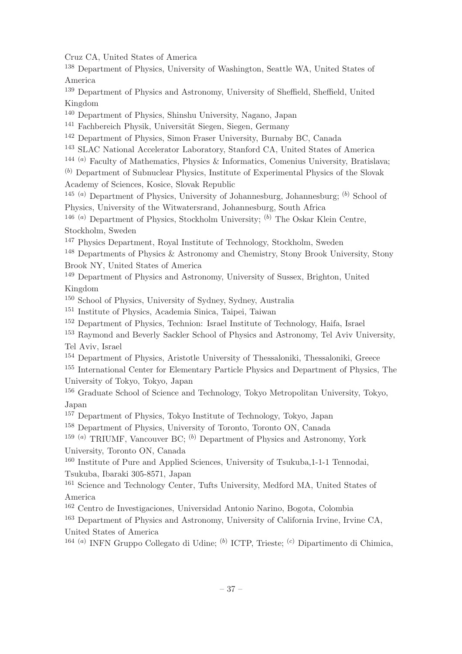Cruz CA, United States of America

<sup>138</sup> Department of Physics, University of Washington, Seattle WA, United States of America

<sup>139</sup> Department of Physics and Astronomy, University of Sheffield, Sheffield, United Kingdom

<sup>140</sup> Department of Physics, Shinshu University, Nagano, Japan

<sup>141</sup> Fachbereich Physik, Universität Siegen, Siegen, Germany

<sup>142</sup> Department of Physics, Simon Fraser University, Burnaby BC, Canada

<sup>143</sup> SLAC National Accelerator Laboratory, Stanford CA, United States of America

144 (a) Faculty of Mathematics, Physics & Informatics, Comenius University, Bratislava;

 $(b)$  Department of Subnuclear Physics, Institute of Experimental Physics of the Slovak Academy of Sciences, Kosice, Slovak Republic

<sup>145 (a)</sup> Department of Physics, University of Johannesburg, Johannesburg;  $^{(b)}$  School of Physics, University of the Witwatersrand, Johannesburg, South Africa

<sup>146 (a)</sup> Department of Physics, Stockholm University;  $(b)$  The Oskar Klein Centre, Stockholm, Sweden

<sup>147</sup> Physics Department, Royal Institute of Technology, Stockholm, Sweden

<sup>148</sup> Departments of Physics & Astronomy and Chemistry, Stony Brook University, Stony Brook NY, United States of America

<sup>149</sup> Department of Physics and Astronomy, University of Sussex, Brighton, United Kingdom

<sup>150</sup> School of Physics, University of Sydney, Sydney, Australia

<sup>151</sup> Institute of Physics, Academia Sinica, Taipei, Taiwan

<sup>152</sup> Department of Physics, Technion: Israel Institute of Technology, Haifa, Israel

<sup>153</sup> Raymond and Beverly Sackler School of Physics and Astronomy, Tel Aviv University, Tel Aviv, Israel

<sup>154</sup> Department of Physics, Aristotle University of Thessaloniki, Thessaloniki, Greece

<sup>155</sup> International Center for Elementary Particle Physics and Department of Physics, The University of Tokyo, Tokyo, Japan

<sup>156</sup> Graduate School of Science and Technology, Tokyo Metropolitan University, Tokyo, Japan

<sup>157</sup> Department of Physics, Tokyo Institute of Technology, Tokyo, Japan

<sup>158</sup> Department of Physics, University of Toronto, Toronto ON, Canada

<sup>159 (a)</sup> TRIUMF, Vancouver BC;  $^{(b)}$  Department of Physics and Astronomy, York University, Toronto ON, Canada

<sup>160</sup> Institute of Pure and Applied Sciences, University of Tsukuba,1-1-1 Tennodai, Tsukuba, Ibaraki 305-8571, Japan

<sup>161</sup> Science and Technology Center, Tufts University, Medford MA, United States of America

<sup>162</sup> Centro de Investigaciones, Universidad Antonio Narino, Bogota, Colombia

<sup>163</sup> Department of Physics and Astronomy, University of California Irvine, Irvine CA, United States of America

<sup>164 (a)</sup> INFN Gruppo Collegato di Udine; <sup>(b)</sup> ICTP, Trieste; <sup>(c)</sup> Dipartimento di Chimica,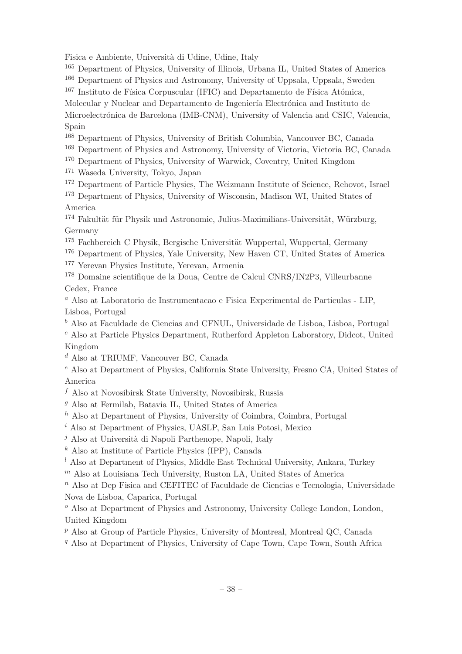Fisica e Ambiente, Università di Udine, Udine, Italy

<sup>165</sup> Department of Physics, University of Illinois, Urbana IL, United States of America

<sup>166</sup> Department of Physics and Astronomy, University of Uppsala, Uppsala, Sweden

 $167$  Instituto de Física Corpuscular (IFIC) and Departamento de Física Atómica,

Molecular y Nuclear and Departamento de Ingeniería Electrónica and Instituto de Microelectrónica de Barcelona (IMB-CNM), University of Valencia and CSIC, Valencia,

# Spain

<sup>168</sup> Department of Physics, University of British Columbia, Vancouver BC, Canada

<sup>169</sup> Department of Physics and Astronomy, University of Victoria, Victoria BC, Canada

<sup>170</sup> Department of Physics, University of Warwick, Coventry, United Kingdom

<sup>171</sup> Waseda University, Tokyo, Japan

<sup>172</sup> Department of Particle Physics, The Weizmann Institute of Science, Rehovot, Israel

<sup>173</sup> Department of Physics, University of Wisconsin, Madison WI, United States of America

<sup>174</sup> Fakultät für Physik und Astronomie, Julius-Maximilians-Universität, Würzburg, Germany

<sup>175</sup> Fachbereich C Physik, Bergische Universität Wuppertal, Wuppertal, Germany

<sup>176</sup> Department of Physics, Yale University, New Haven CT, United States of America

<sup>177</sup> Yerevan Physics Institute, Yerevan, Armenia

<sup>178</sup> Domaine scientifique de la Doua, Centre de Calcul CNRS/IN2P3, Villeurbanne Cedex, France

<sup>a</sup> Also at Laboratorio de Instrumentacao e Fisica Experimental de Particulas - LIP, Lisboa, Portugal

 $<sup>b</sup>$  Also at Faculdade de Ciencias and CFNUL, Universidade de Lisboa, Lisboa, Portugal</sup>

<sup>c</sup> Also at Particle Physics Department, Rutherford Appleton Laboratory, Didcot, United Kingdom

<sup>d</sup> Also at TRIUMF, Vancouver BC, Canada

<sup>e</sup> Also at Department of Physics, California State University, Fresno CA, United States of America

 $f$  Also at Novosibirsk State University, Novosibirsk, Russia

 $g$  Also at Fermilab, Batavia IL, United States of America

 $h$  Also at Department of Physics, University of Coimbra, Coimbra, Portugal

 $^i$  Also at Department of Physics, UASLP, San Luis Potosi, Mexico

 $j$  Also at Università di Napoli Parthenope, Napoli, Italy

 $k$  Also at Institute of Particle Physics (IPP), Canada

 $l$  Also at Department of Physics, Middle East Technical University, Ankara, Turkey

 $<sup>m</sup>$  Also at Louisiana Tech University, Ruston LA, United States of America</sup>

 $n$  Also at Dep Fisica and CEFITEC of Faculdade de Ciencias e Tecnologia, Universidade Nova de Lisboa, Caparica, Portugal

 $\degree$  Also at Department of Physics and Astronomy, University College London, London, United Kingdom

 $p$  Also at Group of Particle Physics, University of Montreal, Montreal QC, Canada

<sup>q</sup> Also at Department of Physics, University of Cape Town, Cape Town, South Africa